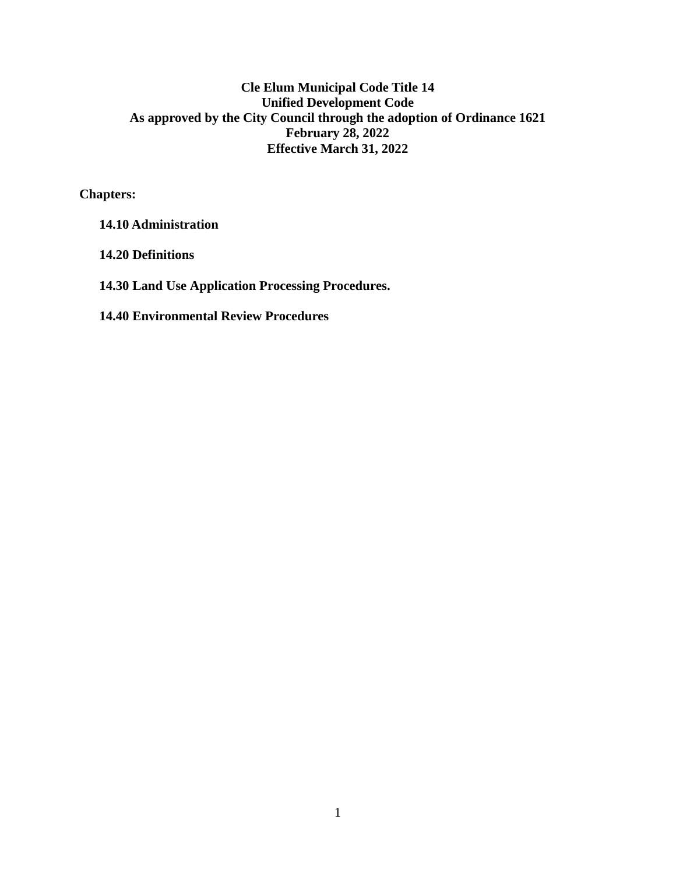**Chapters:** 

**14.10 Administration**

**14.20 Definitions**

**14.30 Land Use Application Processing Procedures.**

**14.40 Environmental Review Procedures**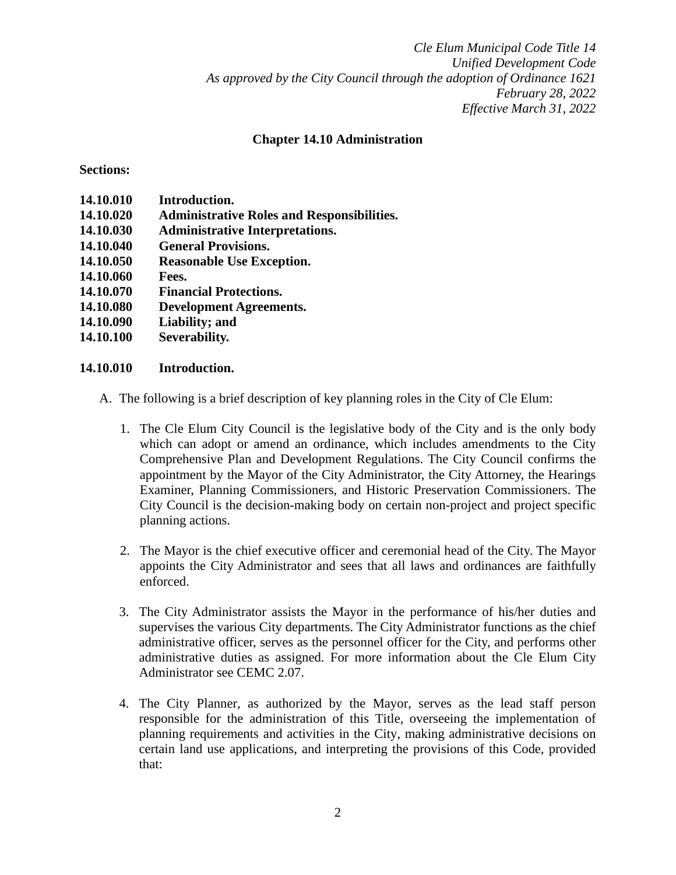### **Chapter 14.10 Administration**

#### **Sections:**

| 14.10.010 | Introduction.                                     |
|-----------|---------------------------------------------------|
| 14.10.020 | <b>Administrative Roles and Responsibilities.</b> |
| 14.10.030 | <b>Administrative Interpretations.</b>            |
| 14.10.040 | <b>General Provisions.</b>                        |
| 14.10.050 | <b>Reasonable Use Exception.</b>                  |
| 14.10.060 | Fees.                                             |
| 14.10.070 | <b>Financial Protections.</b>                     |
| 14.10.080 | <b>Development Agreements.</b>                    |
| 14.10.090 | Liability; and                                    |
| 14.10.100 | Severability.                                     |
|           |                                                   |

### **14.10.010 Introduction.**

- A. The following is a brief description of key planning roles in the City of Cle Elum:
	- 1. The Cle Elum City Council is the legislative body of the City and is the only body which can adopt or amend an ordinance, which includes amendments to the City Comprehensive Plan and Development Regulations. The City Council confirms the appointment by the Mayor of the City Administrator, the City Attorney, the Hearings Examiner, Planning Commissioners, and Historic Preservation Commissioners. The City Council is the decision-making body on certain non-project and project specific planning actions.
	- 2. The Mayor is the chief executive officer and ceremonial head of the City. The Mayor appoints the City Administrator and sees that all laws and ordinances are faithfully enforced.
	- 3. The City Administrator assists the Mayor in the performance of his/her duties and supervises the various City departments. The City Administrator functions as the chief administrative officer, serves as the personnel officer for the City, and performs other administrative duties as assigned. For more information about the Cle Elum City Administrator see CEMC 2.07.
	- 4. The City Planner, as authorized by the Mayor, serves as the lead staff person responsible for the administration of this Title, overseeing the implementation of planning requirements and activities in the City, making administrative decisions on certain land use applications, and interpreting the provisions of this Code, provided that: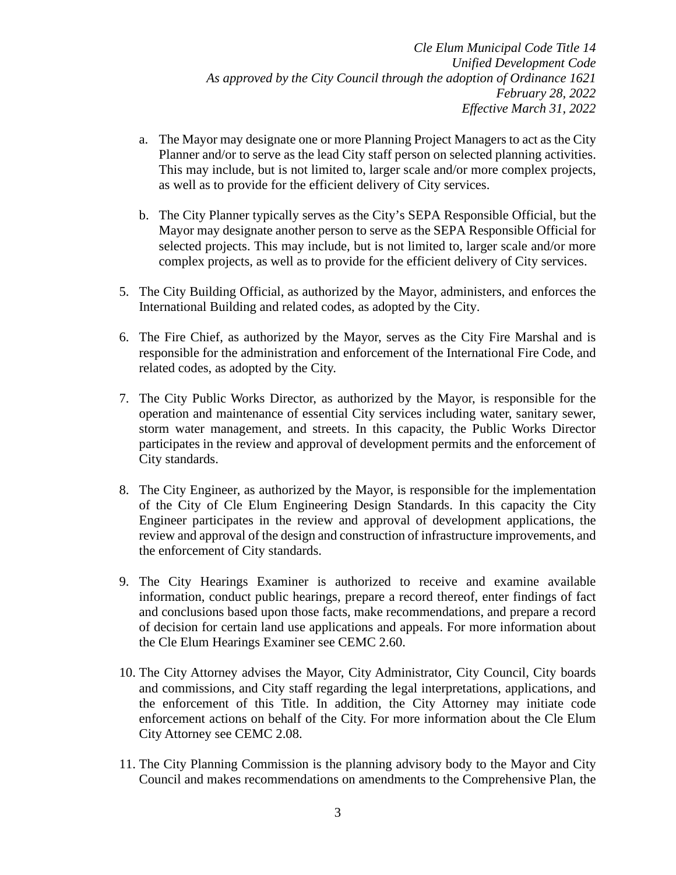- a. The Mayor may designate one or more Planning Project Managers to act as the City Planner and/or to serve as the lead City staff person on selected planning activities. This may include, but is not limited to, larger scale and/or more complex projects, as well as to provide for the efficient delivery of City services.
- b. The City Planner typically serves as the City's SEPA Responsible Official, but the Mayor may designate another person to serve as the SEPA Responsible Official for selected projects. This may include, but is not limited to, larger scale and/or more complex projects, as well as to provide for the efficient delivery of City services.
- 5. The City Building Official, as authorized by the Mayor, administers, and enforces the International Building and related codes, as adopted by the City.
- 6. The Fire Chief, as authorized by the Mayor, serves as the City Fire Marshal and is responsible for the administration and enforcement of the International Fire Code, and related codes, as adopted by the City.
- 7. The City Public Works Director, as authorized by the Mayor, is responsible for the operation and maintenance of essential City services including water, sanitary sewer, storm water management, and streets. In this capacity, the Public Works Director participates in the review and approval of development permits and the enforcement of City standards.
- 8. The City Engineer, as authorized by the Mayor, is responsible for the implementation of the City of Cle Elum Engineering Design Standards. In this capacity the City Engineer participates in the review and approval of development applications, the review and approval of the design and construction of infrastructure improvements, and the enforcement of City standards.
- 9. The City Hearings Examiner is authorized to receive and examine available information, conduct public hearings, prepare a record thereof, enter findings of fact and conclusions based upon those facts, make recommendations, and prepare a record of decision for certain land use applications and appeals. For more information about the Cle Elum Hearings Examiner see CEMC 2.60.
- 10. The City Attorney advises the Mayor, City Administrator, City Council, City boards and commissions, and City staff regarding the legal interpretations, applications, and the enforcement of this Title. In addition, the City Attorney may initiate code enforcement actions on behalf of the City. For more information about the Cle Elum City Attorney see CEMC 2.08.
- 11. The City Planning Commission is the planning advisory body to the Mayor and City Council and makes recommendations on amendments to the Comprehensive Plan, the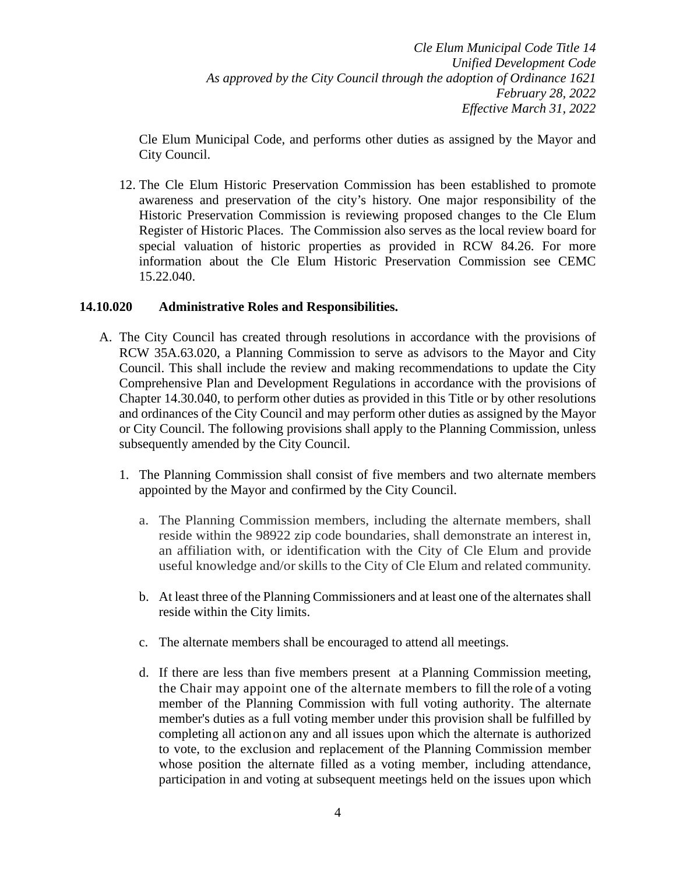Cle Elum Municipal Code, and performs other duties as assigned by the Mayor and City Council.

12. The Cle Elum Historic Preservation Commission has been established to promote awareness and preservation of the city's history. One major responsibility of the Historic Preservation Commission is reviewing proposed changes to the Cle Elum Register of Historic Places. The Commission also serves as the local review board for special valuation of historic properties as provided in RCW 84.26. For more information about the Cle Elum Historic Preservation Commission see CEMC 15.22.040.

## **14.10.020 Administrative Roles and Responsibilities.**

- A. The City Council has created through resolutions in accordance with the provisions of RCW 35A.63.020, a Planning Commission to serve as advisors to the Mayor and City Council. This shall include the review and making recommendations to update the City Comprehensive Plan and Development Regulations in accordance with the provisions of Chapter 14.30.040, to perform other duties as provided in this Title or by other resolutions and ordinances of the City Council and may perform other duties as assigned by the Mayor or City Council. The following provisions shall apply to the Planning Commission, unless subsequently amended by the City Council.
	- 1. The Planning Commission shall consist of five members and two alternate members appointed by the Mayor and confirmed by the City Council.
		- a. The Planning Commission members, including the alternate members, shall reside within the 98922 zip code boundaries, shall demonstrate an interest in, an affiliation with, or identification with the City of Cle Elum and provide useful knowledge and/or skills to the City of Cle Elum and related community.
		- b. At least three of the Planning Commissioners and at least one of the alternates shall reside within the City limits.
		- c. The alternate members shall be encouraged to attend all meetings.
		- d. If there are less than five members present at a Planning Commission meeting, the Chair may appoint one of the alternate members to fill the role of a voting member of the Planning Commission with full voting authority. The alternate member's duties as a full voting member under this provision shall be fulfilled by completing all actionon any and all issues upon which the alternate is authorized to vote, to the exclusion and replacement of the Planning Commission member whose position the alternate filled as a voting member, including attendance, participation in and voting at subsequent meetings held on the issues upon which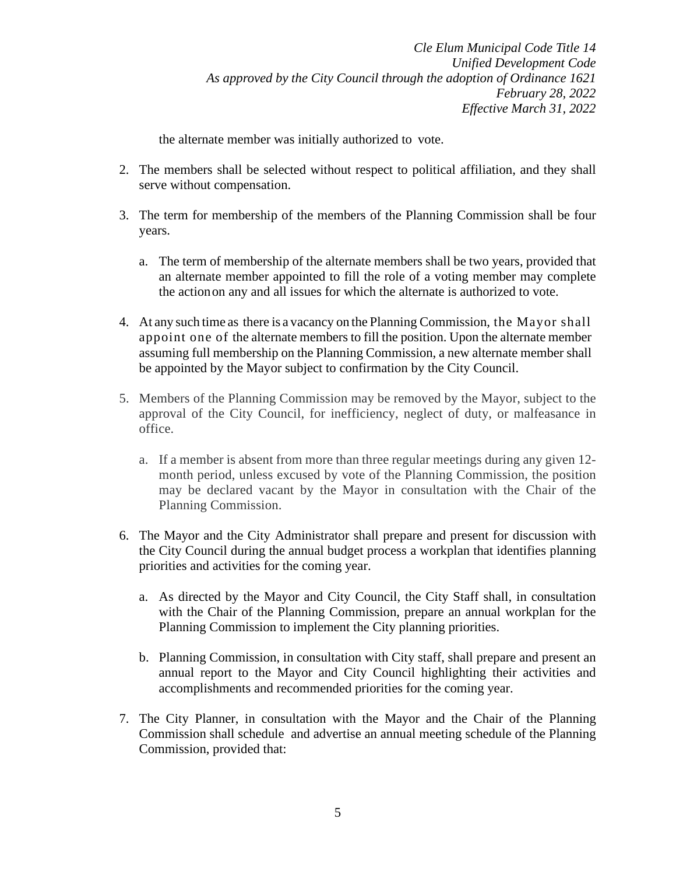the alternate member was initially authorized to vote.

- 2. The members shall be selected without respect to political affiliation, and they shall serve without compensation.
- 3. The term for membership of the members of the Planning Commission shall be four years.
	- a. The term of membership of the alternate members shall be two years, provided that an alternate member appointed to fill the role of a voting member may complete the actionon any and all issues for which the alternate is authorized to vote.
- 4. At any such time as there is a vacancy on the Planning Commission, the Mayor shall appoint one of the alternate members to fill the position. Upon the alternate member assuming full membership on the Planning Commission, a new alternate member shall be appointed by the Mayor subject to confirmation by the City Council.
- 5. Members of the Planning Commission may be removed by the Mayor, subject to the approval of the City Council, for inefficiency, neglect of duty, or malfeasance in office.
	- a. If a member is absent from more than three regular meetings during any given 12 month period, unless excused by vote of the Planning Commission, the position may be declared vacant by the Mayor in consultation with the Chair of the Planning Commission.
- 6. The Mayor and the City Administrator shall prepare and present for discussion with the City Council during the annual budget process a workplan that identifies planning priorities and activities for the coming year.
	- a. As directed by the Mayor and City Council, the City Staff shall, in consultation with the Chair of the Planning Commission, prepare an annual workplan for the Planning Commission to implement the City planning priorities.
	- b. Planning Commission, in consultation with City staff, shall prepare and present an annual report to the Mayor and City Council highlighting their activities and accomplishments and recommended priorities for the coming year.
- 7. The City Planner, in consultation with the Mayor and the Chair of the Planning Commission shall schedule and advertise an annual meeting schedule of the Planning Commission, provided that: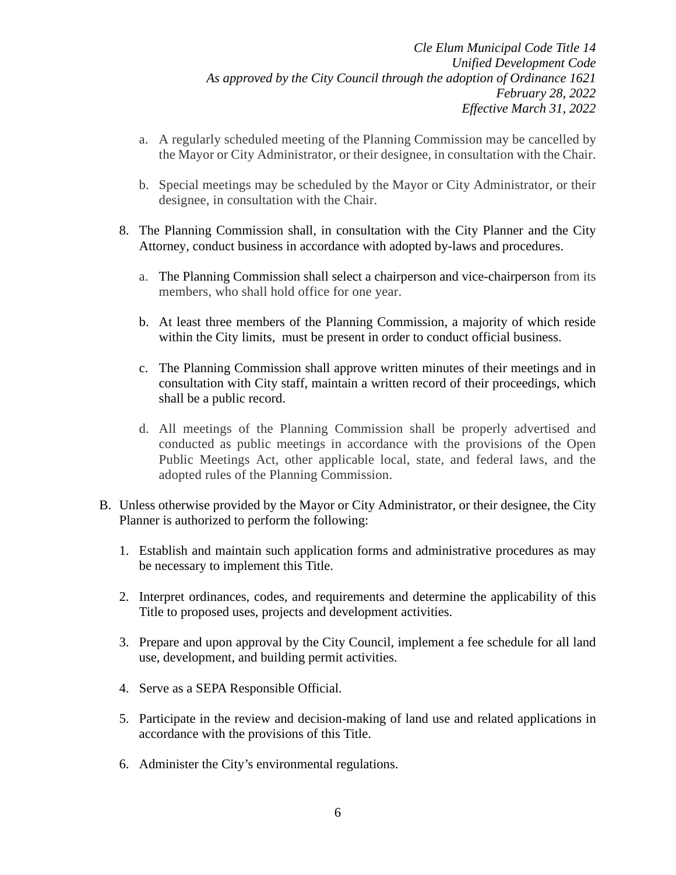- a. A regularly scheduled meeting of the Planning Commission may be cancelled by the Mayor or City Administrator, or their designee, in consultation with the Chair.
- b. Special meetings may be scheduled by the Mayor or City Administrator, or their designee, in consultation with the Chair.
- 8. The Planning Commission shall, in consultation with the City Planner and the City Attorney, conduct business in accordance with adopted by-laws and procedures.
	- a. The Planning Commission shall select a chairperson and vice-chairperson from its members, who shall hold office for one year.
	- b. At least three members of the Planning Commission, a majority of which reside within the City limits, must be present in order to conduct official business.
	- c. The Planning Commission shall approve written minutes of their meetings and in consultation with City staff, maintain a written record of their proceedings, which shall be a public record.
	- d. All meetings of the Planning Commission shall be properly advertised and conducted as public meetings in accordance with the provisions of the Open Public Meetings Act, other applicable local, state, and federal laws, and the adopted rules of the Planning Commission.
- B. Unless otherwise provided by the Mayor or City Administrator, or their designee, the City Planner is authorized to perform the following:
	- 1. Establish and maintain such application forms and administrative procedures as may be necessary to implement this Title.
	- 2. Interpret ordinances, codes, and requirements and determine the applicability of this Title to proposed uses, projects and development activities.
	- 3. Prepare and upon approval by the City Council, implement a fee schedule for all land use, development, and building permit activities.
	- 4. Serve as a SEPA Responsible Official.
	- 5. Participate in the review and decision-making of land use and related applications in accordance with the provisions of this Title.
	- 6. Administer the City's environmental regulations.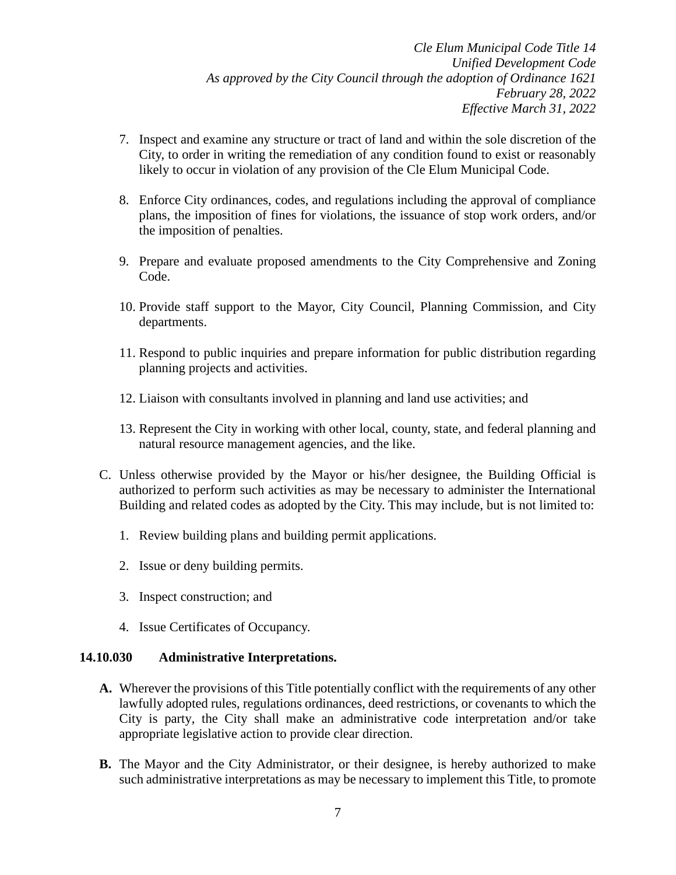- 7. Inspect and examine any structure or tract of land and within the sole discretion of the City, to order in writing the remediation of any condition found to exist or reasonably likely to occur in violation of any provision of the Cle Elum Municipal Code.
- 8. Enforce City ordinances, codes, and regulations including the approval of compliance plans, the imposition of fines for violations, the issuance of stop work orders, and/or the imposition of penalties.
- 9. Prepare and evaluate proposed amendments to the City Comprehensive and Zoning Code.
- 10. Provide staff support to the Mayor, City Council, Planning Commission, and City departments.
- 11. Respond to public inquiries and prepare information for public distribution regarding planning projects and activities.
- 12. Liaison with consultants involved in planning and land use activities; and
- 13. Represent the City in working with other local, county, state, and federal planning and natural resource management agencies, and the like.
- C. Unless otherwise provided by the Mayor or his/her designee, the Building Official is authorized to perform such activities as may be necessary to administer the International Building and related codes as adopted by the City. This may include, but is not limited to:
	- 1. Review building plans and building permit applications.
	- 2. Issue or deny building permits.
	- 3. Inspect construction; and
	- 4. Issue Certificates of Occupancy.

### **14.10.030 Administrative Interpretations.**

- **A.** Wherever the provisions of this Title potentially conflict with the requirements of any other lawfully adopted rules, regulations ordinances, deed restrictions, or covenants to which the City is party, the City shall make an administrative code interpretation and/or take appropriate legislative action to provide clear direction.
- **B.** The Mayor and the City Administrator, or their designee, is hereby authorized to make such administrative interpretations as may be necessary to implement this Title, to promote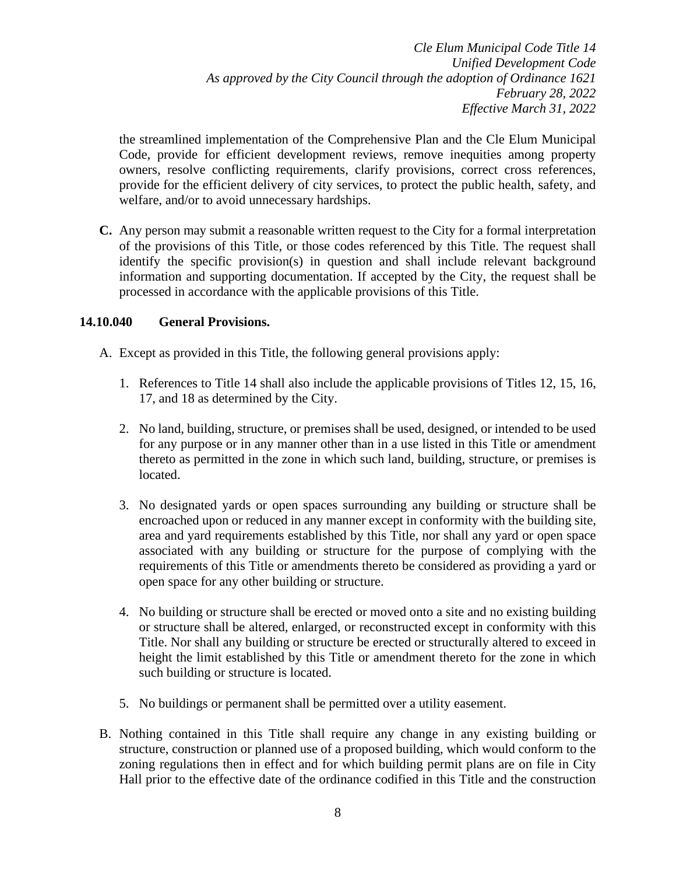the streamlined implementation of the Comprehensive Plan and the Cle Elum Municipal Code, provide for efficient development reviews, remove inequities among property owners, resolve conflicting requirements, clarify provisions, correct cross references, provide for the efficient delivery of city services, to protect the public health, safety, and welfare, and/or to avoid unnecessary hardships.

**C.** Any person may submit a reasonable written request to the City for a formal interpretation of the provisions of this Title, or those codes referenced by this Title. The request shall identify the specific provision(s) in question and shall include relevant background information and supporting documentation. If accepted by the City, the request shall be processed in accordance with the applicable provisions of this Title.

### **14.10.040 General Provisions.**

- A. Except as provided in this Title, the following general provisions apply:
	- 1. References to Title 14 shall also include the applicable provisions of Titles 12, 15, 16, 17, and 18 as determined by the City.
	- 2. No land, building, structure, or premises shall be used, designed, or intended to be used for any purpose or in any manner other than in a use listed in this Title or amendment thereto as permitted in the zone in which such land, building, structure, or premises is located.
	- 3. No designated yards or open spaces surrounding any building or structure shall be encroached upon or reduced in any manner except in conformity with the building site, area and yard requirements established by this Title, nor shall any yard or open space associated with any building or structure for the purpose of complying with the requirements of this Title or amendments thereto be considered as providing a yard or open space for any other building or structure.
	- 4. No building or structure shall be erected or moved onto a site and no existing building or structure shall be altered, enlarged, or reconstructed except in conformity with this Title. Nor shall any building or structure be erected or structurally altered to exceed in height the limit established by this Title or amendment thereto for the zone in which such building or structure is located.
	- 5. No buildings or permanent shall be permitted over a utility easement.
- B. Nothing contained in this Title shall require any change in any existing building or structure, construction or planned use of a proposed building, which would conform to the zoning regulations then in effect and for which building permit plans are on file in City Hall prior to the effective date of the ordinance codified in this Title and the construction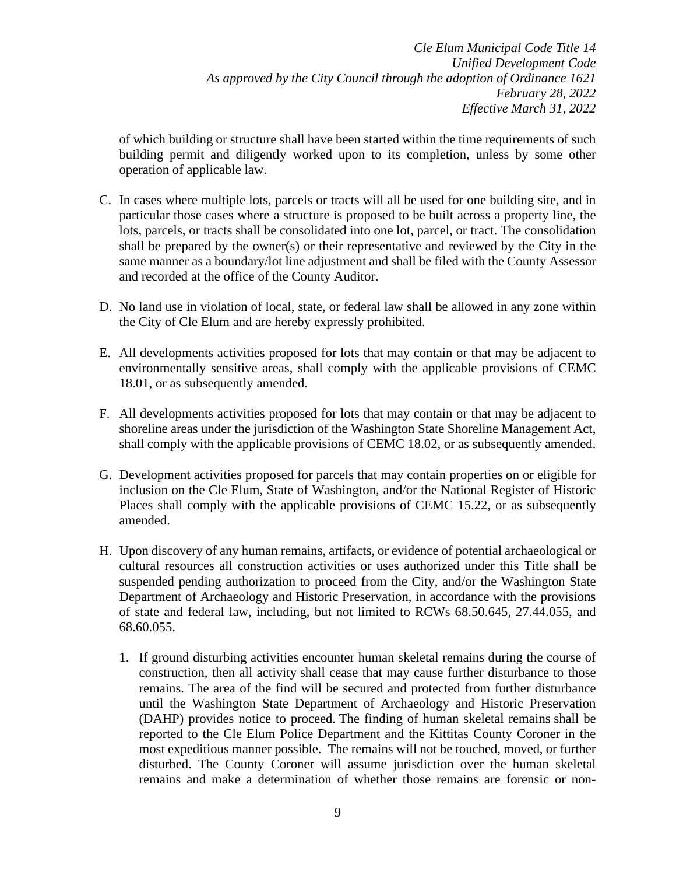of which building or structure shall have been started within the time requirements of such building permit and diligently worked upon to its completion, unless by some other operation of applicable law.

- C. In cases where multiple lots, parcels or tracts will all be used for one building site, and in particular those cases where a structure is proposed to be built across a property line, the lots, parcels, or tracts shall be consolidated into one lot, parcel, or tract. The consolidation shall be prepared by the owner(s) or their representative and reviewed by the City in the same manner as a boundary/lot line adjustment and shall be filed with the County Assessor and recorded at the office of the County Auditor.
- D. No land use in violation of local, state, or federal law shall be allowed in any zone within the City of Cle Elum and are hereby expressly prohibited.
- E. All developments activities proposed for lots that may contain or that may be adjacent to environmentally sensitive areas, shall comply with the applicable provisions of CEMC 18.01, or as subsequently amended.
- F. All developments activities proposed for lots that may contain or that may be adjacent to shoreline areas under the jurisdiction of the Washington State Shoreline Management Act, shall comply with the applicable provisions of CEMC 18.02, or as subsequently amended.
- G. Development activities proposed for parcels that may contain properties on or eligible for inclusion on the Cle Elum, State of Washington, and/or the National Register of Historic Places shall comply with the applicable provisions of CEMC 15.22, or as subsequently amended.
- H. Upon discovery of any human remains, artifacts, or evidence of potential archaeological or cultural resources all construction activities or uses authorized under this Title shall be suspended pending authorization to proceed from the City, and/or the Washington State Department of Archaeology and Historic Preservation, in accordance with the provisions of state and federal law, including, but not limited to RCWs 68.50.645, 27.44.055, and 68.60.055.
	- 1. If ground disturbing activities encounter human skeletal remains during the course of construction, then all activity shall cease that may cause further disturbance to those remains. The area of the find will be secured and protected from further disturbance until the Washington State Department of Archaeology and Historic Preservation (DAHP) provides notice to proceed. The finding of human skeletal remains shall be reported to the Cle Elum Police Department and the Kittitas County Coroner in the most expeditious manner possible. The remains will not be touched, moved, or further disturbed. The County Coroner will assume jurisdiction over the human skeletal remains and make a determination of whether those remains are forensic or non-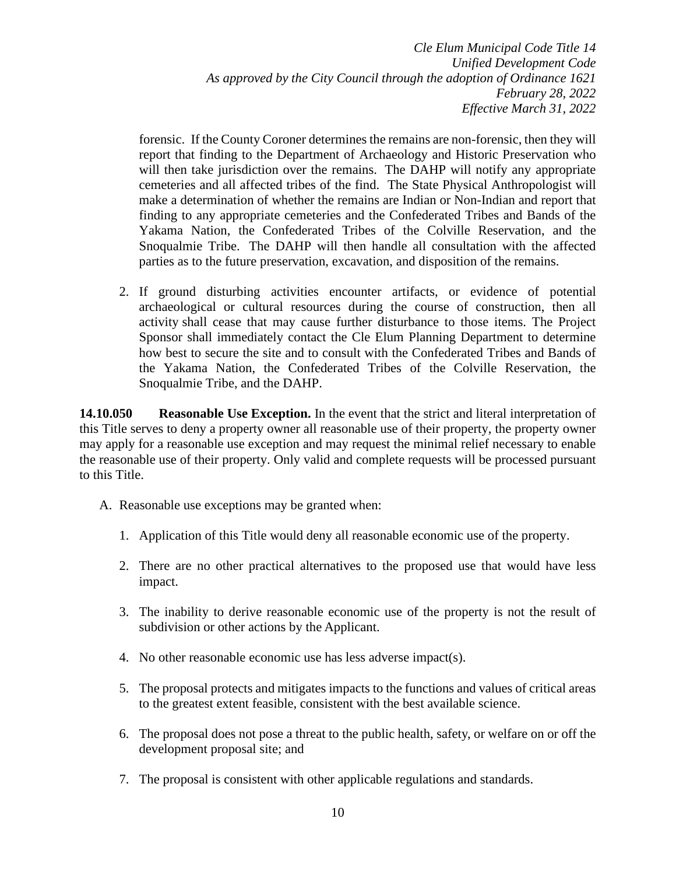forensic. If the County Coroner determines the remains are non-forensic, then they will report that finding to the Department of Archaeology and Historic Preservation who will then take jurisdiction over the remains. The DAHP will notify any appropriate cemeteries and all affected tribes of the find. The State Physical Anthropologist will make a determination of whether the remains are Indian or Non-Indian and report that finding to any appropriate cemeteries and the Confederated Tribes and Bands of the Yakama Nation, the Confederated Tribes of the Colville Reservation, and the Snoqualmie Tribe. The DAHP will then handle all consultation with the affected parties as to the future preservation, excavation, and disposition of the remains.

2. If ground disturbing activities encounter artifacts, or evidence of potential archaeological or cultural resources during the course of construction, then all activity shall cease that may cause further disturbance to those items. The Project Sponsor shall immediately contact the Cle Elum Planning Department to determine how best to secure the site and to consult with the Confederated Tribes and Bands of the Yakama Nation, the Confederated Tribes of the Colville Reservation, the Snoqualmie Tribe, and the DAHP.

**14.10.050 Reasonable Use Exception.** In the event that the strict and literal interpretation of this Title serves to deny a property owner all reasonable use of their property, the property owner may apply for a reasonable use exception and may request the minimal relief necessary to enable the reasonable use of their property. Only valid and complete requests will be processed pursuant to this Title.

- A. Reasonable use exceptions may be granted when:
	- 1. Application of this Title would deny all reasonable economic use of the property.
	- 2. There are no other practical alternatives to the proposed use that would have less impact.
	- 3. The inability to derive reasonable economic use of the property is not the result of subdivision or other actions by the Applicant.
	- 4. No other reasonable economic use has less adverse impact(s).
	- 5. The proposal protects and mitigates impacts to the functions and values of critical areas to the greatest extent feasible, consistent with the best available science.
	- 6. The proposal does not pose a threat to the public health, safety, or welfare on or off the development proposal site; and
	- 7. The proposal is consistent with other applicable regulations and standards.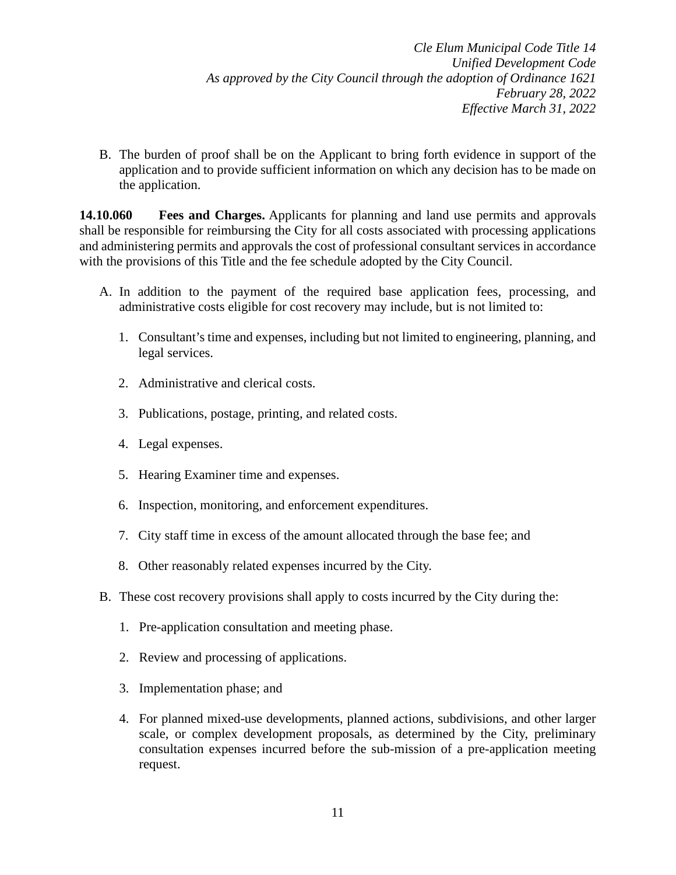B. The burden of proof shall be on the Applicant to bring forth evidence in support of the application and to provide sufficient information on which any decision has to be made on the application.

**14.10.060 Fees and Charges.** Applicants for planning and land use permits and approvals shall be responsible for reimbursing the City for all costs associated with processing applications and administering permits and approvals the cost of professional consultant services in accordance with the provisions of this Title and the fee schedule adopted by the City Council.

- A. In addition to the payment of the required base application fees, processing, and administrative costs eligible for cost recovery may include, but is not limited to:
	- 1. Consultant's time and expenses, including but not limited to engineering, planning, and legal services.
	- 2. Administrative and clerical costs.
	- 3. Publications, postage, printing, and related costs.
	- 4. Legal expenses.
	- 5. Hearing Examiner time and expenses.
	- 6. Inspection, monitoring, and enforcement expenditures.
	- 7. City staff time in excess of the amount allocated through the base fee; and
	- 8. Other reasonably related expenses incurred by the City.
- B. These cost recovery provisions shall apply to costs incurred by the City during the:
	- 1. Pre-application consultation and meeting phase.
	- 2. Review and processing of applications.
	- 3. Implementation phase; and
	- 4. For planned mixed-use developments, planned actions, subdivisions, and other larger scale, or complex development proposals, as determined by the City, preliminary consultation expenses incurred before the sub-mission of a pre-application meeting request.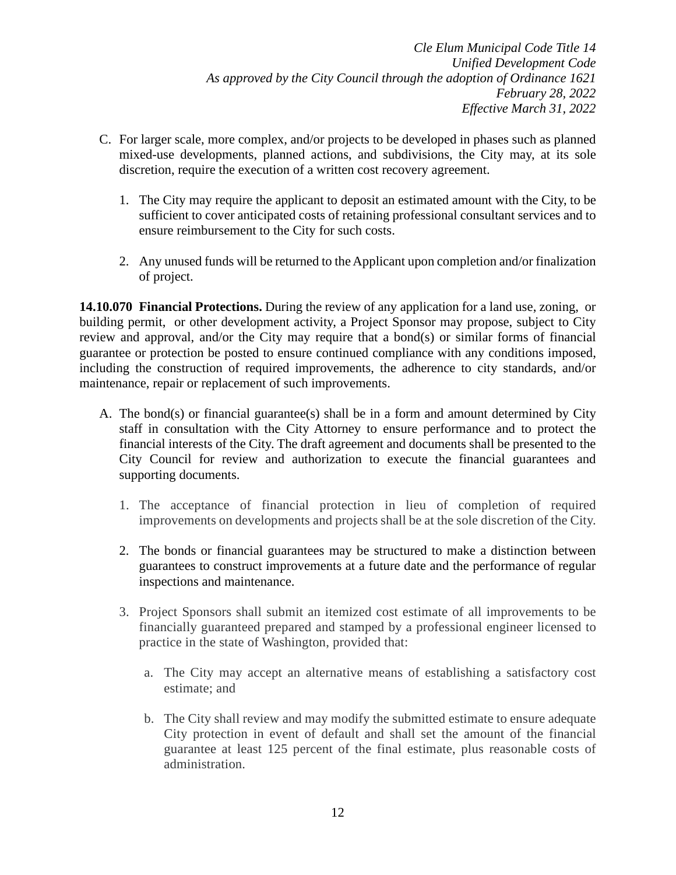- C. For larger scale, more complex, and/or projects to be developed in phases such as planned mixed-use developments, planned actions, and subdivisions, the City may, at its sole discretion, require the execution of a written cost recovery agreement.
	- 1. The City may require the applicant to deposit an estimated amount with the City, to be sufficient to cover anticipated costs of retaining professional consultant services and to ensure reimbursement to the City for such costs.
	- 2. Any unused funds will be returned to the Applicant upon completion and/or finalization of project.

**14.10.070 Financial Protections.** During the review of any application for a land use, zoning, or building permit, or other development activity, a Project Sponsor may propose, subject to City review and approval, and/or the City may require that a bond(s) or similar forms of financial guarantee or protection be posted to ensure continued compliance with any conditions imposed, including the construction of required improvements, the adherence to city standards, and/or maintenance, repair or replacement of such improvements.

- A. The bond(s) or financial guarantee(s) shall be in a form and amount determined by City staff in consultation with the City Attorney to ensure performance and to protect the financial interests of the City. The draft agreement and documents shall be presented to the City Council for review and authorization to execute the financial guarantees and supporting documents.
	- 1. The acceptance of financial protection in lieu of completion of required improvements on developments and projects shall be at the sole discretion of the City.
	- 2. The bonds or financial guarantees may be structured to make a distinction between guarantees to construct improvements at a future date and the performance of regular inspections and maintenance.
	- 3. Project Sponsors shall submit an itemized cost estimate of all improvements to be financially guaranteed prepared and stamped by a professional engineer licensed to practice in the state of Washington, provided that:
		- a. The City may accept an alternative means of establishing a satisfactory cost estimate; and
		- b. The City shall review and may modify the submitted estimate to ensure adequate City protection in event of default and shall set the amount of the financial guarantee at least 125 percent of the final estimate, plus reasonable costs of administration.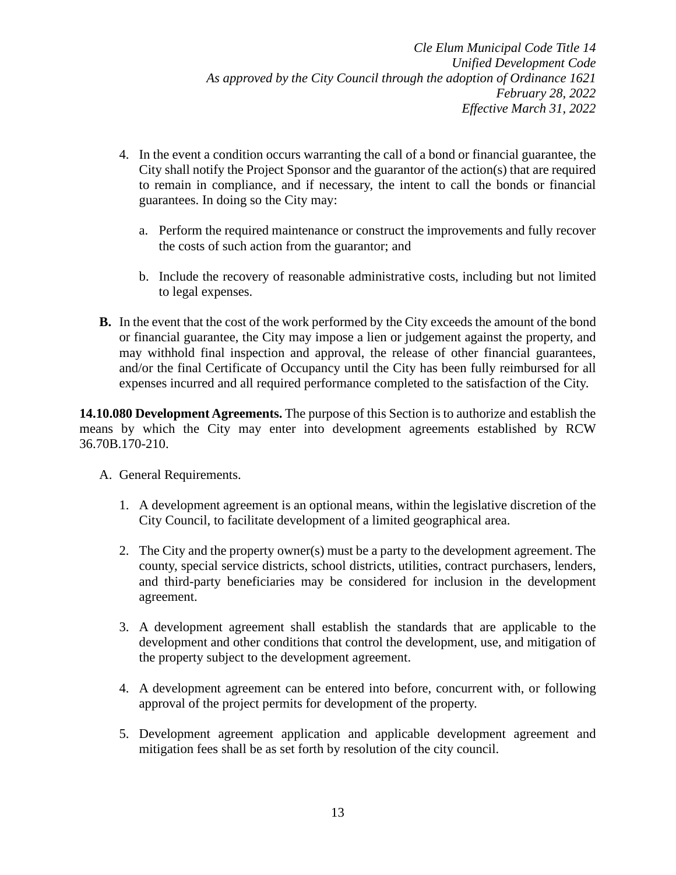- 4. In the event a condition occurs warranting the call of a bond or financial guarantee, the City shall notify the Project Sponsor and the guarantor of the action(s) that are required to remain in compliance, and if necessary, the intent to call the bonds or financial guarantees. In doing so the City may:
	- a. Perform the required maintenance or construct the improvements and fully recover the costs of such action from the guarantor; and
	- b. Include the recovery of reasonable administrative costs, including but not limited to legal expenses.
- **B.** In the event that the cost of the work performed by the City exceeds the amount of the bond or financial guarantee, the City may impose a lien or judgement against the property, and may withhold final inspection and approval, the release of other financial guarantees, and/or the final Certificate of Occupancy until the City has been fully reimbursed for all expenses incurred and all required performance completed to the satisfaction of the City.

**14.10.080 Development Agreements.** The purpose of this Section is to authorize and establish the means by which the City may enter into development agreements established by RCW [36.70B.170-210.](https://cleelum.municipal.codes/WA/RCW/36.70.170)

- A. General Requirements.
	- 1. A development agreement is an optional means, within the legislative discretion of the City Council, to facilitate development of a limited geographical area.
	- 2. The City and the property owner(s) must be a party to the development agreement. The county, special service districts, school districts, utilities, contract purchasers, lenders, and third-party beneficiaries may be considered for inclusion in the development agreement.
	- 3. A development agreement shall establish the standards that are applicable to the development and other conditions that control the development, use, and mitigation of the property subject to the development agreement.
	- 4. A development agreement can be entered into before, concurrent with, or following approval of the project permits for development of the property.
	- 5. Development agreement application and applicable development agreement and mitigation fees shall be as set forth by resolution of the city council.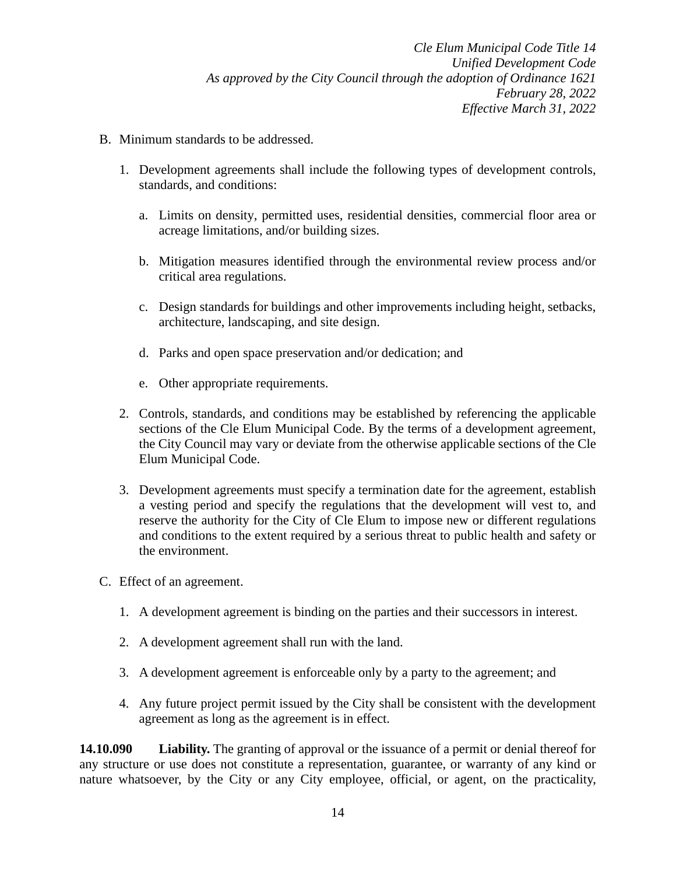- B. Minimum standards to be addressed.
	- 1. Development agreements shall include the following types of development controls, standards, and conditions:
		- a. Limits on density, permitted uses, residential densities, commercial floor area or acreage limitations, and/or building sizes.
		- b. Mitigation measures identified through the environmental review process and/or critical area regulations.
		- c. Design standards for buildings and other improvements including height, setbacks, architecture, landscaping, and site design.
		- d. Parks and open space preservation and/or dedication; and
		- e. Other appropriate requirements.
	- 2. Controls, standards, and conditions may be established by referencing the applicable sections of the Cle Elum Municipal Code. By the terms of a development agreement, the City Council may vary or deviate from the otherwise applicable sections of the Cle Elum Municipal Code.
	- 3. Development agreements must specify a termination date for the agreement, establish a vesting period and specify the regulations that the development will vest to, and reserve the authority for the City of Cle Elum to impose new or different regulations and conditions to the extent required by a serious threat to public health and safety or the environment.
- C. Effect of an agreement.
	- 1. A development agreement is binding on the parties and their successors in interest.
	- 2. A development agreement shall run with the land.
	- 3. A development agreement is enforceable only by a party to the agreement; and
	- 4. Any future project permit issued by the City shall be consistent with the development agreement as long as the agreement is in effect.

**14.10.090 Liability.** The granting of approval or the issuance of a permit or denial thereof for any structure or use does not constitute a representation, guarantee, or warranty of any kind or nature whatsoever, by the City or any City employee, official, or agent, on the practicality,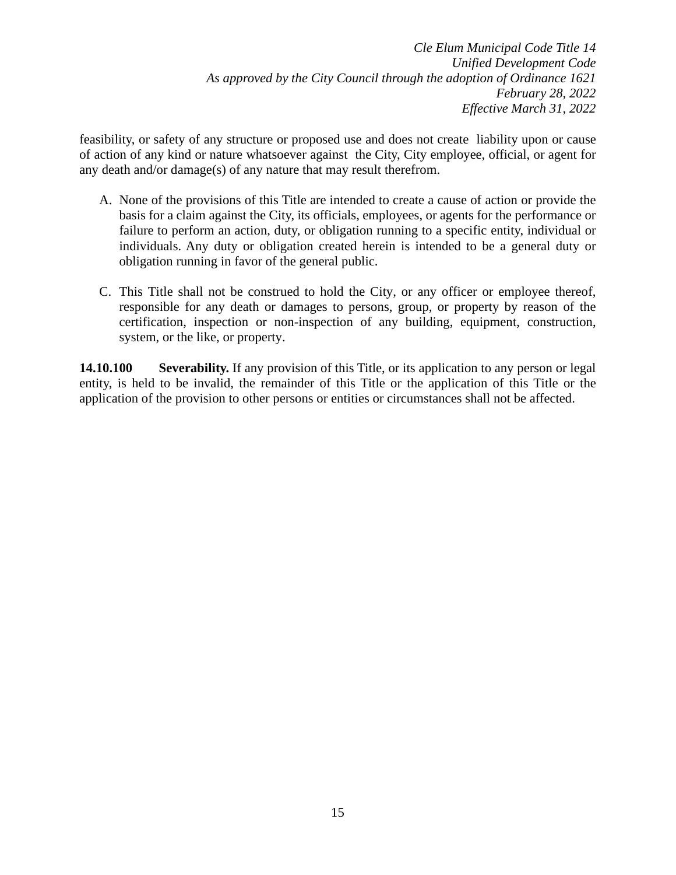feasibility, or safety of any structure or proposed use and does not create liability upon or cause of action of any kind or nature whatsoever against the City, City employee, official, or agent for any death and/or damage(s) of any nature that may result therefrom.

- A. None of the provisions of this Title are intended to create a cause of action or provide the basis for a claim against the City, its officials, employees, or agents for the performance or failure to perform an action, duty, or obligation running to a specific entity, individual or individuals. Any duty or obligation created herein is intended to be a general duty or obligation running in favor of the general public.
- C. This Title shall not be construed to hold the City, or any officer or employee thereof, responsible for any death or damages to persons, group, or property by reason of the certification, inspection or non-inspection of any building, equipment, construction, system, or the like, or property.

**14.10.100 Severability.** If any provision of this Title, or its application to any person or legal entity, is held to be invalid, the remainder of this Title or the application of this Title or the application of the provision to other persons or entities or circumstances shall not be affected.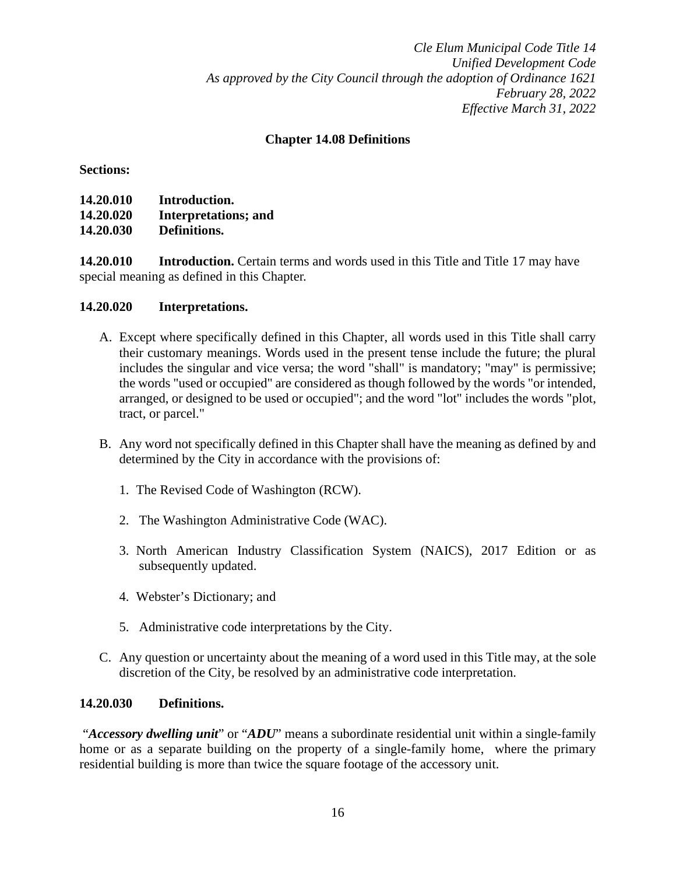## **Chapter 14.08 Definitions**

### **Sections:**

| 14.20.010 | Introduction.               |
|-----------|-----------------------------|
| 14.20.020 | <b>Interpretations; and</b> |
| 14.20.030 | Definitions.                |

**14.20.010 Introduction.** Certain terms and words used in this Title and Title 17 may have special meaning as defined in this Chapter.

## **14.20.020 Interpretations.**

- A. Except where specifically defined in this Chapter, all words used in this Title shall carry their customary meanings. Words used in the present tense include the future; the plural includes the singular and vice versa; the word "shall" is mandatory; "may" is permissive; the words "used or occupied" are considered as though followed by the words "or intended, arranged, or designed to be used or occupied"; and the word "lot" includes the words "plot, tract, or parcel."
- B. Any word not specifically defined in this Chapter shall have the meaning as defined by and determined by the City in accordance with the provisions of:
	- 1. The Revised Code of Washington (RCW).
	- 2. The Washington Administrative Code (WAC).
	- 3. North American Industry Classification System (NAICS), 2017 Edition or as subsequently updated.
	- 4. Webster's Dictionary; and
	- 5. Administrative code interpretations by the City.
- C. Any question or uncertainty about the meaning of a word used in this Title may, at the sole discretion of the City, be resolved by an administrative code interpretation.

### **14.20.030 Definitions.**

"*Accessory dwelling unit*" or "*ADU*" means a subordinate residential unit within a single-family home or as a separate building on the property of a single-family home, where the primary residential building is more than twice the square footage of the accessory unit.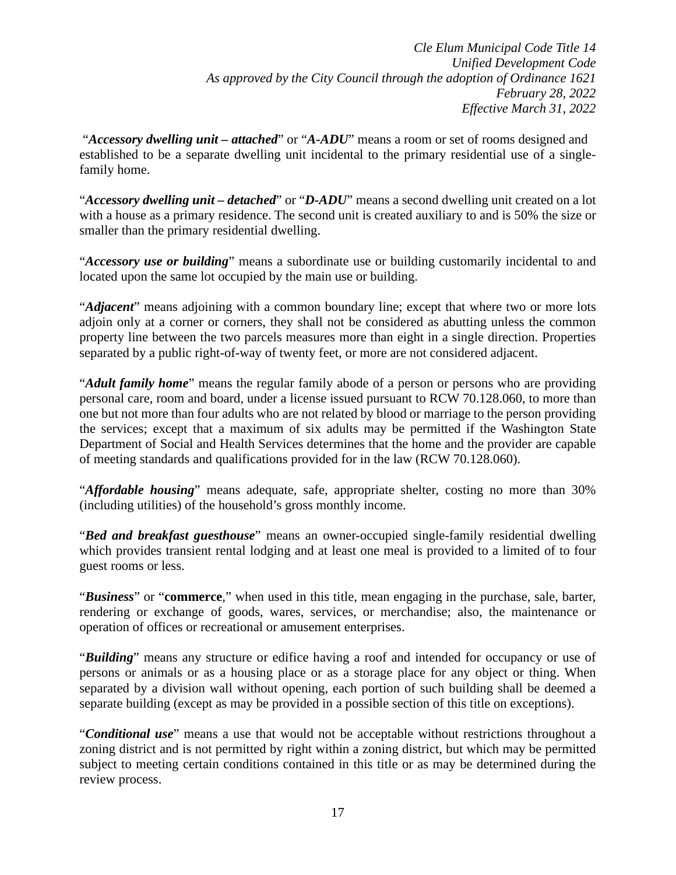"*Accessory dwelling unit – attached*" or "*A-ADU*" means a room or set of rooms designed and established to be a separate dwelling unit incidental to the primary residential use of a singlefamily home.

"*Accessory dwelling unit – detached*" or "*D-ADU*" means a second dwelling unit created on a lot with a house as a primary residence. The second unit is created auxiliary to and is 50% the size or smaller than the primary residential dwelling.

"*Accessory use or building*" means a subordinate use or building customarily incidental to and located upon the same lot occupied by the main use or building.

"*Adjacent*" means adjoining with a common boundary line; except that where two or more lots adjoin only at a corner or corners, they shall not be considered as abutting unless the common property line between the two parcels measures more than eight in a single direction. Properties separated by a public right-of-way of twenty feet, or more are not considered adjacent.

"*Adult family home*" means the regular family abode of a person or persons who are providing personal care, room and board, under a license issued pursuant to RCW [70.128.060,](https://cleelum.municipal.codes/WA/RCW/70.128.060) to more than one but not more than four adults who are not related by blood or marriage to the person providing the services; except that a maximum of six adults may be permitted if the Washington State Department of Social and Health Services determines that the home and the provider are capable of meeting standards and qualifications provided for in the law (RCW [70.128.060\)](https://cleelum.municipal.codes/WA/RCW/70.128.060).

"*Affordable housing*" means adequate, safe, appropriate shelter, costing no more than 30% (including utilities) of the household's gross monthly income.

"*Bed and breakfast guesthouse*" means an owner-occupied single-family residential dwelling which provides transient rental lodging and at least one meal is provided to a limited of to four guest rooms or less.

"*Business*" or "**commerce**," when used in this title, mean engaging in the purchase, sale, barter, rendering or exchange of goods, wares, services, or merchandise; also, the maintenance or operation of offices or recreational or amusement enterprises.

"*Building*" means any structure or edifice having a roof and intended for occupancy or use of persons or animals or as a housing place or as a storage place for any object or thing. When separated by a division wall without opening, each portion of such building shall be deemed a separate building (except as may be provided in a possible section of this title on exceptions).

"*Conditional use*" means a use that would not be acceptable without restrictions throughout a zoning district and is not permitted by right within a zoning district, but which may be permitted subject to meeting certain conditions contained in this title or as may be determined during the review process.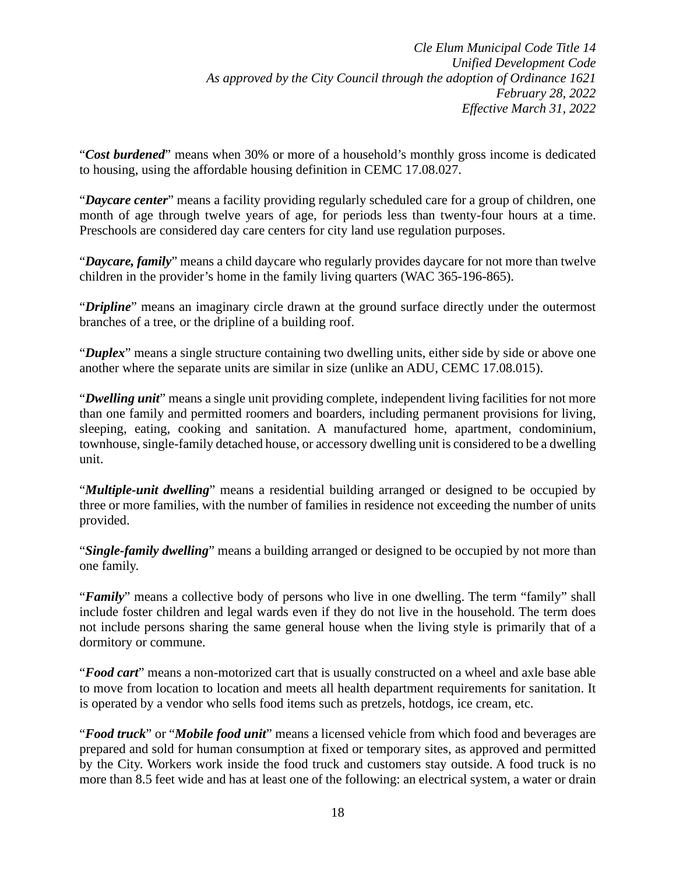"*Cost burdened*" means when 30% or more of a household's monthly gross income is dedicated to housing, using the affordable housing definition in CEMC 17.08.027.

"*Daycare center*" means a facility providing regularly scheduled care for a group of children, one month of age through twelve years of age, for periods less than twenty-four hours at a time. Preschools are considered day care centers for city land use regulation purposes.

"*Daycare, family*" means a child daycare who regularly provides daycare for not more than twelve children in the provider's home in the family living quarters (WAC 365-196-865).

"*Dripline*" means an imaginary circle drawn at the ground surface directly under the outermost branches of a tree, or the dripline of a building roof.

"*Duplex*" means a single structure containing two dwelling units, either side by side or above one another where the separate units are similar in size (unlike an ADU, CEMC 17.08.015).

"*Dwelling unit*" means a single unit providing complete, independent living facilities for not more than one family and permitted roomers and boarders, including permanent provisions for living, sleeping, eating, cooking and sanitation. A manufactured home, apartment, condominium, townhouse, single-family detached house, or accessory dwelling unit is considered to be a dwelling unit.

"*Multiple-unit dwelling*" means a residential building arranged or designed to be occupied by three or more families, with the number of families in residence not exceeding the number of units provided.

"*Single-family dwelling*" means a building arranged or designed to be occupied by not more than one family.

"*Family*" means a collective body of persons who live in one dwelling. The term "family" shall include foster children and legal wards even if they do not live in the household. The term does not include persons sharing the same general house when the living style is primarily that of a dormitory or commune.

"*Food cart*" means a non-motorized cart that is usually constructed on a wheel and axle base able to move from location to location and meets all health department requirements for sanitation. It is operated by a vendor who sells food items such as pretzels, hotdogs, ice cream, etc.

"*Food truck*" or "*Mobile food unit*" means a licensed vehicle from which food and beverages are prepared and sold for human consumption at fixed or temporary sites, as approved and permitted by the City. Workers work inside the food truck and customers stay outside. A food truck is no more than 8.5 feet wide and has at least one of the following: an electrical system, a water or drain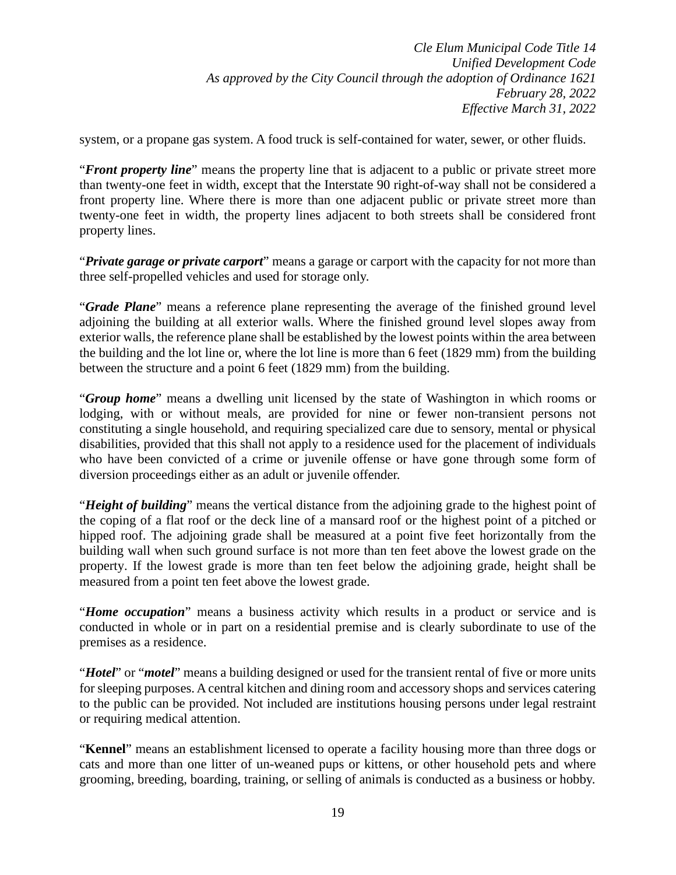system, or a propane gas system. A food truck is self-contained for water, sewer, or other fluids.

"*Front property line*" means the property line that is adjacent to a public or private street more than twenty-one feet in width, except that the Interstate 90 right-of-way shall not be considered a front property line. Where there is more than one adjacent public or private street more than twenty-one feet in width, the property lines adjacent to both streets shall be considered front property lines.

"*Private garage or private carport*" means a garage or carport with the capacity for not more than three self-propelled vehicles and used for storage only.

"*Grade Plane*" means a reference plane representing the average of the finished ground level adjoining the building at all exterior walls. Where the finished ground level slopes away from exterior walls, the reference plane shall be established by the lowest points within the area between the building and the lot line or, where the lot line is more than 6 feet (1829 mm) from the building between the structure and a point 6 feet (1829 mm) from the building.

"*Group home*" means a dwelling unit licensed by the state of Washington in which rooms or lodging, with or without meals, are provided for nine or fewer non-transient persons not constituting a single household, and requiring specialized care due to sensory, mental or physical disabilities, provided that this shall not apply to a residence used for the placement of individuals who have been convicted of a crime or juvenile offense or have gone through some form of diversion proceedings either as an adult or juvenile offender.

"*Height of building*" means the vertical distance from the adjoining grade to the highest point of the coping of a flat roof or the deck line of a mansard roof or the highest point of a pitched or hipped roof. The adjoining grade shall be measured at a point five feet horizontally from the building wall when such ground surface is not more than ten feet above the lowest grade on the property. If the lowest grade is more than ten feet below the adjoining grade, height shall be measured from a point ten feet above the lowest grade.

"*Home occupation*" means a business activity which results in a product or service and is conducted in whole or in part on a residential premise and is clearly subordinate to use of the premises as a residence.

"*Hotel*" or "*motel*" means a building designed or used for the transient rental of five or more units for sleeping purposes. A central kitchen and dining room and accessory shops and services catering to the public can be provided. Not included are institutions housing persons under legal restraint or requiring medical attention.

"**Kennel**" means an establishment licensed to operate a facility housing more than three dogs or cats and more than one litter of un-weaned pups or kittens, or other household pets and where grooming, breeding, boarding, training, or selling of animals is conducted as a business or hobby.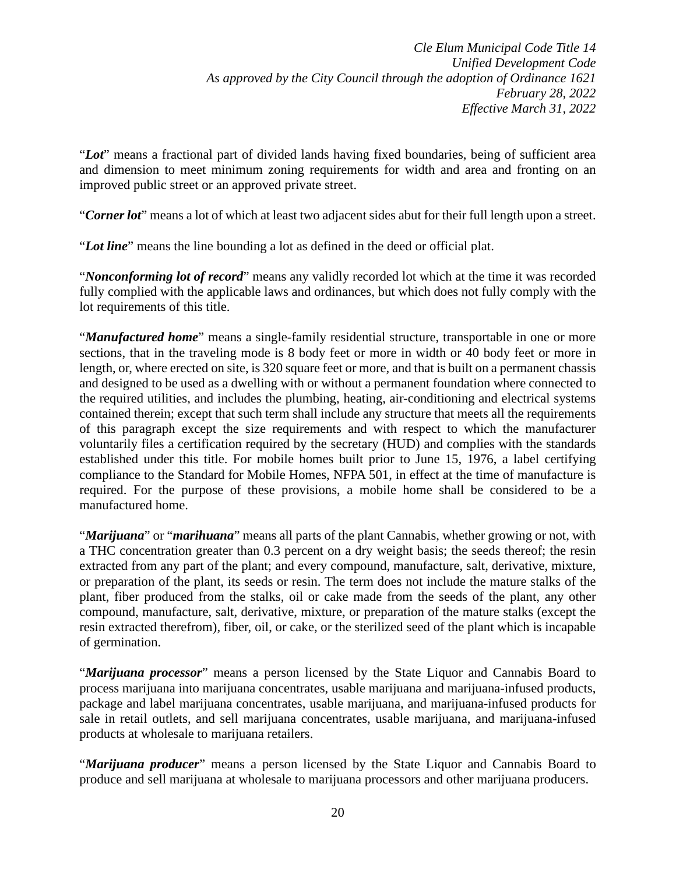"*Lot*" means a fractional part of divided lands having fixed boundaries, being of sufficient area and dimension to meet minimum zoning requirements for width and area and fronting on an improved public street or an approved private street.

"*Corner lot*" means a lot of which at least two adjacent sides abut for their full length upon a street.

"*Lot line*" means the line bounding a lot as defined in the deed or official plat.

"*Nonconforming lot of record*" means any validly recorded lot which at the time it was recorded fully complied with the applicable laws and ordinances, but which does not fully comply with the lot requirements of this title.

"*Manufactured home*" means a single-family residential structure, transportable in one or more sections, that in the traveling mode is 8 body feet or more in width or 40 body feet or more in length, or, where erected on site, is 320 square feet or more, and that is built on a permanent chassis and designed to be used as a dwelling with or without a permanent foundation where connected to the required utilities, and includes the plumbing, heating, air-conditioning and electrical systems contained therein; except that such term shall include any structure that meets all the requirements of this paragraph except the size requirements and with respect to which the manufacturer voluntarily files a certification required by the secretary (HUD) and complies with the standards established under this title. For mobile homes built prior to June 15, 1976, a label certifying compliance to the Standard for Mobile Homes, NFPA 501, in effect at the time of manufacture is required. For the purpose of these provisions, a mobile home shall be considered to be a manufactured home.

"*Marijuana*" or "*marihuana*" means all parts of the plant Cannabis, whether growing or not, with a THC concentration greater than 0.3 percent on a dry weight basis; the seeds thereof; the resin extracted from any part of the plant; and every compound, manufacture, salt, derivative, mixture, or preparation of the plant, its seeds or resin. The term does not include the mature stalks of the plant, fiber produced from the stalks, oil or cake made from the seeds of the plant, any other compound, manufacture, salt, derivative, mixture, or preparation of the mature stalks (except the resin extracted therefrom), fiber, oil, or cake, or the sterilized seed of the plant which is incapable of germination.

"*Marijuana processor*" means a person licensed by the State Liquor and Cannabis Board to process marijuana into marijuana concentrates, usable marijuana and marijuana-infused products, package and label marijuana concentrates, usable marijuana, and marijuana-infused products for sale in retail outlets, and sell marijuana concentrates, usable marijuana, and marijuana-infused products at wholesale to marijuana retailers.

"*Marijuana producer*" means a person licensed by the State Liquor and Cannabis Board to produce and sell marijuana at wholesale to marijuana processors and other marijuana producers.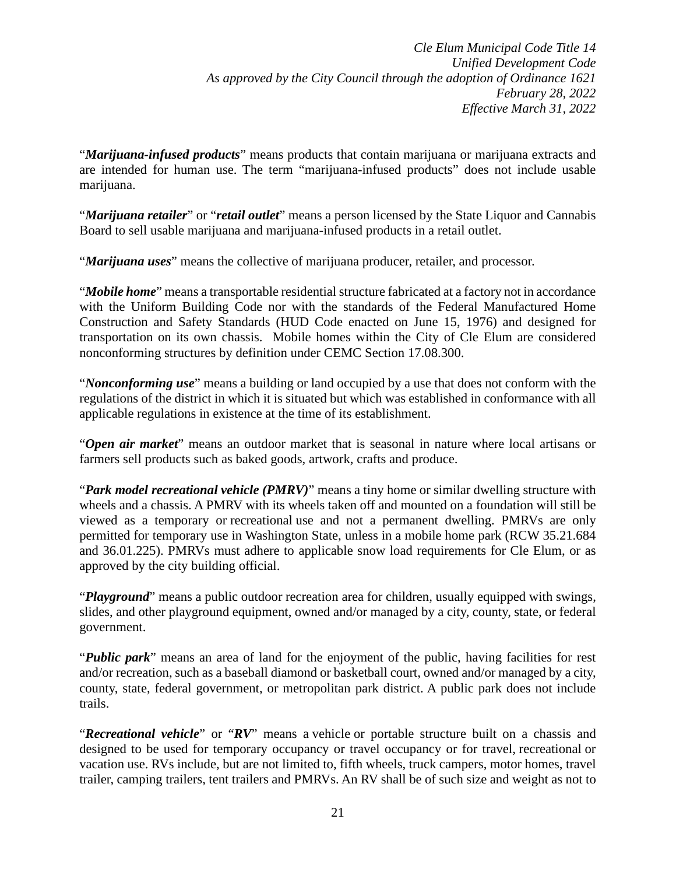"*Marijuana-infused products*" means products that contain marijuana or marijuana extracts and are intended for human use. The term "marijuana-infused products" does not include usable marijuana.

"*Marijuana retailer*" or "*retail outlet*" means a person licensed by the State Liquor and Cannabis Board to sell usable marijuana and marijuana-infused products in a retail outlet.

"*Marijuana uses*" means the collective of marijuana producer, retailer, and processor.

"*Mobile home*" means a transportable residential structure fabricated at a factory not in accordance with the Uniform Building Code nor with the standards of the Federal Manufactured Home Construction and Safety Standards (HUD Code enacted on June 15, 1976) and designed for transportation on its own chassis. Mobile homes within the City of Cle Elum are considered nonconforming structures by definition under CEMC Section [17.08.300.](https://cleelum.municipal.codes/CEMC/17.08.300)

"*Nonconforming use*" means a building or land occupied by a use that does not conform with the regulations of the district in which it is situated but which was established in conformance with all applicable regulations in existence at the time of its establishment.

"*Open air market*" means an outdoor market that is seasonal in nature where local artisans or farmers sell products such as baked goods, artwork, crafts and produce.

"*Park model recreational vehicle (PMRV)*" means a tiny home or similar dwelling structure with wheels and a chassis. A PMRV with its wheels taken off and mounted on a foundation will still be viewed as a temporary or recreational use and not a permanent dwelling. PMRVs are only permitted for temporary use in Washington State, unless in a mobile home park (RCW 35.21.684 and 36.01.225). PMRVs must adhere to applicable snow load requirements for Cle Elum, or as approved by the city building official.

"*Playground*" means a public outdoor recreation area for children, usually equipped with swings, slides, and other playground equipment, owned and/or managed by a city, county, state, or federal government.

"*Public park*" means an area of land for the enjoyment of the public, having facilities for rest and/or recreation, such as a baseball diamond or basketball court, owned and/or managed by a city, county, state, federal government, or metropolitan park district. A public park does not include trails.

"*Recreational vehicle*" or "*RV*" means a vehicle or portable structure built on a chassis and designed to be used for temporary occupancy or travel occupancy or for travel, recreational or vacation use. RVs include, but are not limited to, fifth wheels, truck campers, motor homes, travel trailer, camping trailers, tent trailers and PMRVs. An RV shall be of such size and weight as not to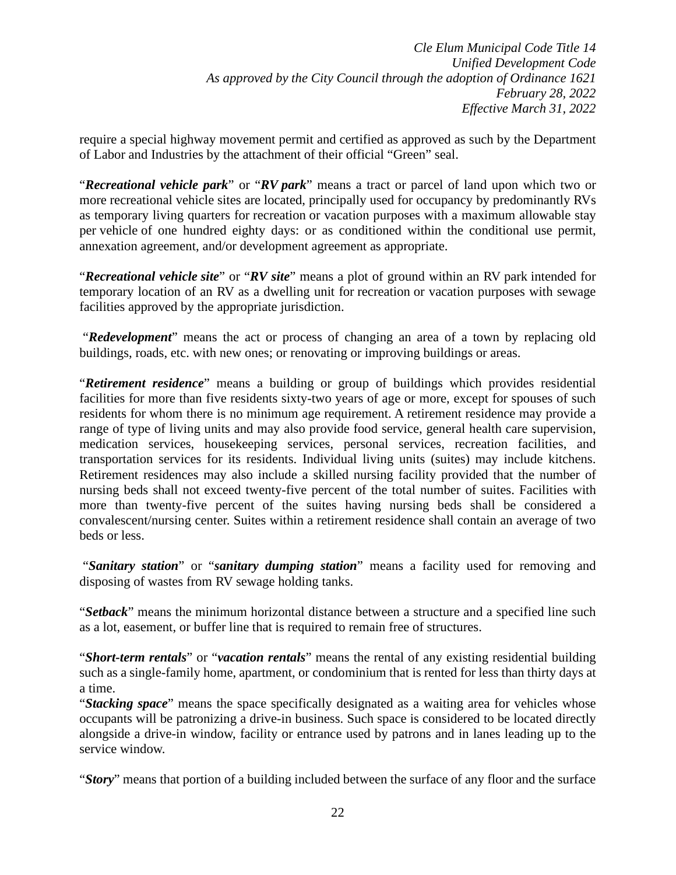require a special highway movement permit and certified as approved as such by the Department of Labor and Industries by the attachment of their official "Green" seal.

"*Recreational vehicle park*" or "*RV park*" means a tract or parcel of land upon which two or more recreational vehicle sites are located, principally used for occupancy by predominantly RVs as temporary living quarters for recreation or vacation purposes with a maximum allowable stay per vehicle of one hundred eighty days: or as conditioned within the conditional use permit, annexation agreement, and/or development agreement as appropriate.

"*Recreational vehicle site*" or "*RV site*" means a plot of ground within an RV park intended for temporary location of an RV as a dwelling unit for recreation or vacation purposes with sewage facilities approved by the appropriate jurisdiction.

"*Redevelopment*" means the act or process of changing an area of a town by replacing old buildings, roads, etc. with new ones; or renovating or improving buildings or areas.

"*Retirement residence*" means a building or group of buildings which provides residential facilities for more than five residents sixty-two years of age or more, except for spouses of such residents for whom there is no minimum age requirement. A retirement residence may provide a range of type of living units and may also provide food service, general health care supervision, medication services, housekeeping services, personal services, recreation facilities, and transportation services for its residents. Individual living units (suites) may include kitchens. Retirement residences may also include a skilled nursing facility provided that the number of nursing beds shall not exceed twenty-five percent of the total number of suites. Facilities with more than twenty-five percent of the suites having nursing beds shall be considered a convalescent/nursing center. Suites within a retirement residence shall contain an average of two beds or less.

"*Sanitary station*" or "*sanitary dumping station*" means a facility used for removing and disposing of wastes from RV sewage holding tanks.

"*Setback*" means the minimum horizontal distance between a structure and a specified line such as a lot, easement, or buffer line that is required to remain free of structures.

"*Short-term rentals*" or "*vacation rentals*" means the rental of any existing residential building such as a single-family home, apartment, or condominium that is rented for less than thirty days at a time.

"*Stacking space*" means the space specifically designated as a waiting area for vehicles whose occupants will be patronizing a drive-in business. Such space is considered to be located directly alongside a drive-in window, facility or entrance used by patrons and in lanes leading up to the service window.

"*Story*" means that portion of a building included between the surface of any floor and the surface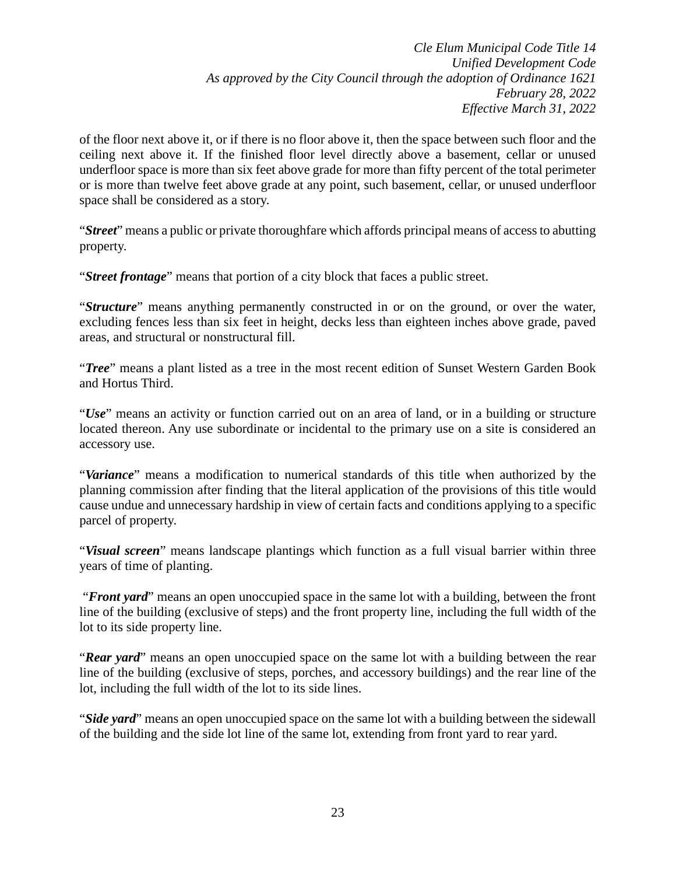of the floor next above it, or if there is no floor above it, then the space between such floor and the ceiling next above it. If the finished floor level directly above a basement, cellar or unused underfloor space is more than six feet above grade for more than fifty percent of the total perimeter or is more than twelve feet above grade at any point, such basement, cellar, or unused underfloor space shall be considered as a story.

"*Street*" means a public or private thoroughfare which affords principal means of access to abutting property.

"*Street frontage*" means that portion of a city block that faces a public street.

"*Structure*" means anything permanently constructed in or on the ground, or over the water, excluding fences less than six feet in height, decks less than eighteen inches above grade, paved areas, and structural or nonstructural fill.

"*Tree*" means a plant listed as a tree in the most recent edition of Sunset Western Garden Book and Hortus Third.

"*Use*" means an activity or function carried out on an area of land, or in a building or structure located thereon. Any use subordinate or incidental to the primary use on a site is considered an accessory use.

"*Variance*" means a modification to numerical standards of this title when authorized by the planning commission after finding that the literal application of the provisions of this title would cause undue and unnecessary hardship in view of certain facts and conditions applying to a specific parcel of property.

"*Visual screen*" means landscape plantings which function as a full visual barrier within three years of time of planting.

"*Front yard*" means an open unoccupied space in the same lot with a building, between the front line of the building (exclusive of steps) and the front property line, including the full width of the lot to its side property line.

"*Rear yard*" means an open unoccupied space on the same lot with a building between the rear line of the building (exclusive of steps, porches, and accessory buildings) and the rear line of the lot, including the full width of the lot to its side lines.

"*Side yard*" means an open unoccupied space on the same lot with a building between the sidewall of the building and the side lot line of the same lot, extending from front yard to rear yard.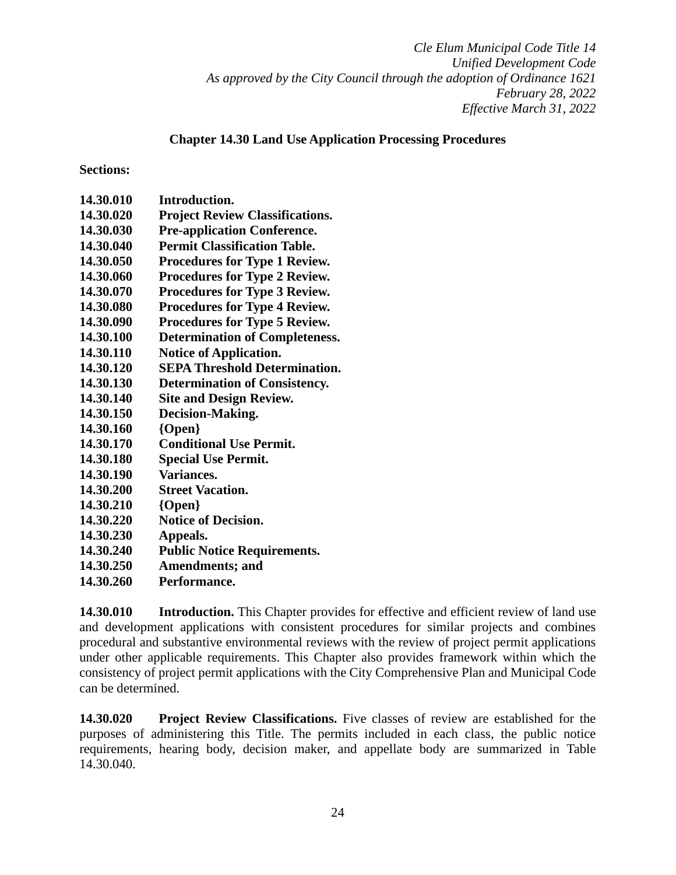## **Chapter 14.30 Land Use Application Processing Procedures**

### **Sections:**

| 14.30.010 | Introduction.                          |
|-----------|----------------------------------------|
| 14.30.020 | <b>Project Review Classifications.</b> |
| 14.30.030 | <b>Pre-application Conference.</b>     |
| 14.30.040 | <b>Permit Classification Table.</b>    |
| 14.30.050 | <b>Procedures for Type 1 Review.</b>   |
| 14.30.060 | <b>Procedures for Type 2 Review.</b>   |
| 14.30.070 | <b>Procedures for Type 3 Review.</b>   |
| 14.30.080 | <b>Procedures for Type 4 Review.</b>   |
| 14.30.090 | <b>Procedures for Type 5 Review.</b>   |
| 14.30.100 | <b>Determination of Completeness.</b>  |
| 14.30.110 | <b>Notice of Application.</b>          |
| 14.30.120 | <b>SEPA Threshold Determination.</b>   |
| 14.30.130 | <b>Determination of Consistency.</b>   |
| 14.30.140 | <b>Site and Design Review.</b>         |
| 14.30.150 | Decision-Making.                       |
| 14.30.160 | ${Open}$                               |
| 14.30.170 | <b>Conditional Use Permit.</b>         |
| 14.30.180 | <b>Special Use Permit.</b>             |
| 14.30.190 | Variances.                             |
| 14.30.200 | <b>Street Vacation.</b>                |
| 14.30.210 | $\{Open\}$                             |
| 14.30.220 | <b>Notice of Decision.</b>             |
| 14.30.230 | Appeals.                               |
| 14.30.240 | <b>Public Notice Requirements.</b>     |
| 14.30.250 | <b>Amendments; and</b>                 |

**14.30.260 Performance.** 

**14.30.010 Introduction.** This Chapter provides for effective and efficient review of land use and development applications with consistent procedures for similar projects and combines procedural and substantive environmental reviews with the review of project permit applications under other applicable requirements. This Chapter also provides framework within which the consistency of project permit applications with the City Comprehensive Plan and Municipal Code can be determined.

**14.30.020 Project Review Classifications.** Five classes of review are established for the purposes of administering this Title. The permits included in each class, the public notice requirements, hearing body, decision maker, and appellate body are summarized in Table 14.30.040.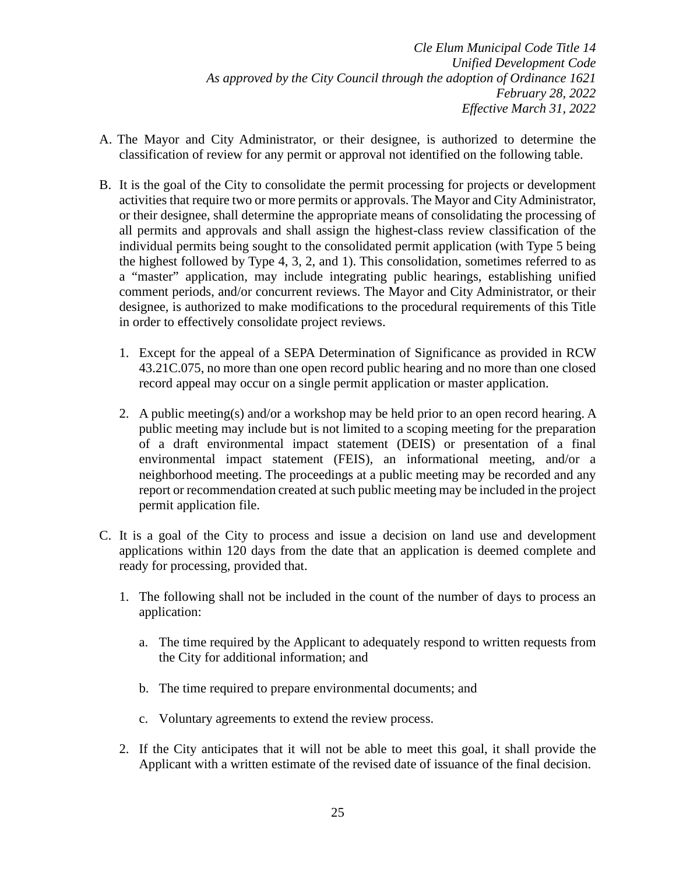- A. The Mayor and City Administrator, or their designee, is authorized to determine the classification of review for any permit or approval not identified on the following table.
- B. It is the goal of the City to consolidate the permit processing for projects or development activities that require two or more permits or approvals. The Mayor and City Administrator, or their designee, shall determine the appropriate means of consolidating the processing of all permits and approvals and shall assign the highest-class review classification of the individual permits being sought to the consolidated permit application (with Type 5 being the highest followed by Type 4, 3, 2, and 1). This consolidation, sometimes referred to as a "master" application, may include integrating public hearings, establishing unified comment periods, and/or concurrent reviews. The Mayor and City Administrator, or their designee, is authorized to make modifications to the procedural requirements of this Title in order to effectively consolidate project reviews.
	- 1. Except for the appeal of a SEPA Determination of Significance as provided in RCW 43.21C.075, no more than one open record public hearing and no more than one closed record appeal may occur on a single permit application or master application.
	- 2. A public meeting(s) and/or a workshop may be held prior to an open record hearing. A public meeting may include but is not limited to a scoping meeting for the preparation of a draft environmental impact statement (DEIS) or presentation of a final environmental impact statement (FEIS), an informational meeting, and/or a neighborhood meeting. The proceedings at a public meeting may be recorded and any report or recommendation created at such public meeting may be included in the project permit application file.
- C. It is a goal of the City to process and issue a decision on land use and development applications within 120 days from the date that an application is deemed complete and ready for processing, provided that.
	- 1. The following shall not be included in the count of the number of days to process an application:
		- a. The time required by the Applicant to adequately respond to written requests from the City for additional information; and
		- b. The time required to prepare environmental documents; and
		- c. Voluntary agreements to extend the review process.
	- 2. If the City anticipates that it will not be able to meet this goal, it shall provide the Applicant with a written estimate of the revised date of issuance of the final decision.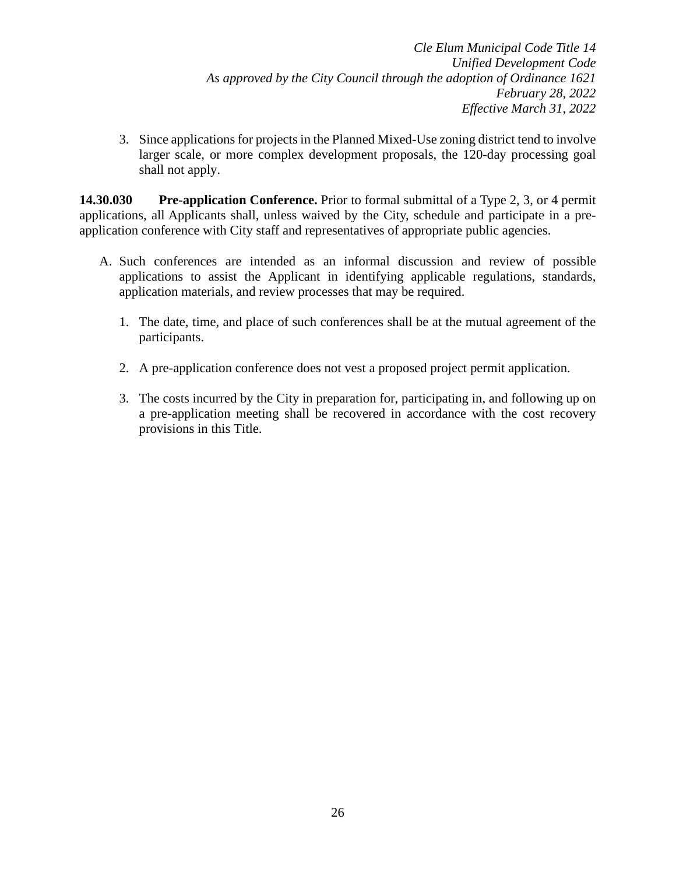3. Since applications for projects in the Planned Mixed-Use zoning district tend to involve larger scale, or more complex development proposals, the 120-day processing goal shall not apply.

**14.30.030 Pre-application Conference.** Prior to formal submittal of a Type 2, 3, or 4 permit applications, all Applicants shall, unless waived by the City, schedule and participate in a preapplication conference with City staff and representatives of appropriate public agencies.

- A. Such conferences are intended as an informal discussion and review of possible applications to assist the Applicant in identifying applicable regulations, standards, application materials, and review processes that may be required.
	- 1. The date, time, and place of such conferences shall be at the mutual agreement of the participants.
	- 2. A pre-application conference does not vest a proposed project permit application.
	- 3. The costs incurred by the City in preparation for, participating in, and following up on a pre-application meeting shall be recovered in accordance with the cost recovery provisions in this Title.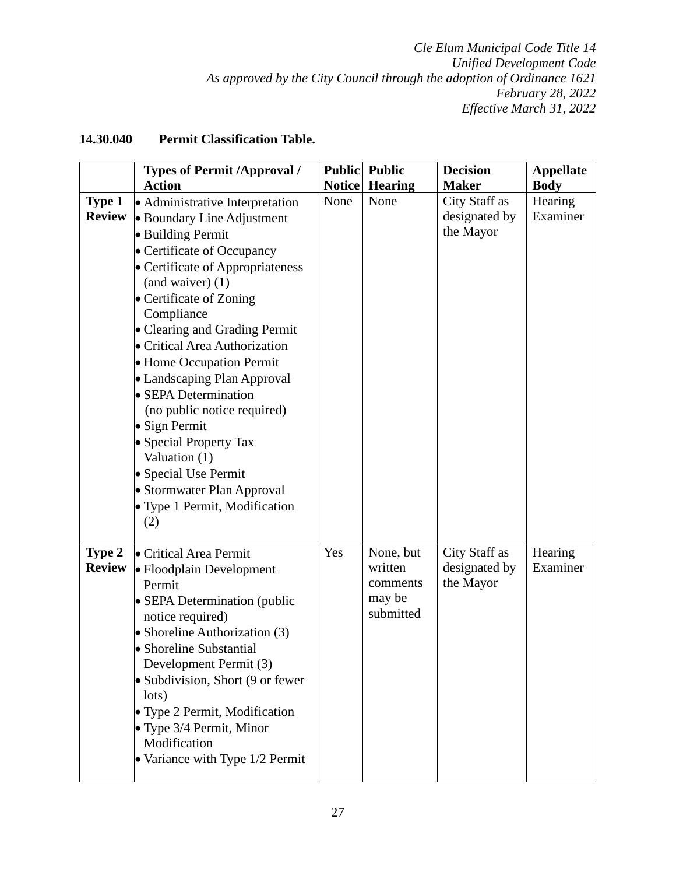# **14.30.040 Permit Classification Table.**

|                                | <b>Types of Permit /Approval /</b>                                                                                                                                                                                                                                                                                                                                                                                                                                                                                                                                              |               | <b>Public</b> Public                                    | <b>Decision</b>                             | <b>Appellate</b>    |
|--------------------------------|---------------------------------------------------------------------------------------------------------------------------------------------------------------------------------------------------------------------------------------------------------------------------------------------------------------------------------------------------------------------------------------------------------------------------------------------------------------------------------------------------------------------------------------------------------------------------------|---------------|---------------------------------------------------------|---------------------------------------------|---------------------|
|                                | <b>Action</b>                                                                                                                                                                                                                                                                                                                                                                                                                                                                                                                                                                   | <b>Notice</b> | <b>Hearing</b>                                          | <b>Maker</b>                                | <b>Body</b>         |
| <b>Type 1</b><br><b>Review</b> | • Administrative Interpretation<br>• Boundary Line Adjustment<br>• Building Permit<br>• Certificate of Occupancy<br>• Certificate of Appropriateness<br>$($ and waiver $)$ $(1)$<br>• Certificate of Zoning<br>Compliance<br>• Clearing and Grading Permit<br>• Critical Area Authorization<br>• Home Occupation Permit<br>• Landscaping Plan Approval<br>• SEPA Determination<br>(no public notice required)<br>$\bullet$ Sign Permit<br>• Special Property Tax<br>Valuation (1)<br>• Special Use Permit<br>• Stormwater Plan Approval<br>• Type 1 Permit, Modification<br>(2) | None          | None                                                    | City Staff as<br>designated by<br>the Mayor | Hearing<br>Examiner |
| Type 2<br><b>Review</b>        | • Critical Area Permit<br>• Floodplain Development<br>Permit<br>• SEPA Determination (public<br>notice required)<br>• Shoreline Authorization (3)<br>• Shoreline Substantial<br>Development Permit (3)<br>• Subdivision, Short (9 or fewer<br>lots)<br>• Type 2 Permit, Modification<br>• Type 3/4 Permit, Minor<br>Modification<br>• Variance with Type 1/2 Permit                                                                                                                                                                                                             | Yes           | None, but<br>written<br>comments<br>may be<br>submitted | City Staff as<br>designated by<br>the Mayor | Hearing<br>Examiner |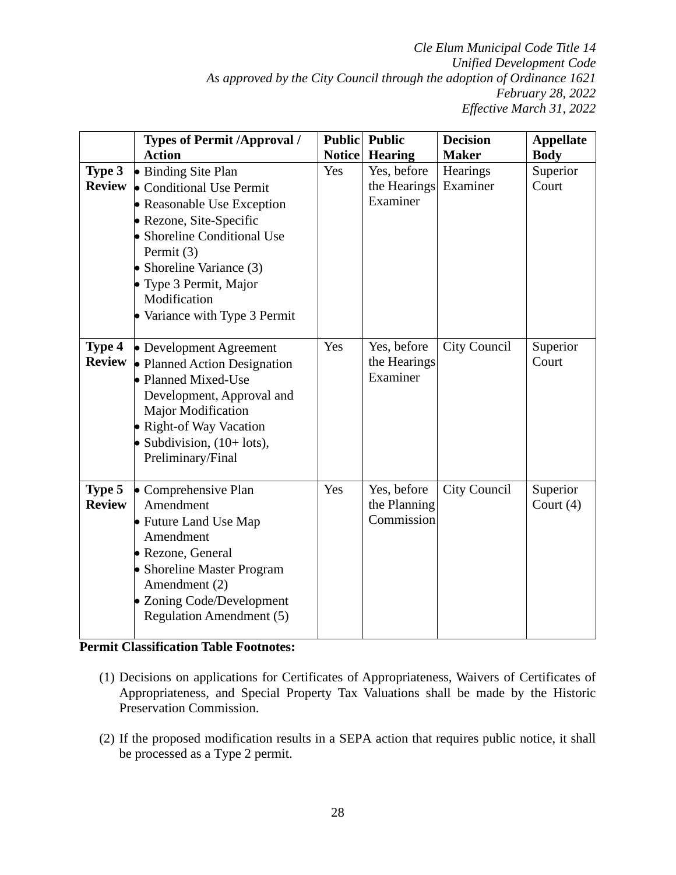|               | <b>Types of Permit /Approval /</b><br><b>Action</b> |     | <b>Public</b> Public | <b>Decision</b><br><b>Maker</b> | <b>Appellate</b> |
|---------------|-----------------------------------------------------|-----|----------------------|---------------------------------|------------------|
|               |                                                     |     | Notice Hearing       |                                 | <b>Body</b>      |
| Type 3        | • Binding Site Plan                                 | Yes | Yes, before          | Hearings                        | Superior         |
| <b>Review</b> | • Conditional Use Permit                            |     | the Hearings         | Examiner                        | Court            |
|               | • Reasonable Use Exception                          |     | Examiner             |                                 |                  |
|               | • Rezone, Site-Specific                             |     |                      |                                 |                  |
|               | • Shoreline Conditional Use                         |     |                      |                                 |                  |
|               | Permit (3)                                          |     |                      |                                 |                  |
|               | • Shoreline Variance (3)                            |     |                      |                                 |                  |
|               | • Type 3 Permit, Major                              |     |                      |                                 |                  |
|               | Modification                                        |     |                      |                                 |                  |
|               | • Variance with Type 3 Permit                       |     |                      |                                 |                  |
|               |                                                     |     |                      |                                 |                  |
| Type 4        | • Development Agreement                             | Yes | Yes, before          | City Council                    | Superior         |
| <b>Review</b> | • Planned Action Designation                        |     | the Hearings         |                                 | Court            |
|               | • Planned Mixed-Use                                 |     | Examiner             |                                 |                  |
|               | Development, Approval and                           |     |                      |                                 |                  |
|               | Major Modification                                  |     |                      |                                 |                  |
|               | • Right-of Way Vacation                             |     |                      |                                 |                  |
|               | • Subdivision, $(10 + \text{lots})$ ,               |     |                      |                                 |                  |
|               | Preliminary/Final                                   |     |                      |                                 |                  |
|               |                                                     |     |                      |                                 |                  |
| Type 5        | • Comprehensive Plan                                | Yes | Yes, before          | <b>City Council</b>             | Superior         |
| <b>Review</b> | Amendment                                           |     | the Planning         |                                 | Court $(4)$      |
|               | • Future Land Use Map                               |     | Commission           |                                 |                  |
|               | Amendment                                           |     |                      |                                 |                  |
|               | • Rezone, General                                   |     |                      |                                 |                  |
|               | • Shoreline Master Program                          |     |                      |                                 |                  |
|               | Amendment (2)                                       |     |                      |                                 |                  |
|               | • Zoning Code/Development                           |     |                      |                                 |                  |
|               | <b>Regulation Amendment (5)</b>                     |     |                      |                                 |                  |
|               |                                                     |     |                      |                                 |                  |

## **Permit Classification Table Footnotes:**

- (1) Decisions on applications for Certificates of Appropriateness, Waivers of Certificates of Appropriateness, and Special Property Tax Valuations shall be made by the Historic Preservation Commission.
- (2) If the proposed modification results in a SEPA action that requires public notice, it shall be processed as a Type 2 permit.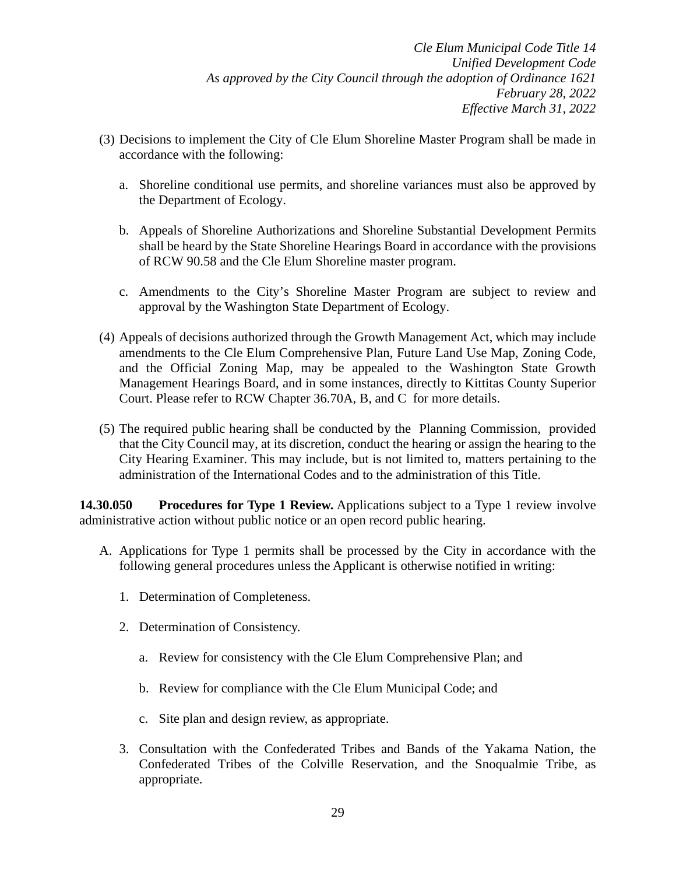- (3) Decisions to implement the City of Cle Elum Shoreline Master Program shall be made in accordance with the following:
	- a. Shoreline conditional use permits, and shoreline variances must also be approved by the Department of Ecology.
	- b. Appeals of Shoreline Authorizations and Shoreline Substantial Development Permits shall be heard by the State Shoreline Hearings Board in accordance with the provisions of RCW 90.58 and the Cle Elum Shoreline master program.
	- c. Amendments to the City's Shoreline Master Program are subject to review and approval by the Washington State Department of Ecology.
- (4) Appeals of decisions authorized through the Growth Management Act, which may include amendments to the Cle Elum Comprehensive Plan, Future Land Use Map, Zoning Code, and the Official Zoning Map, may be appealed to the Washington State Growth Management Hearings Board, and in some instances, directly to Kittitas County Superior Court. Please refer to RCW Chapter 36.70A, B, and C for more details.
- (5) The required public hearing shall be conducted by the Planning Commission, provided that the City Council may, at its discretion, conduct the hearing or assign the hearing to the City Hearing Examiner. This may include, but is not limited to, matters pertaining to the administration of the International Codes and to the administration of this Title.

**14.30.050 Procedures for Type 1 Review.** Applications subject to a Type 1 review involve administrative action without public notice or an open record public hearing.

- A. Applications for Type 1 permits shall be processed by the City in accordance with the following general procedures unless the Applicant is otherwise notified in writing:
	- 1. Determination of Completeness.
	- 2. Determination of Consistency.
		- a. Review for consistency with the Cle Elum Comprehensive Plan; and
		- b. Review for compliance with the Cle Elum Municipal Code; and
		- c. Site plan and design review, as appropriate.
	- 3. Consultation with the Confederated Tribes and Bands of the Yakama Nation, the Confederated Tribes of the Colville Reservation, and the Snoqualmie Tribe, as appropriate.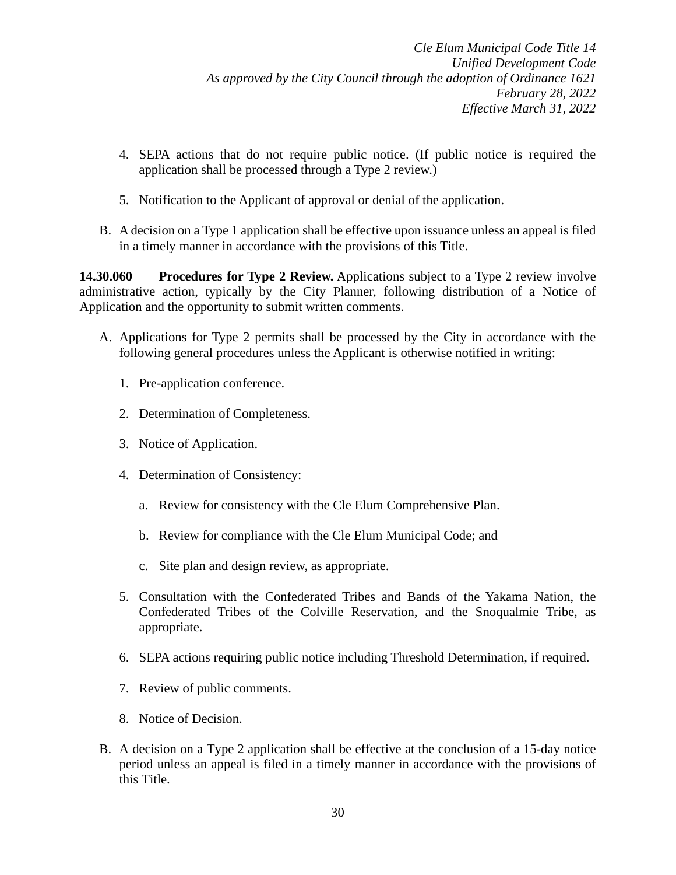- 4. SEPA actions that do not require public notice. (If public notice is required the application shall be processed through a Type 2 review.)
- 5. Notification to the Applicant of approval or denial of the application.
- B. A decision on a Type 1 application shall be effective upon issuance unless an appeal is filed in a timely manner in accordance with the provisions of this Title.

**14.30.060 Procedures for Type 2 Review.** Applications subject to a Type 2 review involve administrative action, typically by the City Planner, following distribution of a Notice of Application and the opportunity to submit written comments.

- A. Applications for Type 2 permits shall be processed by the City in accordance with the following general procedures unless the Applicant is otherwise notified in writing:
	- 1. Pre-application conference.
	- 2. Determination of Completeness.
	- 3. Notice of Application.
	- 4. Determination of Consistency:
		- a. Review for consistency with the Cle Elum Comprehensive Plan.
		- b. Review for compliance with the Cle Elum Municipal Code; and
		- c. Site plan and design review, as appropriate.
	- 5. Consultation with the Confederated Tribes and Bands of the Yakama Nation, the Confederated Tribes of the Colville Reservation, and the Snoqualmie Tribe, as appropriate.
	- 6. SEPA actions requiring public notice including Threshold Determination, if required.
	- 7. Review of public comments.
	- 8. Notice of Decision.
- B. A decision on a Type 2 application shall be effective at the conclusion of a 15-day notice period unless an appeal is filed in a timely manner in accordance with the provisions of this Title.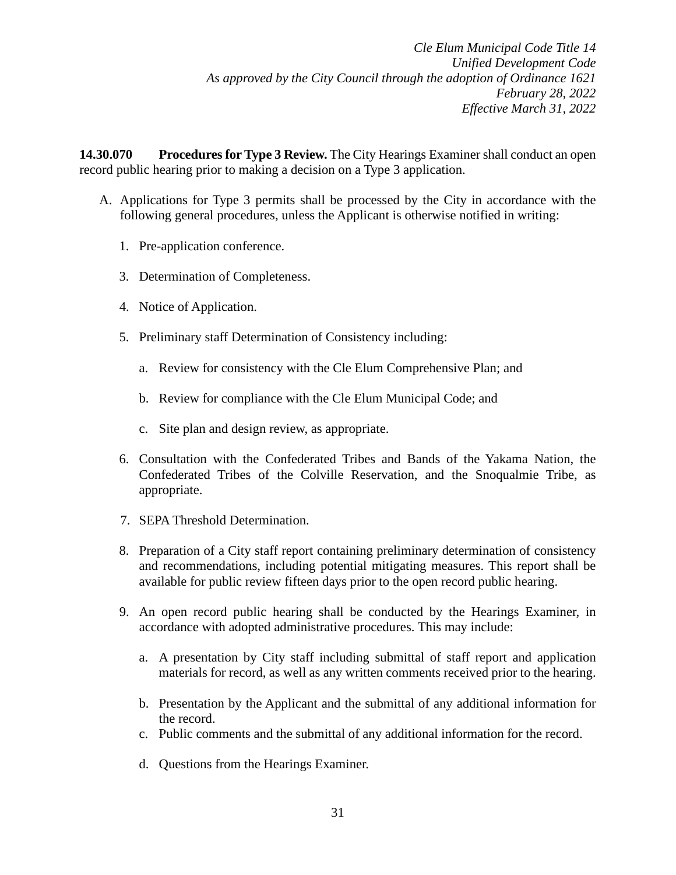**14.30.070 Procedures for Type 3 Review.** The City Hearings Examiner shall conduct an open record public hearing prior to making a decision on a Type 3 application.

- A. Applications for Type 3 permits shall be processed by the City in accordance with the following general procedures, unless the Applicant is otherwise notified in writing:
	- 1. Pre-application conference.
	- 3. Determination of Completeness.
	- 4. Notice of Application.
	- 5. Preliminary staff Determination of Consistency including:
		- a. Review for consistency with the Cle Elum Comprehensive Plan; and
		- b. Review for compliance with the Cle Elum Municipal Code; and
		- c. Site plan and design review, as appropriate.
	- 6. Consultation with the Confederated Tribes and Bands of the Yakama Nation, the Confederated Tribes of the Colville Reservation, and the Snoqualmie Tribe, as appropriate.
	- 7. SEPA Threshold Determination.
	- 8. Preparation of a City staff report containing preliminary determination of consistency and recommendations, including potential mitigating measures. This report shall be available for public review fifteen days prior to the open record public hearing.
	- 9. An open record public hearing shall be conducted by the Hearings Examiner, in accordance with adopted administrative procedures. This may include:
		- a. A presentation by City staff including submittal of staff report and application materials for record, as well as any written comments received prior to the hearing.
		- b. Presentation by the Applicant and the submittal of any additional information for the record.
		- c. Public comments and the submittal of any additional information for the record.
		- d. Questions from the Hearings Examiner.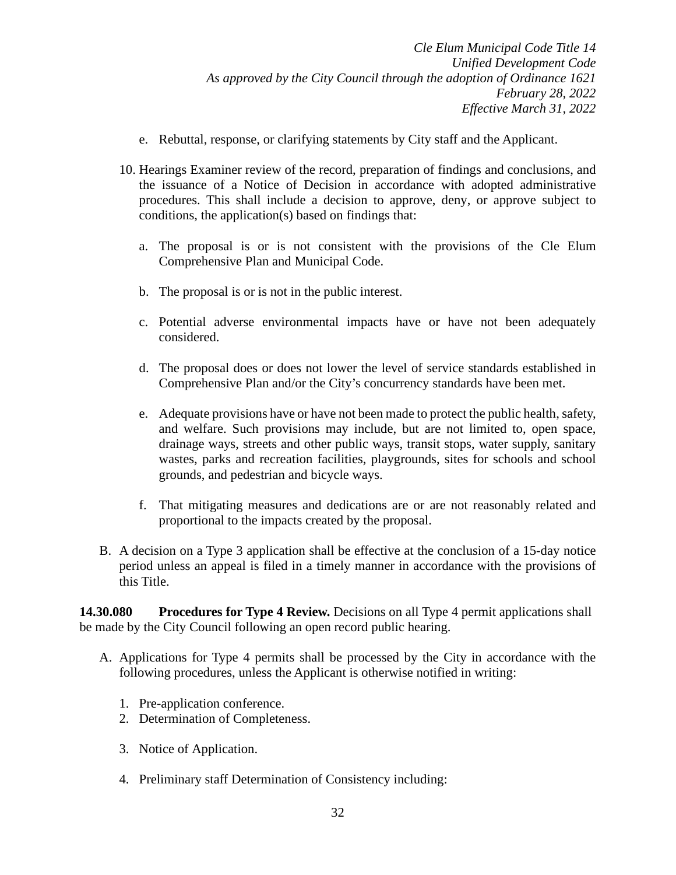- e. Rebuttal, response, or clarifying statements by City staff and the Applicant.
- 10. Hearings Examiner review of the record, preparation of findings and conclusions, and the issuance of a Notice of Decision in accordance with adopted administrative procedures. This shall include a decision to approve, deny, or approve subject to conditions, the application(s) based on findings that:
	- a. The proposal is or is not consistent with the provisions of the Cle Elum Comprehensive Plan and Municipal Code.
	- b. The proposal is or is not in the public interest.
	- c. Potential adverse environmental impacts have or have not been adequately considered.
	- d. The proposal does or does not lower the level of service standards established in Comprehensive Plan and/or the City's concurrency standards have been met.
	- e. Adequate provisions have or have not been made to protect the public health, safety, and welfare. Such provisions may include, but are not limited to, open space, drainage ways, streets and other public ways, transit stops, water supply, sanitary wastes, parks and recreation facilities, playgrounds, sites for schools and school grounds, and pedestrian and bicycle ways.
	- f. That mitigating measures and dedications are or are not reasonably related and proportional to the impacts created by the proposal.
- B. A decision on a Type 3 application shall be effective at the conclusion of a 15-day notice period unless an appeal is filed in a timely manner in accordance with the provisions of this Title.

**14.30.080 Procedures for Type 4 Review.** Decisions on all Type 4 permit applications shall be made by the City Council following an open record public hearing.

- A. Applications for Type 4 permits shall be processed by the City in accordance with the following procedures, unless the Applicant is otherwise notified in writing:
	- 1. Pre-application conference.
	- 2. Determination of Completeness.
	- 3. Notice of Application.
	- 4. Preliminary staff Determination of Consistency including: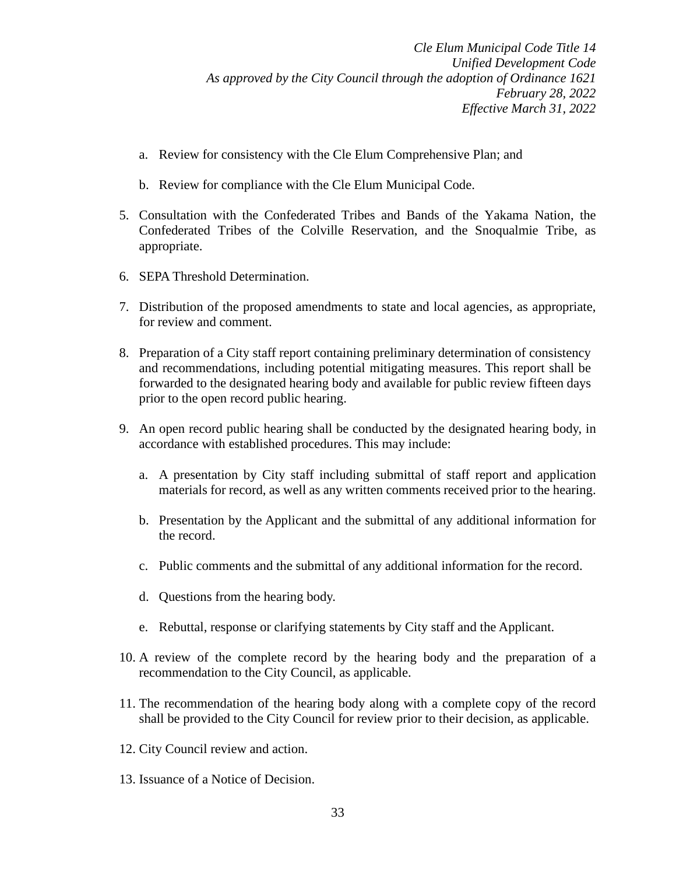- a. Review for consistency with the Cle Elum Comprehensive Plan; and
- b. Review for compliance with the Cle Elum Municipal Code.
- 5. Consultation with the Confederated Tribes and Bands of the Yakama Nation, the Confederated Tribes of the Colville Reservation, and the Snoqualmie Tribe, as appropriate.
- 6. SEPA Threshold Determination.
- 7. Distribution of the proposed amendments to state and local agencies, as appropriate, for review and comment.
- 8. Preparation of a City staff report containing preliminary determination of consistency and recommendations, including potential mitigating measures. This report shall be forwarded to the designated hearing body and available for public review fifteen days prior to the open record public hearing.
- 9. An open record public hearing shall be conducted by the designated hearing body, in accordance with established procedures. This may include:
	- a. A presentation by City staff including submittal of staff report and application materials for record, as well as any written comments received prior to the hearing.
	- b. Presentation by the Applicant and the submittal of any additional information for the record.
	- c. Public comments and the submittal of any additional information for the record.
	- d. Questions from the hearing body.
	- e. Rebuttal, response or clarifying statements by City staff and the Applicant.
- 10. A review of the complete record by the hearing body and the preparation of a recommendation to the City Council, as applicable.
- 11. The recommendation of the hearing body along with a complete copy of the record shall be provided to the City Council for review prior to their decision, as applicable.
- 12. City Council review and action.
- 13. Issuance of a Notice of Decision.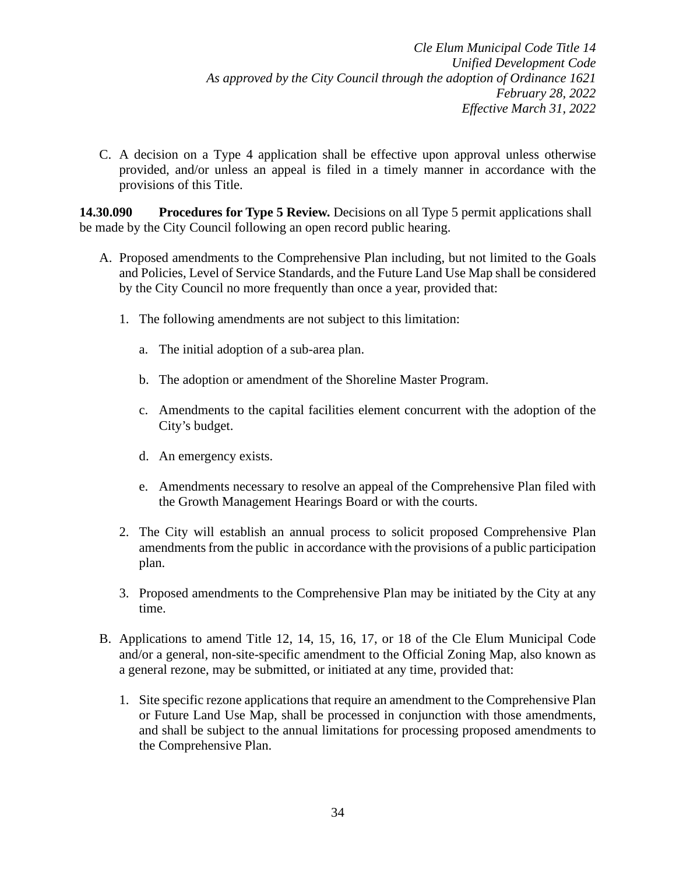C. A decision on a Type 4 application shall be effective upon approval unless otherwise provided, and/or unless an appeal is filed in a timely manner in accordance with the provisions of this Title.

**14.30.090 Procedures for Type 5 Review.** Decisions on all Type 5 permit applications shall be made by the City Council following an open record public hearing.

- A. Proposed amendments to the Comprehensive Plan including, but not limited to the Goals and Policies, Level of Service Standards, and the Future Land Use Map shall be considered by the City Council no more frequently than once a year, provided that:
	- 1. The following amendments are not subject to this limitation:
		- a. The initial adoption of a sub-area plan.
		- b. The adoption or amendment of the Shoreline Master Program.
		- c. Amendments to the capital facilities element concurrent with the adoption of the City's budget.
		- d. An emergency exists.
		- e. Amendments necessary to resolve an appeal of the Comprehensive Plan filed with the Growth Management Hearings Board or with the courts.
	- 2. The City will establish an annual process to solicit proposed Comprehensive Plan amendments from the public in accordance with the provisions of a public participation plan.
	- 3. Proposed amendments to the Comprehensive Plan may be initiated by the City at any time.
- B. Applications to amend Title 12, 14, 15, 16, 17, or 18 of the Cle Elum Municipal Code and/or a general, non-site-specific amendment to the Official Zoning Map, also known as a general rezone, may be submitted, or initiated at any time, provided that:
	- 1. Site specific rezone applications that require an amendment to the Comprehensive Plan or Future Land Use Map, shall be processed in conjunction with those amendments, and shall be subject to the annual limitations for processing proposed amendments to the Comprehensive Plan.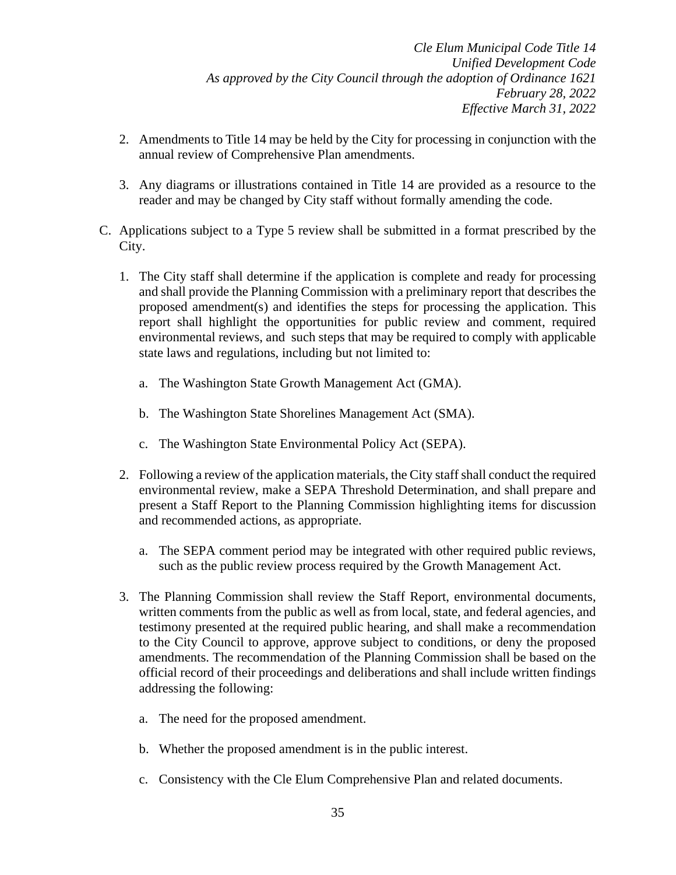- 2. Amendments to Title 14 may be held by the City for processing in conjunction with the annual review of Comprehensive Plan amendments.
- 3. Any diagrams or illustrations contained in Title 14 are provided as a resource to the reader and may be changed by City staff without formally amending the code.
- C. Applications subject to a Type 5 review shall be submitted in a format prescribed by the City.
	- 1. The City staff shall determine if the application is complete and ready for processing and shall provide the Planning Commission with a preliminary report that describes the proposed amendment(s) and identifies the steps for processing the application. This report shall highlight the opportunities for public review and comment, required environmental reviews, and such steps that may be required to comply with applicable state laws and regulations, including but not limited to:
		- a. The Washington State Growth Management Act (GMA).
		- b. The Washington State Shorelines Management Act (SMA).
		- c. The Washington State Environmental Policy Act (SEPA).
	- 2. Following a review of the application materials, the City staff shall conduct the required environmental review, make a SEPA Threshold Determination, and shall prepare and present a Staff Report to the Planning Commission highlighting items for discussion and recommended actions, as appropriate.
		- a. The SEPA comment period may be integrated with other required public reviews, such as the public review process required by the Growth Management Act.
	- 3. The Planning Commission shall review the Staff Report, environmental documents, written comments from the public as well as from local, state, and federal agencies, and testimony presented at the required public hearing, and shall make a recommendation to the City Council to approve, approve subject to conditions, or deny the proposed amendments. The recommendation of the Planning Commission shall be based on the official record of their proceedings and deliberations and shall include written findings addressing the following:
		- a. The need for the proposed amendment.
		- b. Whether the proposed amendment is in the public interest.
		- c. Consistency with the Cle Elum Comprehensive Plan and related documents.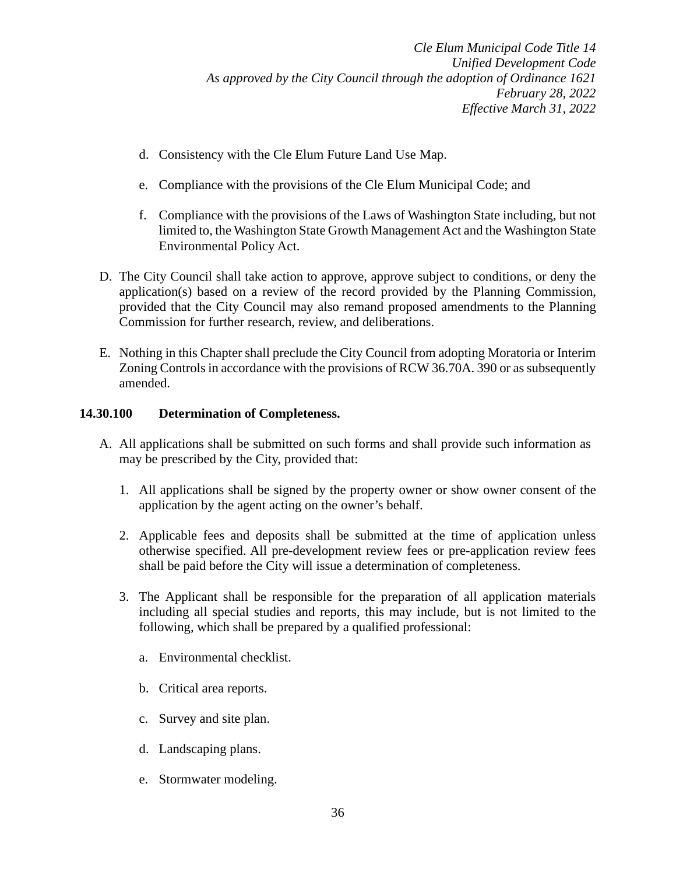- d. Consistency with the Cle Elum Future Land Use Map.
- e. Compliance with the provisions of the Cle Elum Municipal Code; and
- f. Compliance with the provisions of the Laws of Washington State including, but not limited to, the Washington State Growth Management Act and the Washington State Environmental Policy Act.
- D. The City Council shall take action to approve, approve subject to conditions, or deny the application(s) based on a review of the record provided by the Planning Commission, provided that the City Council may also remand proposed amendments to the Planning Commission for further research, review, and deliberations.
- E. Nothing in this Chapter shall preclude the City Council from adopting Moratoria or Interim Zoning Controls in accordance with the provisions of RCW 36.70A. 390 or as subsequently amended.

# **14.30.100 Determination of Completeness.**

- A. All applications shall be submitted on such forms and shall provide such information as may be prescribed by the City, provided that:
	- 1. All applications shall be signed by the property owner or show owner consent of the application by the agent acting on the owner's behalf.
	- 2. Applicable fees and deposits shall be submitted at the time of application unless otherwise specified. All pre-development review fees or pre-application review fees shall be paid before the City will issue a determination of completeness.
	- 3. The Applicant shall be responsible for the preparation of all application materials including all special studies and reports, this may include, but is not limited to the following, which shall be prepared by a qualified professional:
		- a. Environmental checklist.
		- b. Critical area reports.
		- c. Survey and site plan.
		- d. Landscaping plans.
		- e. Stormwater modeling.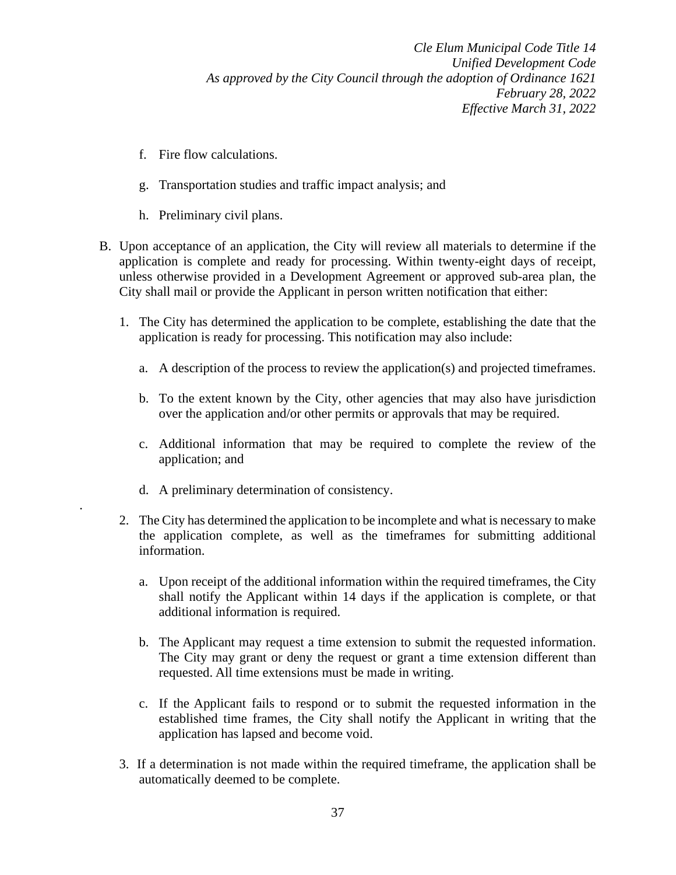- f. Fire flow calculations.
- g. Transportation studies and traffic impact analysis; and
- h. Preliminary civil plans.
- B. Upon acceptance of an application, the City will review all materials to determine if the application is complete and ready for processing. Within twenty-eight days of receipt, unless otherwise provided in a Development Agreement or approved sub-area plan, the City shall mail or provide the Applicant in person written notification that either:
	- 1. The City has determined the application to be complete, establishing the date that the application is ready for processing. This notification may also include:
		- a. A description of the process to review the application(s) and projected timeframes.
		- b. To the extent known by the City, other agencies that may also have jurisdiction over the application and/or other permits or approvals that may be required.
		- c. Additional information that may be required to complete the review of the application; and
		- d. A preliminary determination of consistency.

.

- 2. The City has determined the application to be incomplete and what is necessary to make the application complete, as well as the timeframes for submitting additional information.
	- a. Upon receipt of the additional information within the required timeframes, the City shall notify the Applicant within 14 days if the application is complete, or that additional information is required.
	- b. The Applicant may request a time extension to submit the requested information. The City may grant or deny the request or grant a time extension different than requested. All time extensions must be made in writing.
	- c. If the Applicant fails to respond or to submit the requested information in the established time frames, the City shall notify the Applicant in writing that the application has lapsed and become void.
- 3. If a determination is not made within the required timeframe, the application shall be automatically deemed to be complete.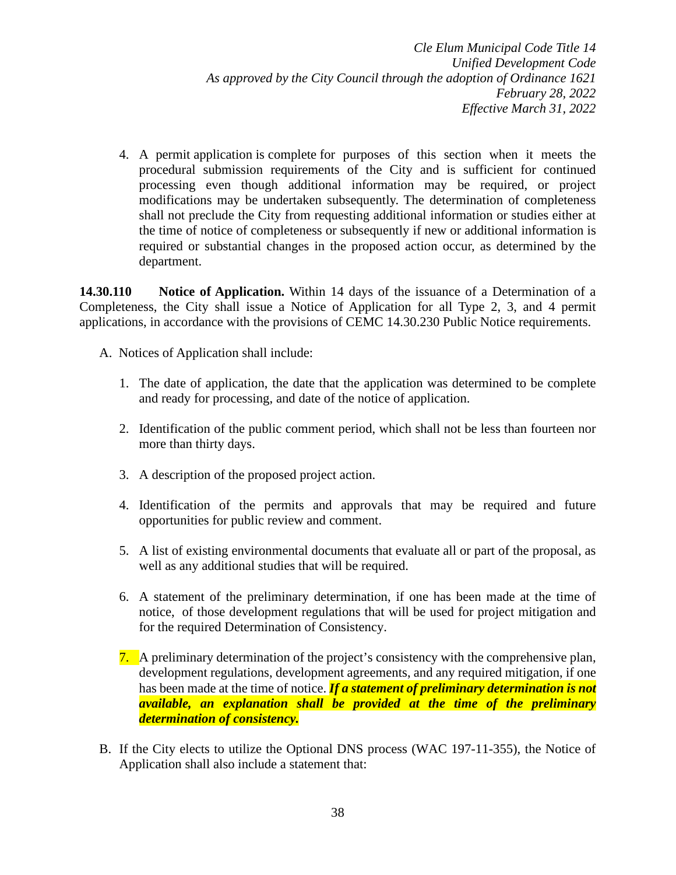4. A permit application is complete for purposes of this section when it meets the procedural submission requirements of the City and is sufficient for continued processing even though additional information may be required, or project modifications may be undertaken subsequently. The determination of completeness shall not preclude the City from requesting additional information or studies either at the time of notice of completeness or subsequently if new or additional information is required or substantial changes in the proposed action occur, as determined by the department.

**14.30.110 Notice of Application.** Within 14 days of the issuance of a Determination of a Completeness, the City shall issue a Notice of Application for all Type 2, 3, and 4 permit applications, in accordance with the provisions of CEMC 14.30.230 Public Notice requirements.

- A. Notices of Application shall include:
	- 1. The date of application, the date that the application was determined to be complete and ready for processing, and date of the notice of application.
	- 2. Identification of the public comment period, which shall not be less than fourteen nor more than thirty days.
	- 3. A description of the proposed project action.
	- 4. Identification of the permits and approvals that may be required and future opportunities for public review and comment.
	- 5. A list of existing environmental documents that evaluate all or part of the proposal, as well as any additional studies that will be required.
	- 6. A statement of the preliminary determination, if one has been made at the time of notice, of those development regulations that will be used for project mitigation and for the required Determination of Consistency.
	- 7. A preliminary determination of the project's consistency with the comprehensive plan, development regulations, development agreements, and any required mitigation, if one has been made at the time of notice. *If a statement of preliminary determination is not available, an explanation shall be provided at the time of the preliminary determination of consistency.*
- B. If the City elects to utilize the Optional DNS process (WAC 197-11-355), the Notice of Application shall also include a statement that: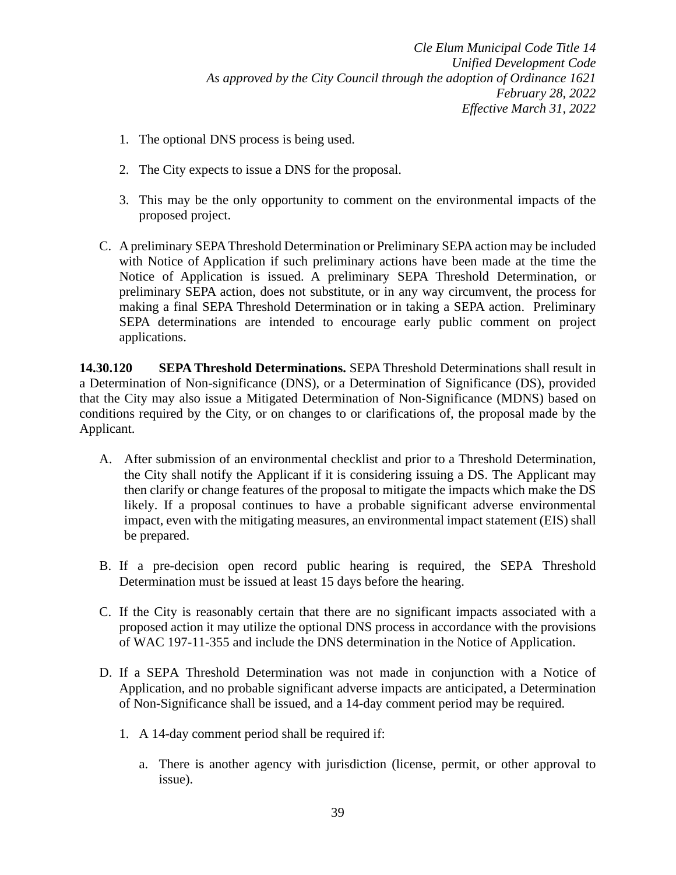- 1. The optional DNS process is being used.
- 2. The City expects to issue a DNS for the proposal.
- 3. This may be the only opportunity to comment on the environmental impacts of the proposed project.
- C. A preliminary SEPA Threshold Determination or Preliminary SEPA action may be included with Notice of Application if such preliminary actions have been made at the time the Notice of Application is issued. A preliminary SEPA Threshold Determination, or preliminary SEPA action, does not substitute, or in any way circumvent, the process for making a final SEPA Threshold Determination or in taking a SEPA action. Preliminary SEPA determinations are intended to encourage early public comment on project applications.

**14.30.120 SEPA Threshold Determinations.** SEPA Threshold Determinations shall result in a Determination of Non-significance (DNS), or a Determination of Significance (DS), provided that the City may also issue a Mitigated Determination of Non-Significance (MDNS) based on conditions required by the City, or on changes to or clarifications of, the proposal made by the Applicant.

- A. After submission of an environmental checklist and prior to a Threshold Determination, the City shall notify the Applicant if it is considering issuing a DS. The Applicant may then clarify or change features of the proposal to mitigate the impacts which make the DS likely. If a proposal continues to have a probable significant adverse environmental impact, even with the mitigating measures, an environmental impact statement (EIS) shall be prepared.
- B. If a pre-decision open record public hearing is required, the SEPA Threshold Determination must be issued at least 15 days before the hearing.
- C. If the City is reasonably certain that there are no significant impacts associated with a proposed action it may utilize the optional DNS process in accordance with the provisions of WAC 197-11-355 and include the DNS determination in the Notice of Application.
- D. If a SEPA Threshold Determination was not made in conjunction with a Notice of Application, and no probable significant adverse impacts are anticipated, a Determination of Non-Significance shall be issued, and a 14-day comment period may be required.
	- 1. A 14-day comment period shall be required if:
		- a. There is another agency with jurisdiction (license, permit, or other approval to issue).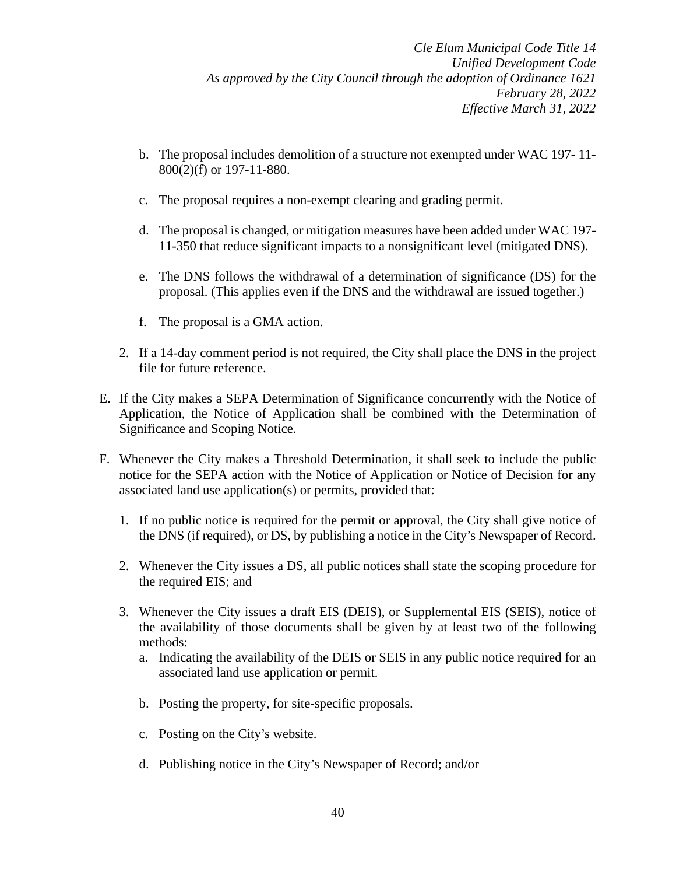- b. The proposal includes demolition of a structure not exempted under WAC 197- 11- 800(2)(f) or 197-11-880.
- c. The proposal requires a non-exempt clearing and grading permit.
- d. The proposal is changed, or mitigation measures have been added under WAC 197- 11-350 that reduce significant impacts to a nonsignificant level (mitigated DNS).
- e. The DNS follows the withdrawal of a determination of significance (DS) for the proposal. (This applies even if the DNS and the withdrawal are issued together.)
- f. The proposal is a GMA action.
- 2. If a 14-day comment period is not required, the City shall place the DNS in the project file for future reference.
- E. If the City makes a SEPA Determination of Significance concurrently with the Notice of Application, the Notice of Application shall be combined with the Determination of Significance and Scoping Notice.
- F. Whenever the City makes a Threshold Determination, it shall seek to include the public notice for the SEPA action with the Notice of Application or Notice of Decision for any associated land use application(s) or permits, provided that:
	- 1. If no public notice is required for the permit or approval, the City shall give notice of the DNS (if required), or DS, by publishing a notice in the City's Newspaper of Record.
	- 2. Whenever the City issues a DS, all public notices shall state the scoping procedure for the required EIS; and
	- 3. Whenever the City issues a draft EIS (DEIS), or Supplemental EIS (SEIS), notice of the availability of those documents shall be given by at least two of the following methods:
		- a. Indicating the availability of the DEIS or SEIS in any public notice required for an associated land use application or permit.
		- b. Posting the property, for site-specific proposals.
		- c. Posting on the City's website.
		- d. Publishing notice in the City's Newspaper of Record; and/or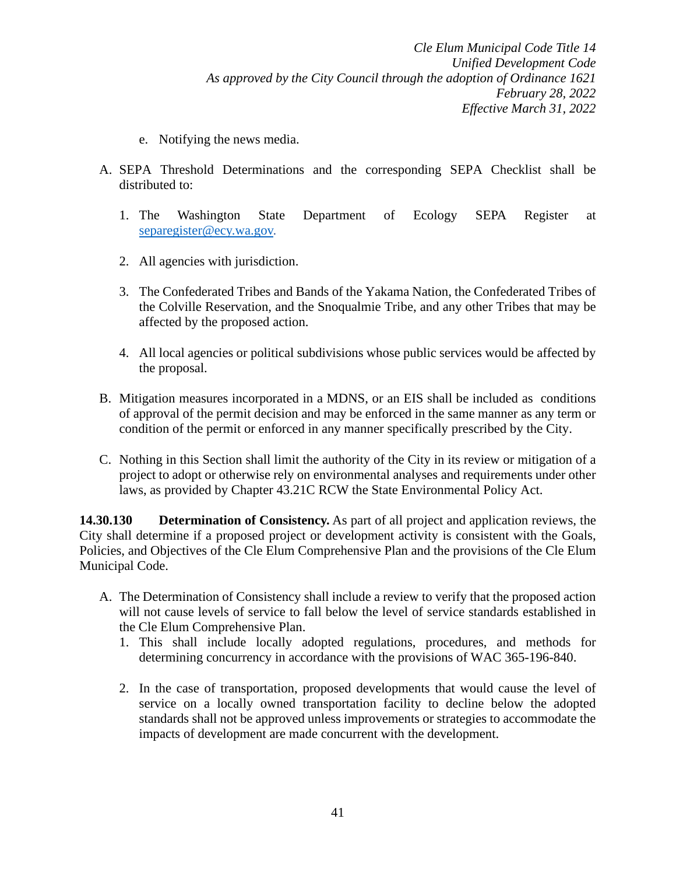- e. Notifying the news media.
- A. SEPA Threshold Determinations and the corresponding SEPA Checklist shall be distributed to:
	- 1. The Washington State Department of Ecology SEPA Register at [separegister@ecy.wa.gov.](mailto:separegister@ecy.wa.gov)
	- 2. All agencies with jurisdiction.
	- 3. The Confederated Tribes and Bands of the Yakama Nation, the Confederated Tribes of the Colville Reservation, and the Snoqualmie Tribe, and any other Tribes that may be affected by the proposed action.
	- 4. All local agencies or political subdivisions whose public services would be affected by the proposal.
- B. Mitigation measures incorporated in a MDNS, or an EIS shall be included as conditions of approval of the permit decision and may be enforced in the same manner as any term or condition of the permit or enforced in any manner specifically prescribed by the City.
- C. Nothing in this Section shall limit the authority of the City in its review or mitigation of a project to adopt or otherwise rely on environmental analyses and requirements under other laws, as provided by Chapter 43.21C RCW the State Environmental Policy Act.

**14.30.130 Determination of Consistency.** As part of all project and application reviews, the City shall determine if a proposed project or development activity is consistent with the Goals, Policies, and Objectives of the Cle Elum Comprehensive Plan and the provisions of the Cle Elum Municipal Code.

- A. The Determination of Consistency shall include a review to verify that the proposed action will not cause levels of service to fall below the level of service standards established in the Cle Elum Comprehensive Plan.
	- 1. This shall include locally adopted regulations, procedures, and methods for determining concurrency in accordance with the provisions of WAC 365-196-840.
	- 2. In the case of transportation, proposed developments that would cause the level of service on a locally owned transportation facility to decline below the adopted standards shall not be approved unless improvements or strategies to accommodate the impacts of development are made concurrent with the development.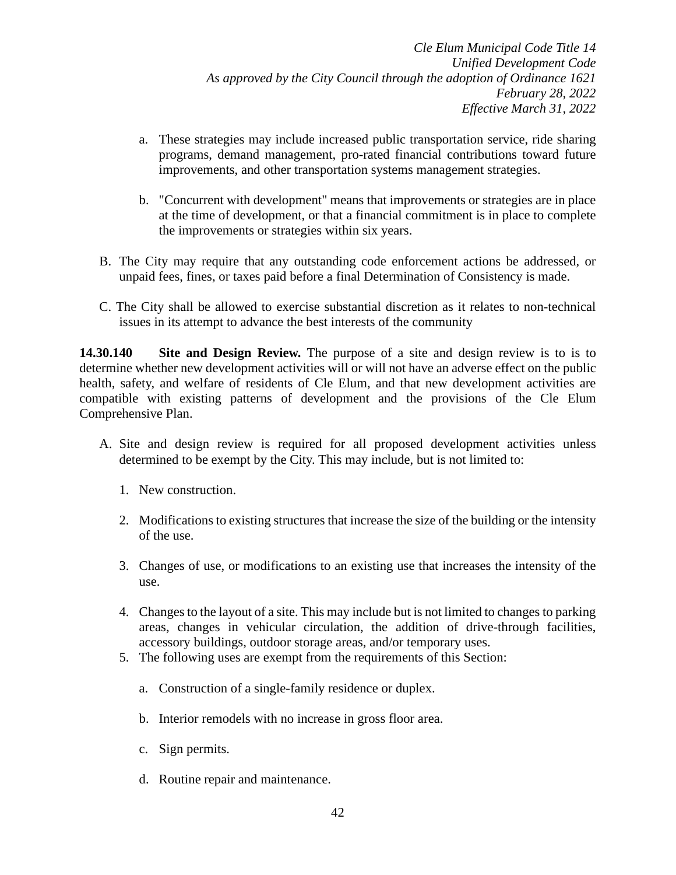- a. These strategies may include increased public transportation service, ride sharing programs, demand management, pro-rated financial contributions toward future improvements, and other transportation systems management strategies.
- b. "Concurrent with development" means that improvements or strategies are in place at the time of development, or that a financial commitment is in place to complete the improvements or strategies within six years.
- B. The City may require that any outstanding code enforcement actions be addressed, or unpaid fees, fines, or taxes paid before a final Determination of Consistency is made.
- C. The City shall be allowed to exercise substantial discretion as it relates to non-technical issues in its attempt to advance the best interests of the community

**14.30.140 Site and Design Review.** The purpose of a site and design review is to is to determine whether new development activities will or will not have an adverse effect on the public health, safety, and welfare of residents of Cle Elum, and that new development activities are compatible with existing patterns of development and the provisions of the Cle Elum Comprehensive Plan.

- A. Site and design review is required for all proposed development activities unless determined to be exempt by the City. This may include, but is not limited to:
	- 1. New construction.
	- 2. Modifications to existing structures that increase the size of the building or the intensity of the use.
	- 3. Changes of use, or modifications to an existing use that increases the intensity of the use.
	- 4. Changes to the layout of a site. This may include but is not limited to changes to parking areas, changes in vehicular circulation, the addition of drive-through facilities, accessory buildings, outdoor storage areas, and/or temporary uses.
	- 5. The following uses are exempt from the requirements of this Section:
		- a. Construction of a single-family residence or duplex.
		- b. Interior remodels with no increase in gross floor area.
		- c. Sign permits.
		- d. Routine repair and maintenance.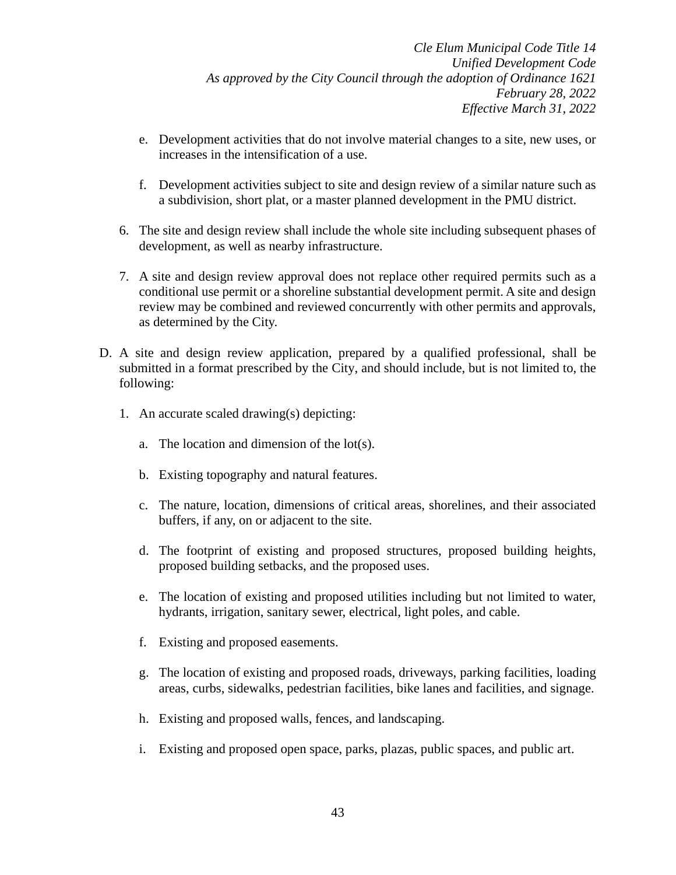- e. Development activities that do not involve material changes to a site, new uses, or increases in the intensification of a use.
- f. Development activities subject to site and design review of a similar nature such as a subdivision, short plat, or a master planned development in the PMU district.
- 6. The site and design review shall include the whole site including subsequent phases of development, as well as nearby infrastructure.
- 7. A site and design review approval does not replace other required permits such as a conditional use permit or a shoreline substantial development permit. A site and design review may be combined and reviewed concurrently with other permits and approvals, as determined by the City.
- D. A site and design review application, prepared by a qualified professional, shall be submitted in a format prescribed by the City, and should include, but is not limited to, the following:
	- 1. An accurate scaled drawing(s) depicting:
		- a. The location and dimension of the lot(s).
		- b. Existing topography and natural features.
		- c. The nature, location, dimensions of critical areas, shorelines, and their associated buffers, if any, on or adjacent to the site.
		- d. The footprint of existing and proposed structures, proposed building heights, proposed building setbacks, and the proposed uses.
		- e. The location of existing and proposed utilities including but not limited to water, hydrants, irrigation, sanitary sewer, electrical, light poles, and cable.
		- f. Existing and proposed easements.
		- g. The location of existing and proposed roads, driveways, parking facilities, loading areas, curbs, sidewalks, pedestrian facilities, bike lanes and facilities, and signage.
		- h. Existing and proposed walls, fences, and landscaping.
		- i. Existing and proposed open space, parks, plazas, public spaces, and public art.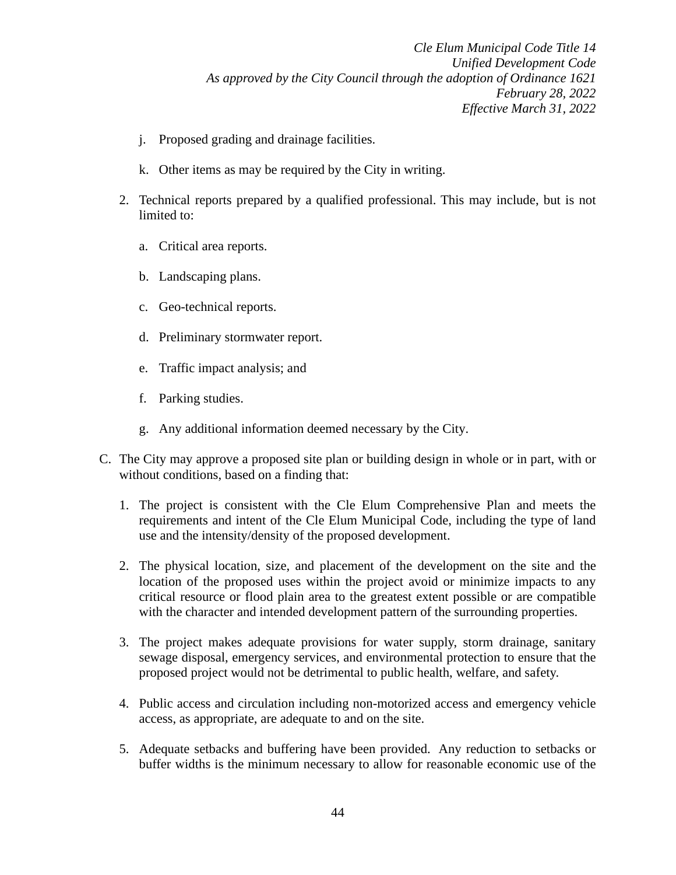- j. Proposed grading and drainage facilities.
- k. Other items as may be required by the City in writing.
- 2. Technical reports prepared by a qualified professional. This may include, but is not limited to:
	- a. Critical area reports.
	- b. Landscaping plans.
	- c. Geo-technical reports.
	- d. Preliminary stormwater report.
	- e. Traffic impact analysis; and
	- f. Parking studies.
	- g. Any additional information deemed necessary by the City.
- C. The City may approve a proposed site plan or building design in whole or in part, with or without conditions, based on a finding that:
	- 1. The project is consistent with the Cle Elum Comprehensive Plan and meets the requirements and intent of the Cle Elum Municipal Code, including the type of land use and the intensity/density of the proposed development.
	- 2. The physical location, size, and placement of the development on the site and the location of the proposed uses within the project avoid or minimize impacts to any critical resource or flood plain area to the greatest extent possible or are compatible with the character and intended development pattern of the surrounding properties.
	- 3. The project makes adequate provisions for water supply, storm drainage, sanitary sewage disposal, emergency services, and environmental protection to ensure that the proposed project would not be detrimental to public health, welfare, and safety.
	- 4. Public access and circulation including non-motorized access and emergency vehicle access, as appropriate, are adequate to and on the site.
	- 5. Adequate setbacks and buffering have been provided. Any reduction to setbacks or buffer widths is the minimum necessary to allow for reasonable economic use of the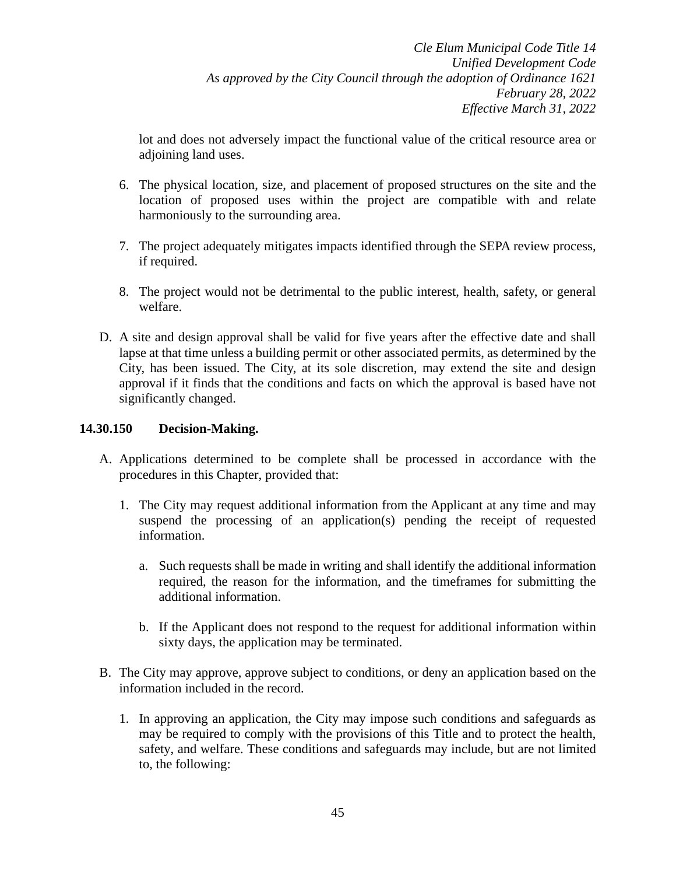lot and does not adversely impact the functional value of the critical resource area or adjoining land uses.

- 6. The physical location, size, and placement of proposed structures on the site and the location of proposed uses within the project are compatible with and relate harmoniously to the surrounding area.
- 7. The project adequately mitigates impacts identified through the SEPA review process, if required.
- 8. The project would not be detrimental to the public interest, health, safety, or general welfare.
- D. A site and design approval shall be valid for five years after the effective date and shall lapse at that time unless a building permit or other associated permits, as determined by the City, has been issued. The City, at its sole discretion, may extend the site and design approval if it finds that the conditions and facts on which the approval is based have not significantly changed.

## **14.30.150 Decision-Making.**

- A. Applications determined to be complete shall be processed in accordance with the procedures in this Chapter, provided that:
	- 1. The City may request additional information from the Applicant at any time and may suspend the processing of an application(s) pending the receipt of requested information.
		- a. Such requests shall be made in writing and shall identify the additional information required, the reason for the information, and the timeframes for submitting the additional information.
		- b. If the Applicant does not respond to the request for additional information within sixty days, the application may be terminated.
- B. The City may approve, approve subject to conditions, or deny an application based on the information included in the record.
	- 1. In approving an application, the City may impose such conditions and safeguards as may be required to comply with the provisions of this Title and to protect the health, safety, and welfare. These conditions and safeguards may include, but are not limited to, the following: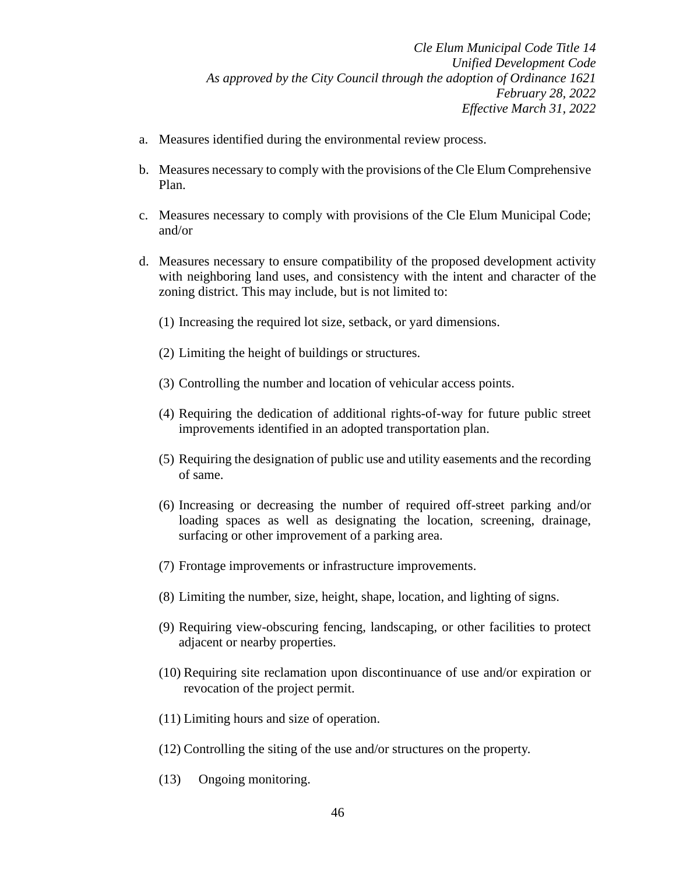- a. Measures identified during the environmental review process.
- b. Measures necessary to comply with the provisions of the Cle Elum Comprehensive Plan.
- c. Measures necessary to comply with provisions of the Cle Elum Municipal Code; and/or
- d. Measures necessary to ensure compatibility of the proposed development activity with neighboring land uses, and consistency with the intent and character of the zoning district. This may include, but is not limited to:
	- (1) Increasing the required lot size, setback, or yard dimensions.
	- (2) Limiting the height of buildings or structures.
	- (3) Controlling the number and location of vehicular access points.
	- (4) Requiring the dedication of additional rights-of-way for future public street improvements identified in an adopted transportation plan.
	- (5) Requiring the designation of public use and utility easements and the recording of same.
	- (6) Increasing or decreasing the number of required off-street parking and/or loading spaces as well as designating the location, screening, drainage, surfacing or other improvement of a parking area.
	- (7) Frontage improvements or infrastructure improvements.
	- (8) Limiting the number, size, height, shape, location, and lighting of signs.
	- (9) Requiring view-obscuring fencing, landscaping, or other facilities to protect adjacent or nearby properties.
	- (10) Requiring site reclamation upon discontinuance of use and/or expiration or revocation of the project permit.
	- (11) Limiting hours and size of operation.
	- (12) Controlling the siting of the use and/or structures on the property.
	- (13) Ongoing monitoring.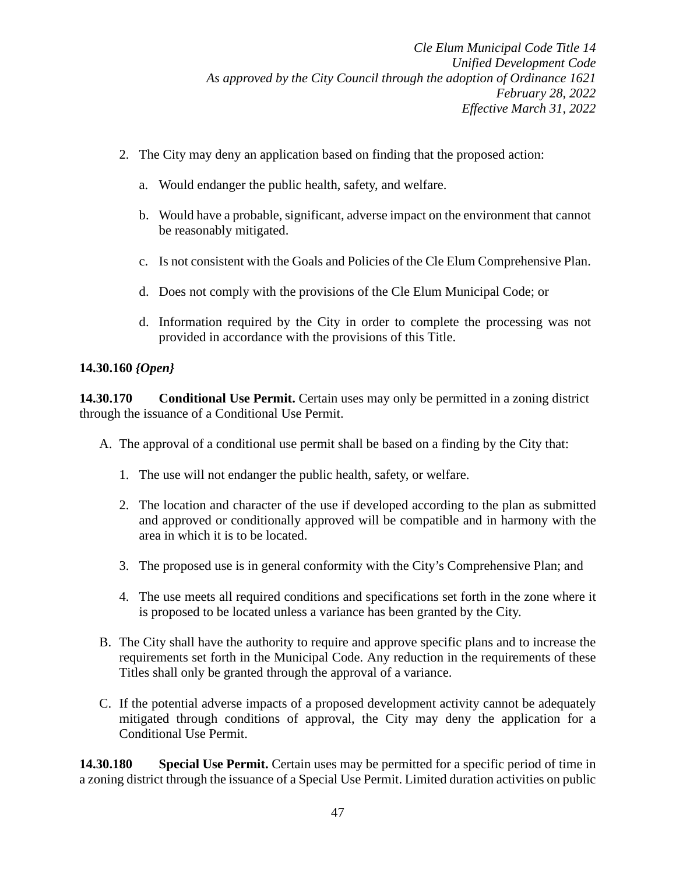- 2. The City may deny an application based on finding that the proposed action:
	- a. Would endanger the public health, safety, and welfare.
	- b. Would have a probable, significant, adverse impact on the environment that cannot be reasonably mitigated.
	- c. Is not consistent with the Goals and Policies of the Cle Elum Comprehensive Plan.
	- d. Does not comply with the provisions of the Cle Elum Municipal Code; or
	- d. Information required by the City in order to complete the processing was not provided in accordance with the provisions of this Title.

# **14.30.160** *{Open}*

**14.30.170 •• Conditional Use Permit.** Certain uses may only be permitted in a zoning district through the issuance of a Conditional Use Permit.

- A. The approval of a conditional use permit shall be based on a finding by the City that:
	- 1. The use will not endanger the public health, safety, or welfare.
	- 2. The location and character of the use if developed according to the plan as submitted and approved or conditionally approved will be compatible and in harmony with the area in which it is to be located.
	- 3. The proposed use is in general conformity with the City's Comprehensive Plan; and
	- 4. The use meets all required conditions and specifications set forth in the zone where it is proposed to be located unless a variance has been granted by the City.
- B. The City shall have the authority to require and approve specific plans and to increase the requirements set forth in the Municipal Code. Any reduction in the requirements of these Titles shall only be granted through the approval of a variance.
- C. If the potential adverse impacts of a proposed development activity cannot be adequately mitigated through conditions of approval, the City may deny the application for a Conditional Use Permit.

**14.30.180 Special Use Permit.** Certain uses may be permitted for a specific period of time in a zoning district through the issuance of a Special Use Permit. Limited duration activities on public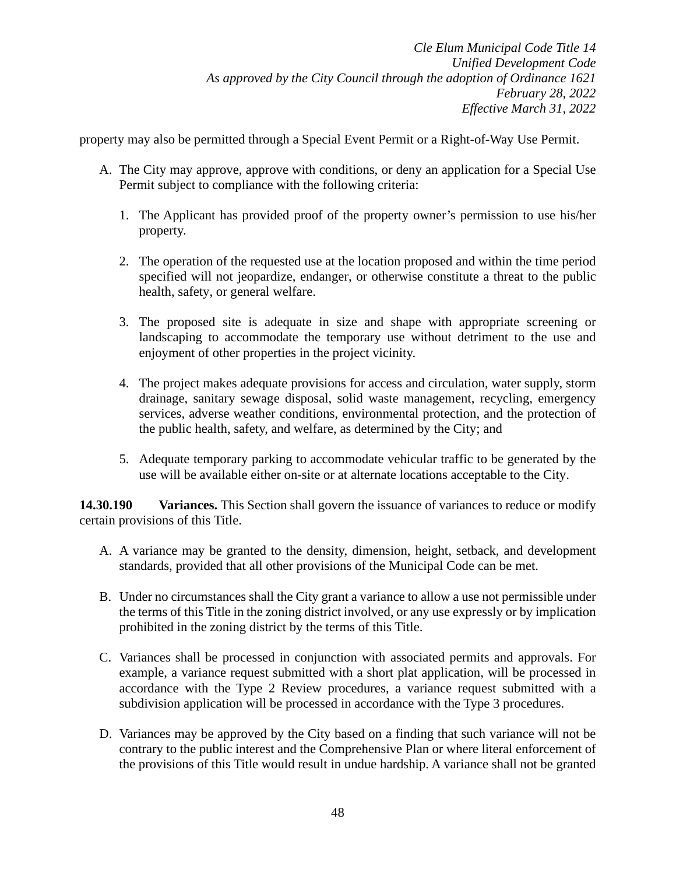property may also be permitted through a Special Event Permit or a Right-of-Way Use Permit.

- A. The City may approve, approve with conditions, or deny an application for a Special Use Permit subject to compliance with the following criteria:
	- 1. The Applicant has provided proof of the property owner's permission to use his/her property.
	- 2. The operation of the requested use at the location proposed and within the time period specified will not jeopardize, endanger, or otherwise constitute a threat to the public health, safety, or general welfare.
	- 3. The proposed site is adequate in size and shape with appropriate screening or landscaping to accommodate the temporary use without detriment to the use and enjoyment of other properties in the project vicinity.
	- 4. The project makes adequate provisions for access and circulation, water supply, storm drainage, sanitary sewage disposal, solid waste management, recycling, emergency services, adverse weather conditions, environmental protection, and the protection of the public health, safety, and welfare, as determined by the City; and
	- 5. Adequate temporary parking to accommodate vehicular traffic to be generated by the use will be available either on-site or at alternate locations acceptable to the City.

**14.30.190 Variances.** This Section shall govern the issuance of variances to reduce or modify certain provisions of this Title.

- A. A variance may be granted to the density, dimension, height, setback, and development standards, provided that all other provisions of the Municipal Code can be met.
- B. Under no circumstances shall the City grant a variance to allow a use not permissible under the terms of this Title in the zoning district involved, or any use expressly or by implication prohibited in the zoning district by the terms of this Title.
- C. Variances shall be processed in conjunction with associated permits and approvals. For example, a variance request submitted with a short plat application, will be processed in accordance with the Type 2 Review procedures, a variance request submitted with a subdivision application will be processed in accordance with the Type 3 procedures.
- D. Variances may be approved by the City based on a finding that such variance will not be contrary to the public interest and the Comprehensive Plan or where literal enforcement of the provisions of this Title would result in undue hardship. A variance shall not be granted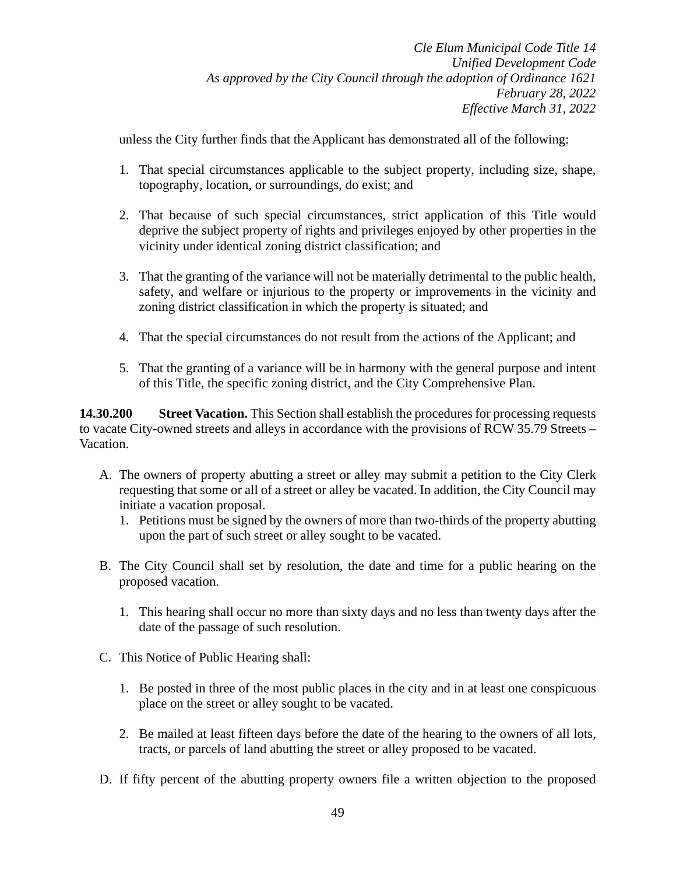unless the City further finds that the Applicant has demonstrated all of the following:

- 1. That special circumstances applicable to the subject property, including size, shape, topography, location, or surroundings, do exist; and
- 2. That because of such special circumstances, strict application of this Title would deprive the subject property of rights and privileges enjoyed by other properties in the vicinity under identical zoning district classification; and
- 3. That the granting of the variance will not be materially detrimental to the public health, safety, and welfare or injurious to the property or improvements in the vicinity and zoning district classification in which the property is situated; and
- 4. That the special circumstances do not result from the actions of the Applicant; and
- 5. That the granting of a variance will be in harmony with the general purpose and intent of this Title, the specific zoning district, and the City Comprehensive Plan.

**14.30.200 Street Vacation.** This Section shall establish the procedures for processing requests to vacate City-owned streets and alleys in accordance with the provisions of RCW 35.79 Streets – Vacation.

- A. The owners of property abutting a street or alley may submit a petition to the City Clerk requesting that some or all of a street or alley be vacated. In addition, the City Council may initiate a vacation proposal.
	- 1. Petitions must be signed by the owners of more than two-thirds of the property abutting upon the part of such street or alley sought to be vacated.
- B. The City Council shall set by resolution, the date and time for a public hearing on the proposed vacation.
	- 1. This hearing shall occur no more than sixty days and no less than twenty days after the date of the passage of such resolution.
- C. This Notice of Public Hearing shall:
	- 1. Be posted in three of the most public places in the city and in at least one conspicuous place on the street or alley sought to be vacated.
	- 2. Be mailed at least fifteen days before the date of the hearing to the owners of all lots, tracts, or parcels of land abutting the street or alley proposed to be vacated.
- D. If fifty percent of the abutting property owners file a written objection to the proposed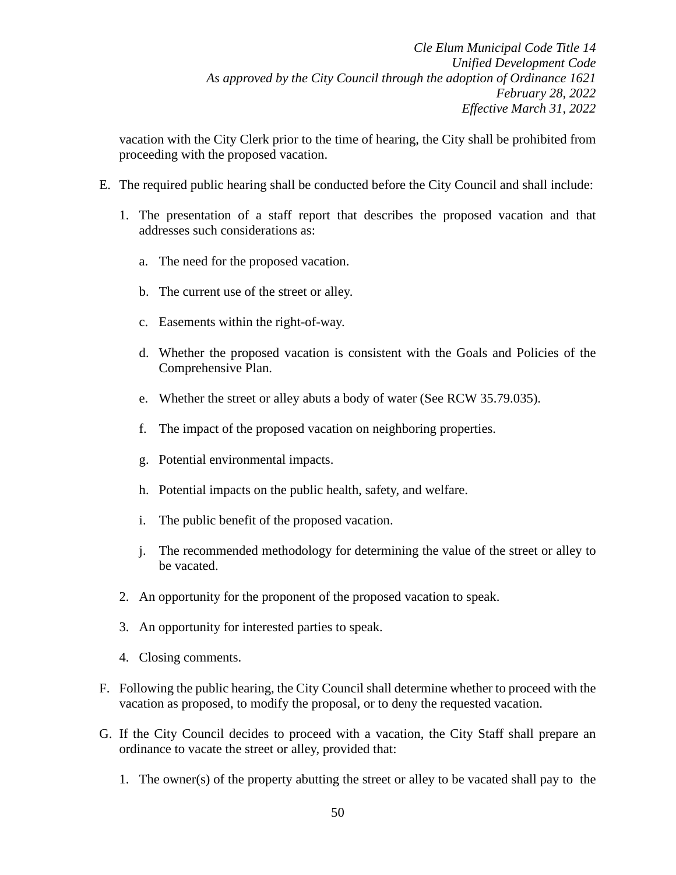vacation with the City Clerk prior to the time of hearing, the City shall be prohibited from proceeding with the proposed vacation.

- E. The required public hearing shall be conducted before the City Council and shall include:
	- 1. The presentation of a staff report that describes the proposed vacation and that addresses such considerations as:
		- a. The need for the proposed vacation.
		- b. The current use of the street or alley.
		- c. Easements within the right-of-way.
		- d. Whether the proposed vacation is consistent with the Goals and Policies of the Comprehensive Plan.
		- e. Whether the street or alley abuts a body of water (See RCW 35.79.035).
		- f. The impact of the proposed vacation on neighboring properties.
		- g. Potential environmental impacts.
		- h. Potential impacts on the public health, safety, and welfare.
		- i. The public benefit of the proposed vacation.
		- j. The recommended methodology for determining the value of the street or alley to be vacated.
	- 2. An opportunity for the proponent of the proposed vacation to speak.
	- 3. An opportunity for interested parties to speak.
	- 4. Closing comments.
- F. Following the public hearing, the City Council shall determine whether to proceed with the vacation as proposed, to modify the proposal, or to deny the requested vacation.
- G. If the City Council decides to proceed with a vacation, the City Staff shall prepare an ordinance to vacate the street or alley, provided that:
	- 1. The owner(s) of the property abutting the street or alley to be vacated shall pay to the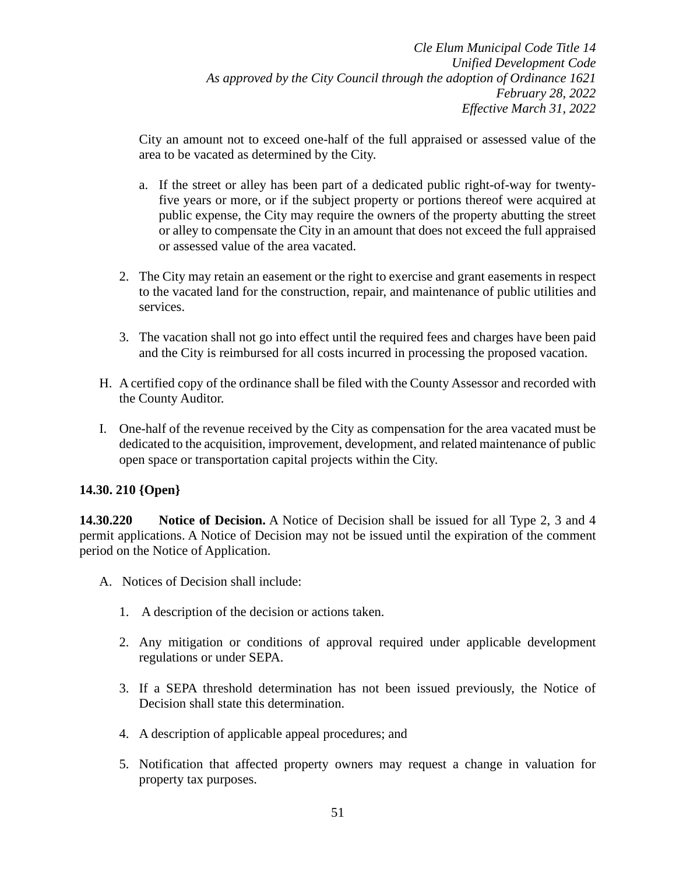City an amount not to exceed one-half of the full appraised or assessed value of the area to be vacated as determined by the City.

- a. If the street or alley has been part of a dedicated public right-of-way for twentyfive years or more, or if the subject property or portions thereof were acquired at public expense, the City may require the owners of the property abutting the street or alley to compensate the City in an amount that does not exceed the full appraised or assessed value of the area vacated.
- 2. The City may retain an easement or the right to exercise and grant easements in respect to the vacated land for the construction, repair, and maintenance of public utilities and services.
- 3. The vacation shall not go into effect until the required fees and charges have been paid and the City is reimbursed for all costs incurred in processing the proposed vacation.
- H. A certified copy of the ordinance shall be filed with the County Assessor and recorded with the County Auditor.
- I. One-half of the revenue received by the City as compensation for the area vacated must be dedicated to the acquisition, improvement, development, and related maintenance of public open space or transportation capital projects within the City.

## **14.30. 210 {Open}**

**14.30.220 Notice of Decision.** A Notice of Decision shall be issued for all Type 2, 3 and 4 permit applications. A Notice of Decision may not be issued until the expiration of the comment period on the Notice of Application.

- A. Notices of Decision shall include:
	- 1. A description of the decision or actions taken.
	- 2. Any mitigation or conditions of approval required under applicable development regulations or under SEPA.
	- 3. If a SEPA threshold determination has not been issued previously, the Notice of Decision shall state this determination.
	- 4. A description of applicable appeal procedures; and
	- 5. Notification that affected property owners may request a change in valuation for property tax purposes.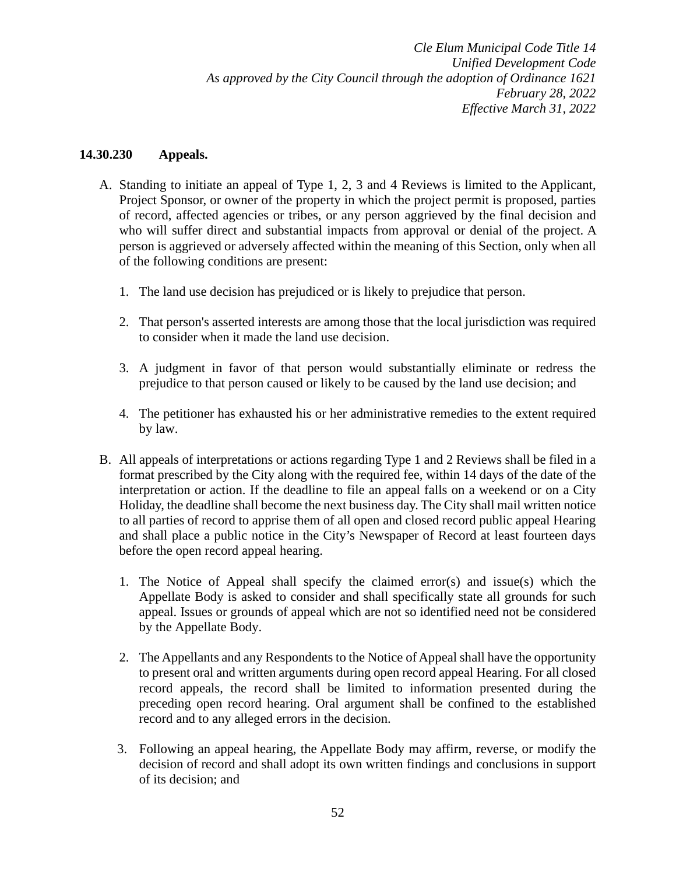### **14.30.230 Appeals.**

- A. Standing to initiate an appeal of Type 1, 2, 3 and 4 Reviews is limited to the Applicant, Project Sponsor, or owner of the property in which the project permit is proposed, parties of record, affected agencies or tribes, or any person aggrieved by the final decision and who will suffer direct and substantial impacts from approval or denial of the project. A person is aggrieved or adversely affected within the meaning of this Section, only when all of the following conditions are present:
	- 1. The land use decision has prejudiced or is likely to prejudice that person.
	- 2. That person's asserted interests are among those that the local jurisdiction was required to consider when it made the land use decision.
	- 3. A judgment in favor of that person would substantially eliminate or redress the prejudice to that person caused or likely to be caused by the land use decision; and
	- 4. The petitioner has exhausted his or her administrative remedies to the extent required by law.
- B. All appeals of interpretations or actions regarding Type 1 and 2 Reviews shall be filed in a format prescribed by the City along with the required fee, within 14 days of the date of the interpretation or action. If the deadline to file an appeal falls on a weekend or on a City Holiday, the deadline shall become the next business day. The City shall mail written notice to all parties of record to apprise them of all open and closed record public appeal Hearing and shall place a public notice in the City's Newspaper of Record at least fourteen days before the open record appeal hearing.
	- 1. The Notice of Appeal shall specify the claimed error(s) and issue(s) which the Appellate Body is asked to consider and shall specifically state all grounds for such appeal. Issues or grounds of appeal which are not so identified need not be considered by the Appellate Body.
	- 2. The Appellants and any Respondents to the Notice of Appeal shall have the opportunity to present oral and written arguments during open record appeal Hearing. For all closed record appeals, the record shall be limited to information presented during the preceding open record hearing. Oral argument shall be confined to the established record and to any alleged errors in the decision.
	- 3. Following an appeal hearing, the Appellate Body may affirm, reverse, or modify the decision of record and shall adopt its own written findings and conclusions in support of its decision; and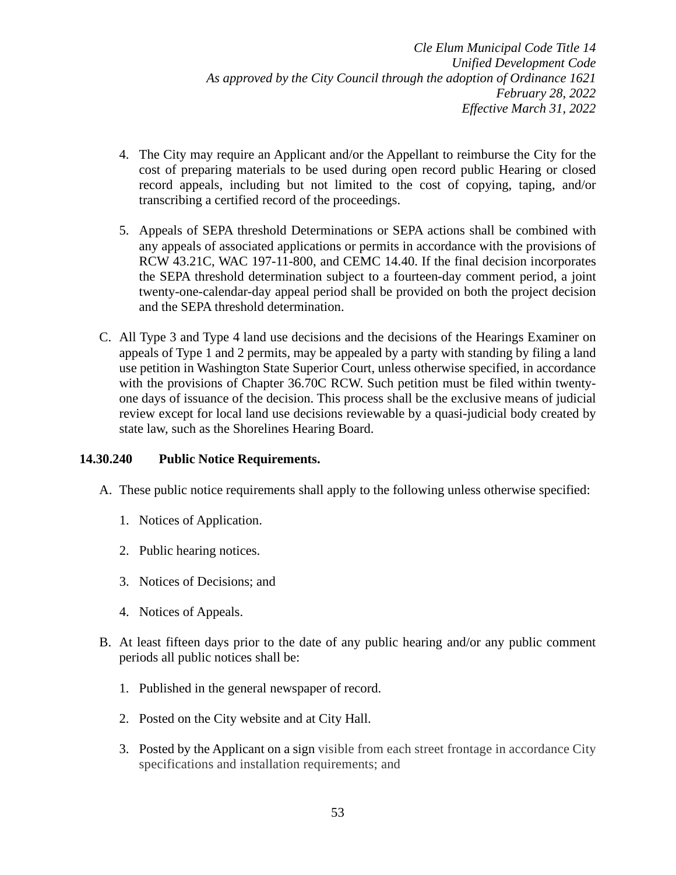- 4. The City may require an Applicant and/or the Appellant to reimburse the City for the cost of preparing materials to be used during open record public Hearing or closed record appeals, including but not limited to the cost of copying, taping, and/or transcribing a certified record of the proceedings.
- 5. Appeals of SEPA threshold Determinations or SEPA actions shall be combined with any appeals of associated applications or permits in accordance with the provisions of RCW 43.21C, WAC 197-11-800, and CEMC 14.40. If the final decision incorporates the SEPA threshold determination subject to a fourteen-day comment period, a joint twenty-one-calendar-day appeal period shall be provided on both the project decision and the SEPA threshold determination.
- C. All Type 3 and Type 4 land use decisions and the decisions of the Hearings Examiner on appeals of Type 1 and 2 permits, may be appealed by a party with standing by filing a land use petition in Washington State Superior Court, unless otherwise specified, in accordance with the provisions of Chapter 36.70C RCW. Such petition must be filed within twentyone days of issuance of the decision. This process shall be the exclusive means of judicial review except for local land use decisions reviewable by a quasi-judicial body created by state law, such as the Shorelines Hearing Board.

## **14.30.240 Public Notice Requirements.**

- A. These public notice requirements shall apply to the following unless otherwise specified:
	- 1. Notices of Application.
	- 2. Public hearing notices.
	- 3. Notices of Decisions; and
	- 4. Notices of Appeals.
- B. At least fifteen days prior to the date of any public hearing and/or any public comment periods all public notices shall be:
	- 1. Published in the general newspaper of record.
	- 2. Posted on the City website and at City Hall.
	- 3. Posted by the Applicant on a sign visible from each street frontage in accordance City specifications and installation requirements; and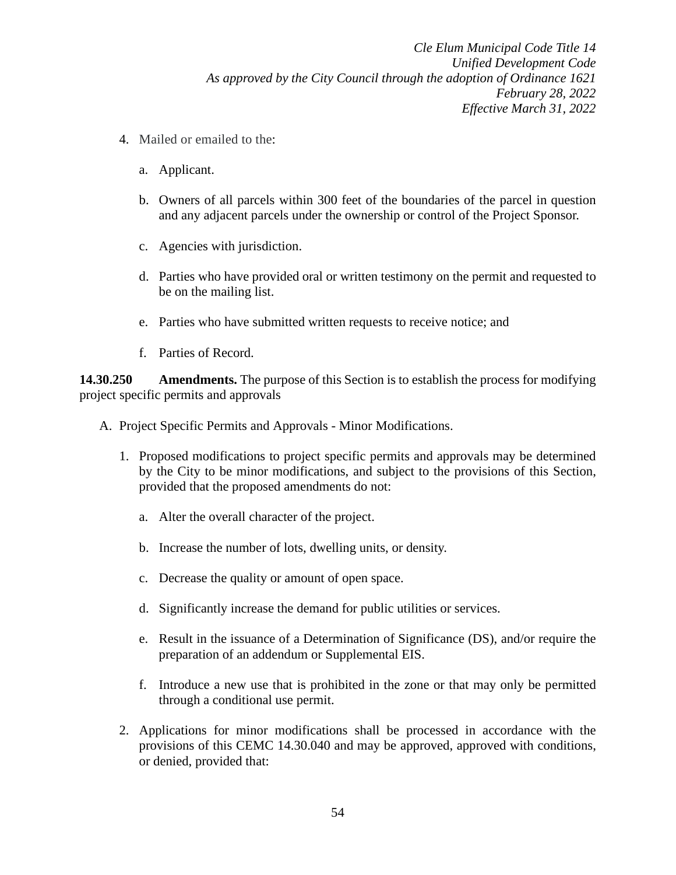- 4. Mailed or emailed to the:
	- a. Applicant.
	- b. Owners of all parcels within 300 feet of the boundaries of the parcel in question and any adjacent parcels under the ownership or control of the Project Sponsor.
	- c. Agencies with jurisdiction.
	- d. Parties who have provided oral or written testimony on the permit and requested to be on the mailing list.
	- e. Parties who have submitted written requests to receive notice; and
	- f. Parties of Record.

**14.30.250 Amendments.** The purpose of this Section is to establish the process for modifying project specific permits and approvals

- A. Project Specific Permits and Approvals Minor Modifications.
	- 1. Proposed modifications to project specific permits and approvals may be determined by the City to be minor modifications, and subject to the provisions of this Section, provided that the proposed amendments do not:
		- a. Alter the overall character of the project.
		- b. Increase the number of lots, dwelling units, or density.
		- c. Decrease the quality or amount of open space.
		- d. Significantly increase the demand for public utilities or services.
		- e. Result in the issuance of a Determination of Significance (DS), and/or require the preparation of an addendum or Supplemental EIS.
		- f. Introduce a new use that is prohibited in the zone or that may only be permitted through a conditional use permit.
	- 2. Applications for minor modifications shall be processed in accordance with the provisions of this CEMC 14.30.040 and may be approved, approved with conditions, or denied, provided that: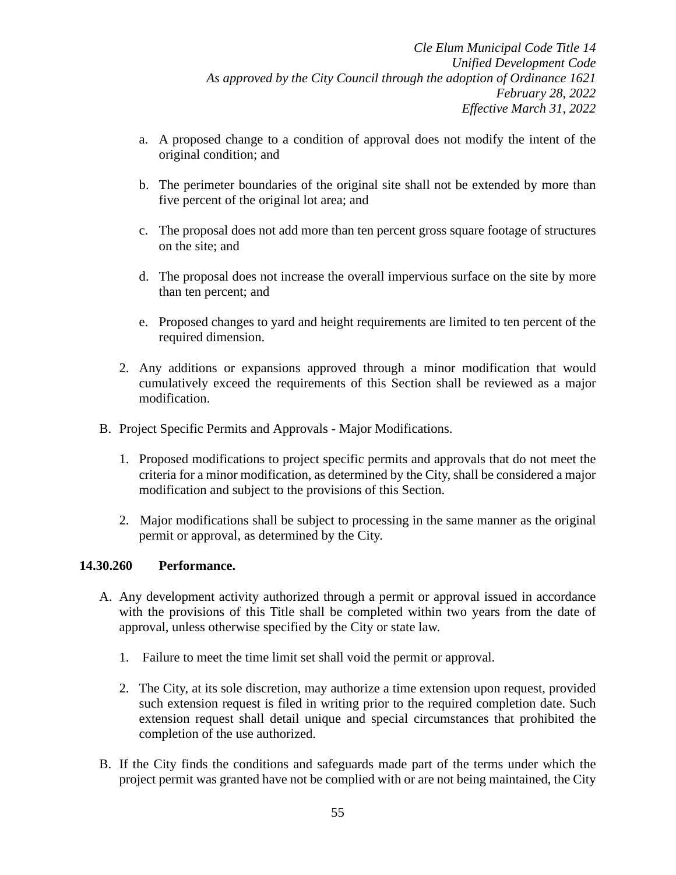- a. A proposed change to a condition of approval does not modify the intent of the original condition; and
- b. The perimeter boundaries of the original site shall not be extended by more than five percent of the original lot area; and
- c. The proposal does not add more than ten percent gross square footage of structures on the site; and
- d. The proposal does not increase the overall impervious surface on the site by more than ten percent; and
- e. Proposed changes to yard and height requirements are limited to ten percent of the required dimension.
- 2. Any additions or expansions approved through a minor modification that would cumulatively exceed the requirements of this Section shall be reviewed as a major modification.
- B. Project Specific Permits and Approvals Major Modifications.
	- 1. Proposed modifications to project specific permits and approvals that do not meet the criteria for a minor modification, as determined by the City, shall be considered a major modification and subject to the provisions of this Section.
	- 2. Major modifications shall be subject to processing in the same manner as the original permit or approval, as determined by the City.

### **14.30.260 Performance.**

- A. Any development activity authorized through a permit or approval issued in accordance with the provisions of this Title shall be completed within two years from the date of approval, unless otherwise specified by the City or state law.
	- 1. Failure to meet the time limit set shall void the permit or approval.
	- 2. The City, at its sole discretion, may authorize a time extension upon request, provided such extension request is filed in writing prior to the required completion date. Such extension request shall detail unique and special circumstances that prohibited the completion of the use authorized.
- B. If the City finds the conditions and safeguards made part of the terms under which the project permit was granted have not be complied with or are not being maintained, the City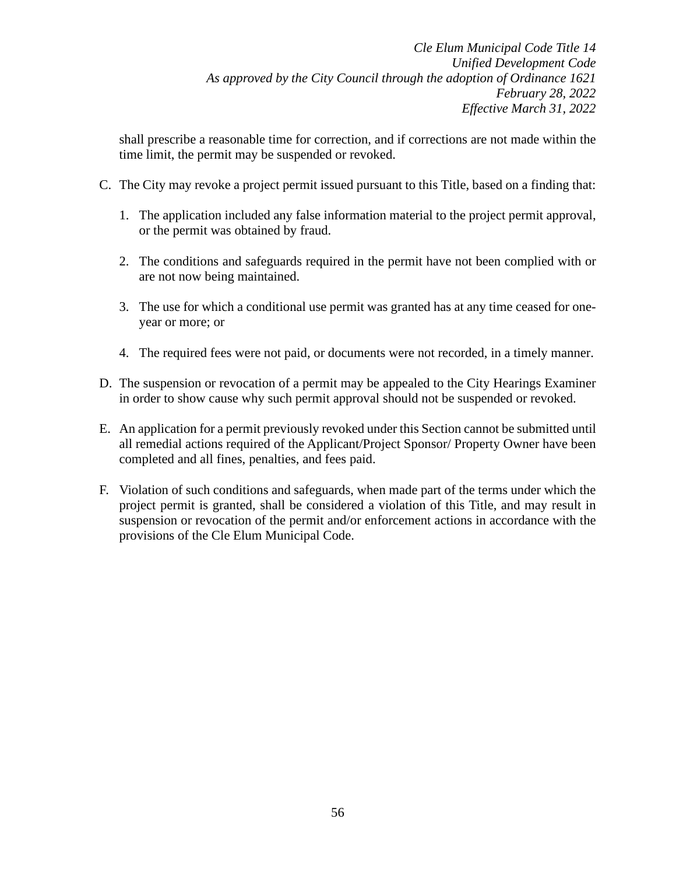shall prescribe a reasonable time for correction, and if corrections are not made within the time limit, the permit may be suspended or revoked.

- C. The City may revoke a project permit issued pursuant to this Title, based on a finding that:
	- 1. The application included any false information material to the project permit approval, or the permit was obtained by fraud.
	- 2. The conditions and safeguards required in the permit have not been complied with or are not now being maintained.
	- 3. The use for which a conditional use permit was granted has at any time ceased for oneyear or more; or
	- 4. The required fees were not paid, or documents were not recorded, in a timely manner.
- D. The suspension or revocation of a permit may be appealed to the City Hearings Examiner in order to show cause why such permit approval should not be suspended or revoked.
- E. An application for a permit previously revoked under this Section cannot be submitted until all remedial actions required of the Applicant/Project Sponsor/ Property Owner have been completed and all fines, penalties, and fees paid.
- F. Violation of such conditions and safeguards, when made part of the terms under which the project permit is granted, shall be considered a violation of this Title, and may result in suspension or revocation of the permit and/or enforcement actions in accordance with the provisions of the Cle Elum Municipal Code.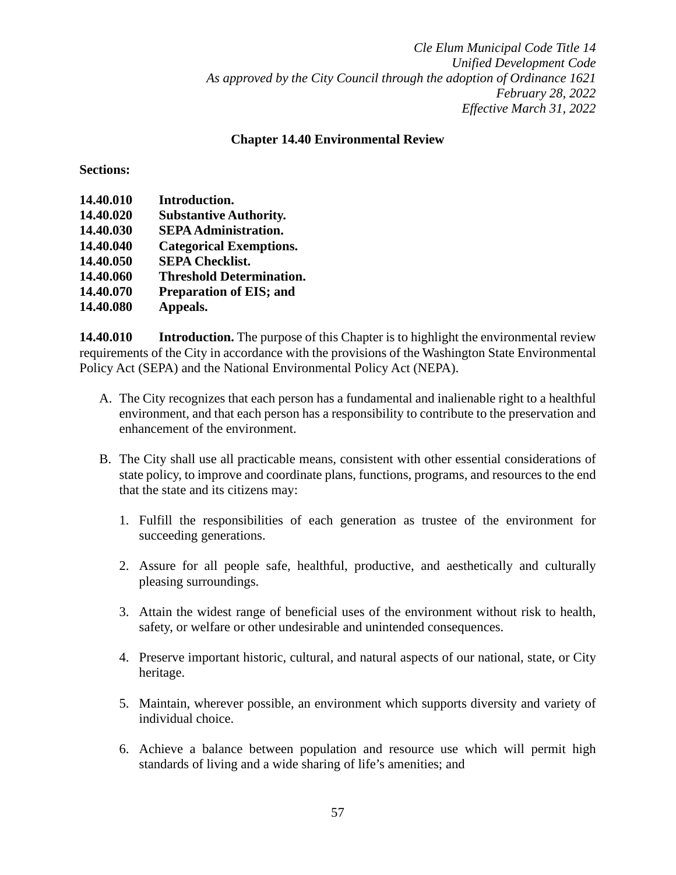### **Chapter 14.40 Environmental Review**

**Sections:**

| 14.40.010 | Introduction.                   |
|-----------|---------------------------------|
| 14.40.020 | <b>Substantive Authority.</b>   |
| 14.40.030 | <b>SEPA Administration.</b>     |
| 14.40.040 | <b>Categorical Exemptions.</b>  |
| 14.40.050 | <b>SEPA Checklist.</b>          |
| 14.40.060 | <b>Threshold Determination.</b> |
| 14.40.070 | <b>Preparation of EIS; and</b>  |
| 14.40.080 | Appeals.                        |

**14.40.010 Introduction.** The purpose of this Chapter is to highlight the environmental review requirements of the City in accordance with the provisions of the Washington State Environmental Policy Act (SEPA) and the National Environmental Policy Act (NEPA).

- A. The City recognizes that each person has a fundamental and inalienable right to a healthful environment, and that each person has a responsibility to contribute to the preservation and enhancement of the environment.
- B. The City shall use all practicable means, consistent with other essential considerations of state policy, to improve and coordinate plans, functions, programs, and resources to the end that the state and its citizens may:
	- 1. Fulfill the responsibilities of each generation as trustee of the environment for succeeding generations.
	- 2. Assure for all people safe, healthful, productive, and aesthetically and culturally pleasing surroundings.
	- 3. Attain the widest range of beneficial uses of the environment without risk to health, safety, or welfare or other undesirable and unintended consequences.
	- 4. Preserve important historic, cultural, and natural aspects of our national, state, or City heritage.
	- 5. Maintain, wherever possible, an environment which supports diversity and variety of individual choice.
	- 6. Achieve a balance between population and resource use which will permit high standards of living and a wide sharing of life's amenities; and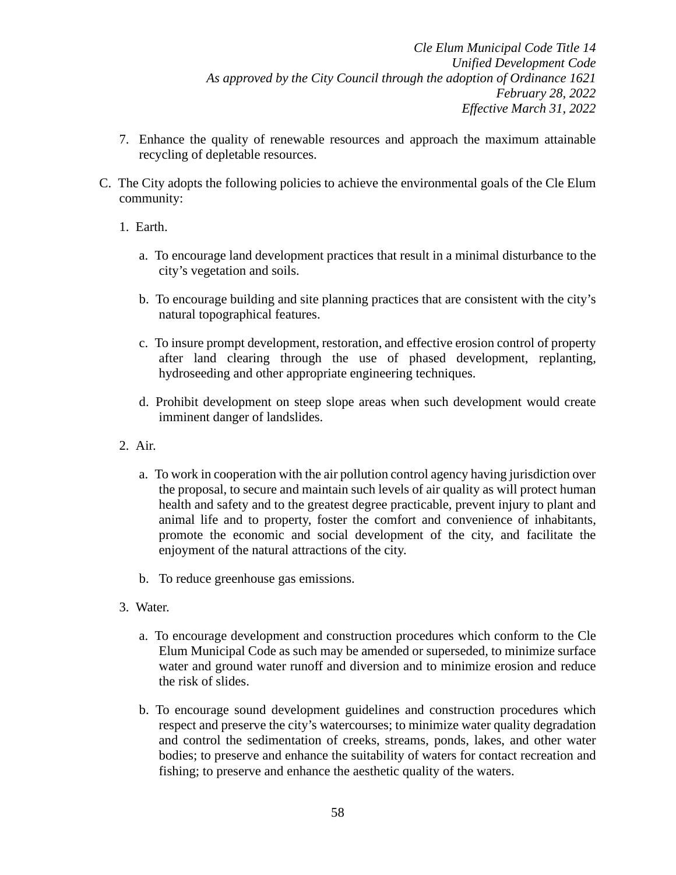- 7. Enhance the quality of renewable resources and approach the maximum attainable recycling of depletable resources.
- C. The City adopts the following policies to achieve the environmental goals of the Cle Elum community:
	- 1. Earth.
		- a. To encourage land development practices that result in a minimal disturbance to the city's vegetation and soils.
		- b. To encourage building and site planning practices that are consistent with the city's natural topographical features.
		- c. To insure prompt development, restoration, and effective erosion control of property after land clearing through the use of phased development, replanting, hydroseeding and other appropriate engineering techniques.
		- d. Prohibit development on steep slope areas when such development would create imminent danger of landslides.
	- 2. Air.
		- a. To work in cooperation with the air pollution control agency having jurisdiction over the proposal, to secure and maintain such levels of air quality as will protect human health and safety and to the greatest degree practicable, prevent injury to plant and animal life and to property, foster the comfort and convenience of inhabitants, promote the economic and social development of the city, and facilitate the enjoyment of the natural attractions of the city.
		- b. To reduce greenhouse gas emissions.
	- 3. Water.
		- a. To encourage development and construction procedures which conform to the Cle Elum Municipal Code as such may be amended or superseded, to minimize surface water and ground water runoff and diversion and to minimize erosion and reduce the risk of slides.
		- b. To encourage sound development guidelines and construction procedures which respect and preserve the city's watercourses; to minimize water quality degradation and control the sedimentation of creeks, streams, ponds, lakes, and other water bodies; to preserve and enhance the suitability of waters for contact recreation and fishing; to preserve and enhance the aesthetic quality of the waters.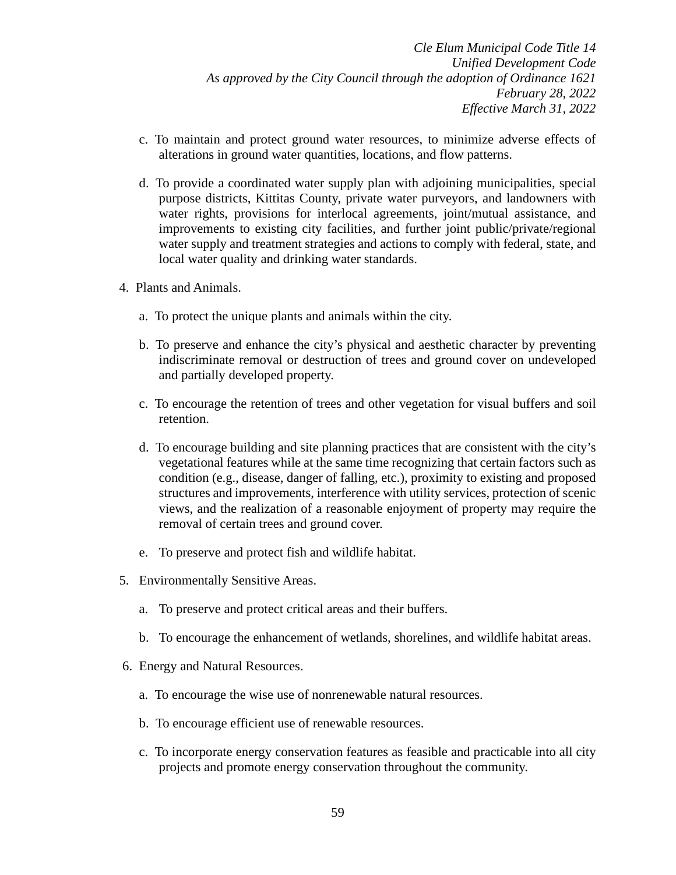- c. To maintain and protect ground water resources, to minimize adverse effects of alterations in ground water quantities, locations, and flow patterns.
- d. To provide a coordinated water supply plan with adjoining municipalities, special purpose districts, Kittitas County, private water purveyors, and landowners with water rights, provisions for interlocal agreements, joint/mutual assistance, and improvements to existing city facilities, and further joint public/private/regional water supply and treatment strategies and actions to comply with federal, state, and local water quality and drinking water standards.
- 4. Plants and Animals.
	- a. To protect the unique plants and animals within the city.
	- b. To preserve and enhance the city's physical and aesthetic character by preventing indiscriminate removal or destruction of trees and ground cover on undeveloped and partially developed property.
	- c. To encourage the retention of trees and other vegetation for visual buffers and soil retention.
	- d. To encourage building and site planning practices that are consistent with the city's vegetational features while at the same time recognizing that certain factors such as condition (e.g., disease, danger of falling, etc.), proximity to existing and proposed structures and improvements, interference with utility services, protection of scenic views, and the realization of a reasonable enjoyment of property may require the removal of certain trees and ground cover.
	- e. To preserve and protect fish and wildlife habitat.
- 5. Environmentally Sensitive Areas.
	- a. To preserve and protect critical areas and their buffers.
	- b. To encourage the enhancement of wetlands, shorelines, and wildlife habitat areas.
- 6. Energy and Natural Resources.
	- a. To encourage the wise use of nonrenewable natural resources.
	- b. To encourage efficient use of renewable resources.
	- c. To incorporate energy conservation features as feasible and practicable into all city projects and promote energy conservation throughout the community.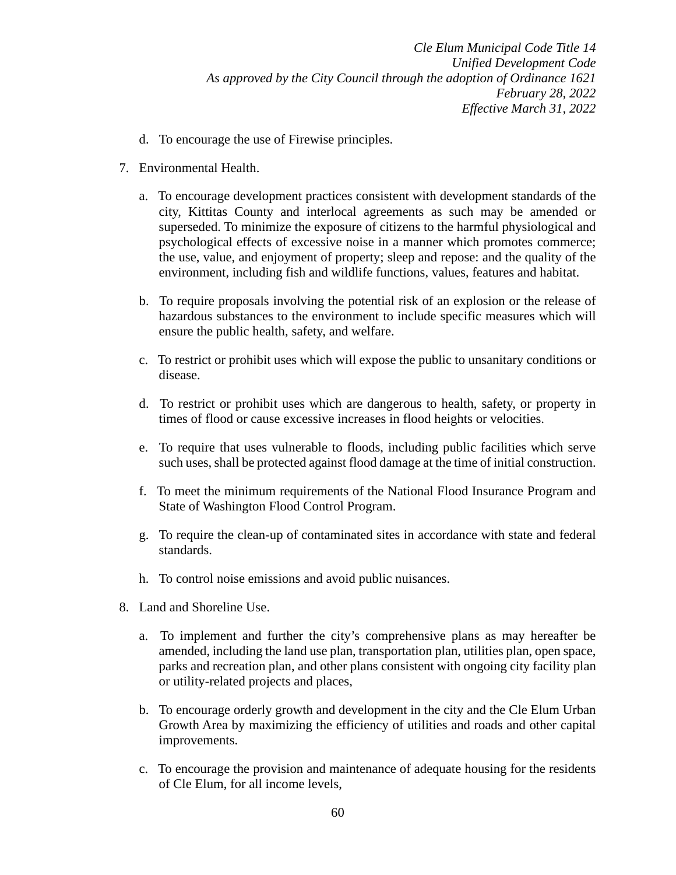- d. To encourage the use of Firewise principles.
- 7. Environmental Health.
	- a. To encourage development practices consistent with development standards of the city, Kittitas County and interlocal agreements as such may be amended or superseded. To minimize the exposure of citizens to the harmful physiological and psychological effects of excessive noise in a manner which promotes commerce; the use, value, and enjoyment of property; sleep and repose: and the quality of the environment, including fish and wildlife functions, values, features and habitat.
	- b. To require proposals involving the potential risk of an explosion or the release of hazardous substances to the environment to include specific measures which will ensure the public health, safety, and welfare.
	- c. To restrict or prohibit uses which will expose the public to unsanitary conditions or disease.
	- d. To restrict or prohibit uses which are dangerous to health, safety, or property in times of flood or cause excessive increases in flood heights or velocities.
	- e. To require that uses vulnerable to floods, including public facilities which serve such uses, shall be protected against flood damage at the time of initial construction.
	- f. To meet the minimum requirements of the National Flood Insurance Program and State of Washington Flood Control Program.
	- g. To require the clean-up of contaminated sites in accordance with state and federal standards.
	- h. To control noise emissions and avoid public nuisances.
- 8. Land and Shoreline Use.
	- a. To implement and further the city's comprehensive plans as may hereafter be amended, including the land use plan, transportation plan, utilities plan, open space, parks and recreation plan, and other plans consistent with ongoing city facility plan or utility-related projects and places,
	- b. To encourage orderly growth and development in the city and the Cle Elum Urban Growth Area by maximizing the efficiency of utilities and roads and other capital improvements.
	- c. To encourage the provision and maintenance of adequate housing for the residents of Cle Elum, for all income levels,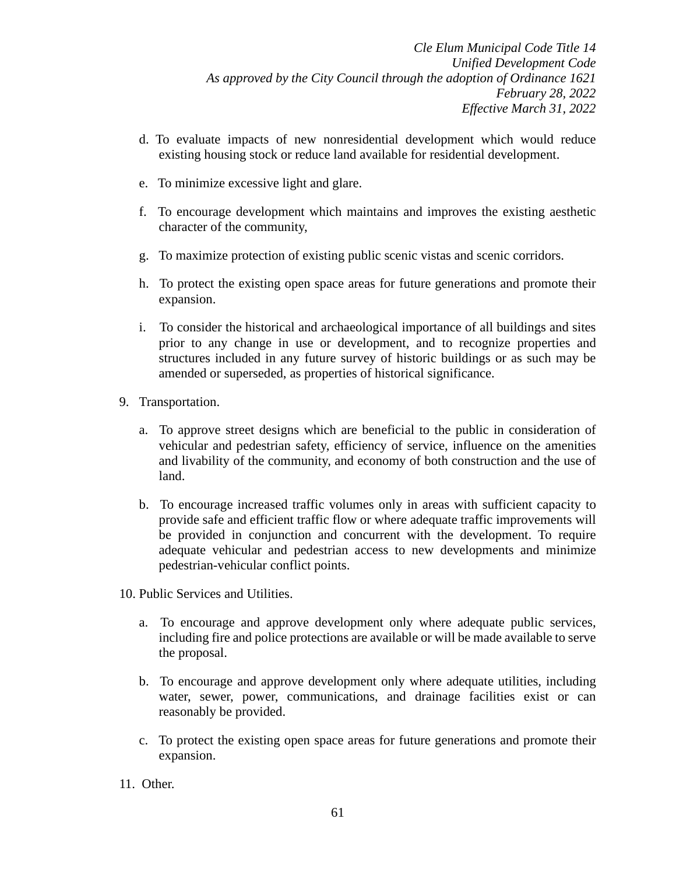- d. To evaluate impacts of new nonresidential development which would reduce existing housing stock or reduce land available for residential development.
- e. To minimize excessive light and glare.
- f. To encourage development which maintains and improves the existing aesthetic character of the community,
- g. To maximize protection of existing public scenic vistas and scenic corridors.
- h. To protect the existing open space areas for future generations and promote their expansion.
- i. To consider the historical and archaeological importance of all buildings and sites prior to any change in use or development, and to recognize properties and structures included in any future survey of historic buildings or as such may be amended or superseded, as properties of historical significance.
- 9. Transportation.
	- a. To approve street designs which are beneficial to the public in consideration of vehicular and pedestrian safety, efficiency of service, influence on the amenities and livability of the community, and economy of both construction and the use of land.
	- b. To encourage increased traffic volumes only in areas with sufficient capacity to provide safe and efficient traffic flow or where adequate traffic improvements will be provided in conjunction and concurrent with the development. To require adequate vehicular and pedestrian access to new developments and minimize pedestrian-vehicular conflict points.
- 10. Public Services and Utilities.
	- a. To encourage and approve development only where adequate public services, including fire and police protections are available or will be made available to serve the proposal.
	- b. To encourage and approve development only where adequate utilities, including water, sewer, power, communications, and drainage facilities exist or can reasonably be provided.
	- c. To protect the existing open space areas for future generations and promote their expansion.
- 11. Other.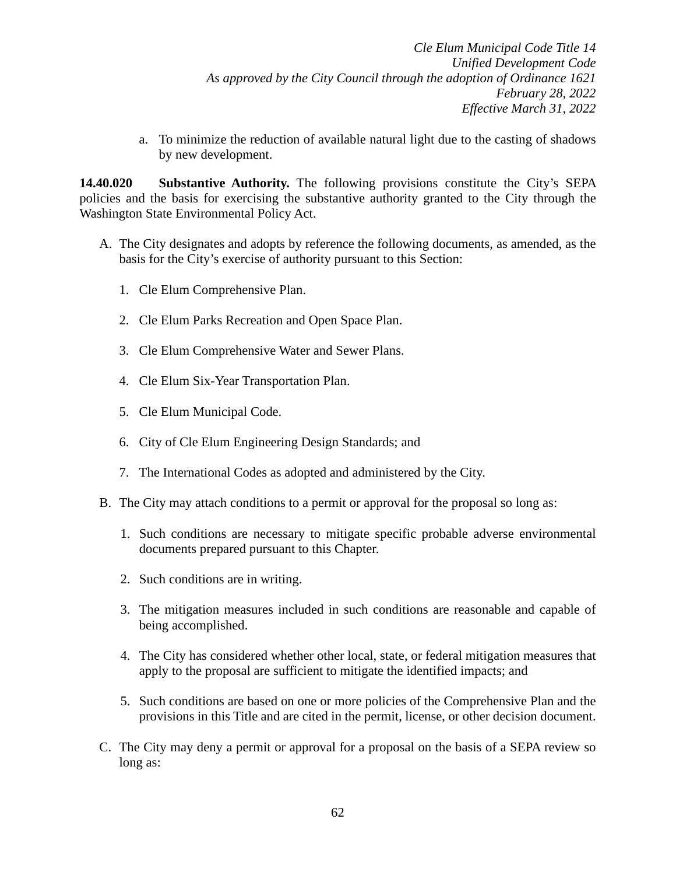a. To minimize the reduction of available natural light due to the casting of shadows by new development.

**14.40.020 Substantive Authority.** The following provisions constitute the City's SEPA policies and the basis for exercising the substantive authority granted to the City through the Washington State Environmental Policy Act.

- A. The City designates and adopts by reference the following documents, as amended, as the basis for the City's exercise of authority pursuant to this Section:
	- 1. Cle Elum Comprehensive Plan.
	- 2. Cle Elum Parks Recreation and Open Space Plan.
	- 3. Cle Elum Comprehensive Water and Sewer Plans.
	- 4. Cle Elum Six-Year Transportation Plan.
	- 5. Cle Elum Municipal Code.
	- 6. City of Cle Elum Engineering Design Standards; and
	- 7. The International Codes as adopted and administered by the City.
- B. The City may attach conditions to a permit or approval for the proposal so long as:
	- 1. Such conditions are necessary to mitigate specific probable adverse environmental documents prepared pursuant to this Chapter.
	- 2. Such conditions are in writing.
	- 3. The mitigation measures included in such conditions are reasonable and capable of being accomplished.
	- 4. The City has considered whether other local, state, or federal mitigation measures that apply to the proposal are sufficient to mitigate the identified impacts; and
	- 5. Such conditions are based on one or more policies of the Comprehensive Plan and the provisions in this Title and are cited in the permit, license, or other decision document.
- C. The City may deny a permit or approval for a proposal on the basis of a SEPA review so long as: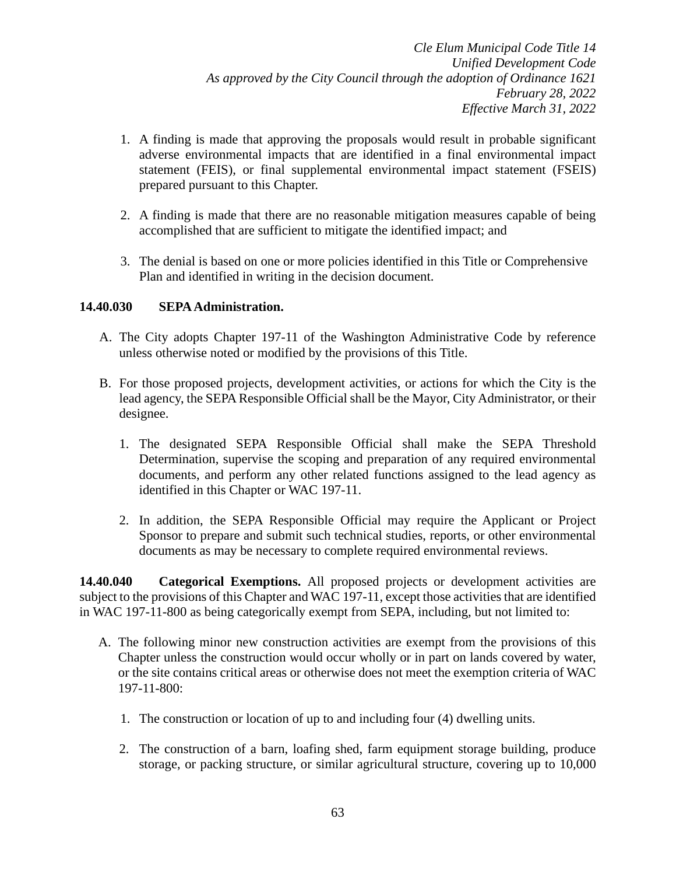- 1. A finding is made that approving the proposals would result in probable significant adverse environmental impacts that are identified in a final environmental impact statement (FEIS), or final supplemental environmental impact statement (FSEIS) prepared pursuant to this Chapter.
- 2. A finding is made that there are no reasonable mitigation measures capable of being accomplished that are sufficient to mitigate the identified impact; and
- 3. The denial is based on one or more policies identified in this Title or Comprehensive Plan and identified in writing in the decision document.

## **14.40.030 SEPA Administration.**

- A. The City adopts Chapter 197-11 of the Washington Administrative Code by reference unless otherwise noted or modified by the provisions of this Title.
- B. For those proposed projects, development activities, or actions for which the City is the lead agency, the SEPA Responsible Official shall be the Mayor, City Administrator, or their designee.
	- 1. The designated SEPA Responsible Official shall make the SEPA Threshold Determination, supervise the scoping and preparation of any required environmental documents, and perform any other related functions assigned to the lead agency as identified in this Chapter or WAC 197-11.
	- 2. In addition, the SEPA Responsible Official may require the Applicant or Project Sponsor to prepare and submit such technical studies, reports, or other environmental documents as may be necessary to complete required environmental reviews.

**14.40.040 Categorical Exemptions.** All proposed projects or development activities are subject to the provisions of this Chapter and WAC 197-11, except those activities that are identified in WAC 197-11-800 as being categorically exempt from SEPA, including, but not limited to:

- A. The following minor new construction activities are exempt from the provisions of this Chapter unless the construction would occur wholly or in part on lands covered by water, or the site contains critical areas or otherwise does not meet the exemption criteria of WAC 197-11-800:
	- 1. The construction or location of up to and including four (4) dwelling units.
	- 2. The construction of a barn, loafing shed, farm equipment storage building, produce storage, or packing structure, or similar agricultural structure, covering up to 10,000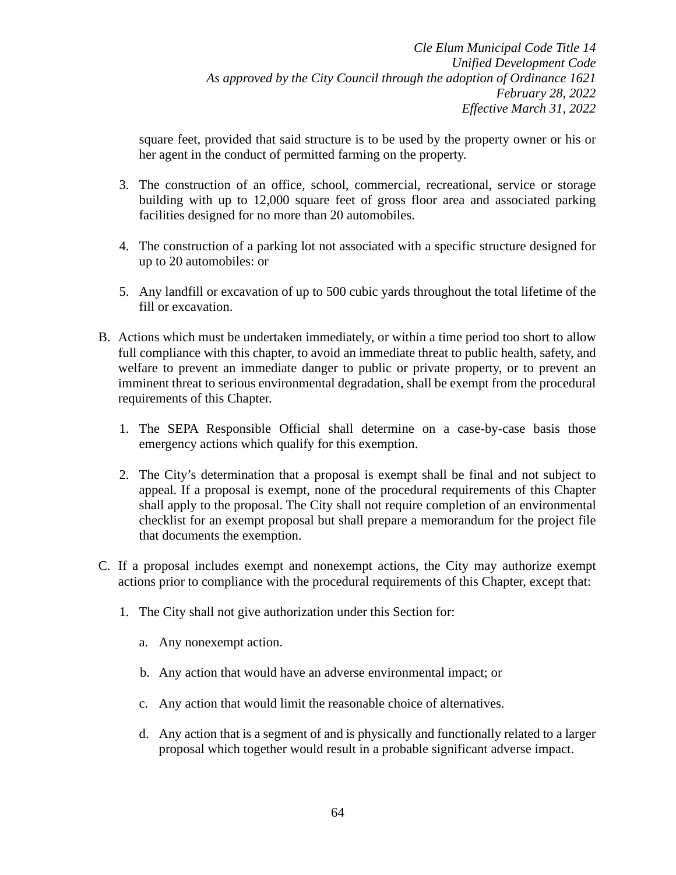square feet, provided that said structure is to be used by the property owner or his or her agent in the conduct of permitted farming on the property.

- 3. The construction of an office, school, commercial, recreational, service or storage building with up to 12,000 square feet of gross floor area and associated parking facilities designed for no more than 20 automobiles.
- 4. The construction of a parking lot not associated with a specific structure designed for up to 20 automobiles: or
- 5. Any landfill or excavation of up to 500 cubic yards throughout the total lifetime of the fill or excavation.
- B. Actions which must be undertaken immediately, or within a time period too short to allow full compliance with this chapter, to avoid an immediate threat to public health, safety, and welfare to prevent an immediate danger to public or private property, or to prevent an imminent threat to serious environmental degradation, shall be exempt from the procedural requirements of this Chapter.
	- 1. The SEPA Responsible Official shall determine on a case-by-case basis those emergency actions which qualify for this exemption.
	- 2. The City's determination that a proposal is exempt shall be final and not subject to appeal. If a proposal is exempt, none of the procedural requirements of this Chapter shall apply to the proposal. The City shall not require completion of an environmental checklist for an exempt proposal but shall prepare a memorandum for the project file that documents the exemption.
- C. If a proposal includes exempt and nonexempt actions, the City may authorize exempt actions prior to compliance with the procedural requirements of this Chapter, except that:
	- 1. The City shall not give authorization under this Section for:
		- a. Any nonexempt action.
		- b. Any action that would have an adverse environmental impact; or
		- c. Any action that would limit the reasonable choice of alternatives.
		- d. Any action that is a segment of and is physically and functionally related to a larger proposal which together would result in a probable significant adverse impact.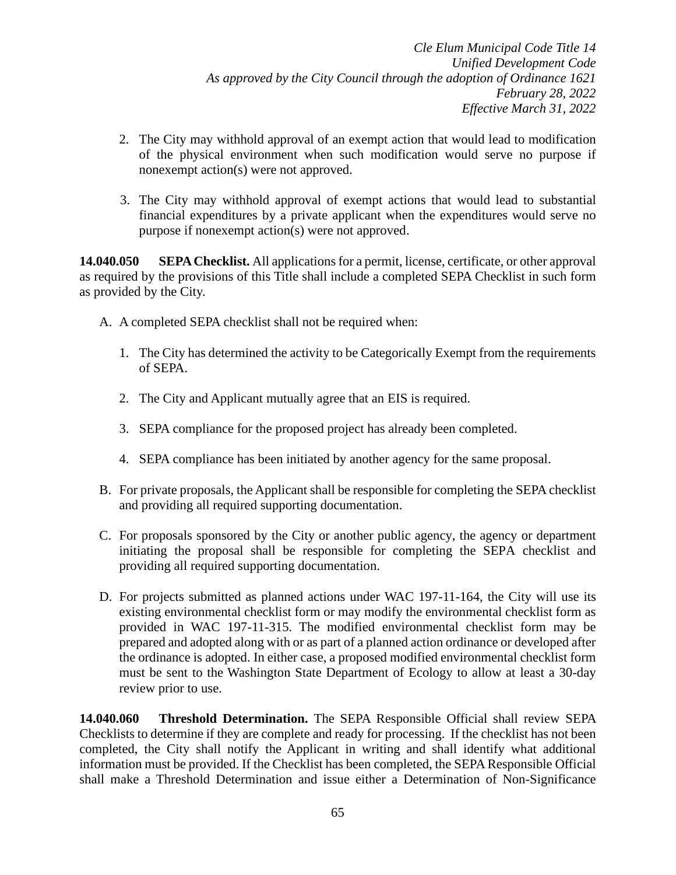- 2. The City may withhold approval of an exempt action that would lead to modification of the physical environment when such modification would serve no purpose if nonexempt action(s) were not approved.
- 3. The City may withhold approval of exempt actions that would lead to substantial financial expenditures by a private applicant when the expenditures would serve no purpose if nonexempt action(s) were not approved.

**14.040.050 SEPA Checklist.** All applications for a permit, license, certificate, or other approval as required by the provisions of this Title shall include a completed SEPA Checklist in such form as provided by the City.

- A. A completed SEPA checklist shall not be required when:
	- 1. The City has determined the activity to be Categorically Exempt from the requirements of SEPA.
	- 2. The City and Applicant mutually agree that an EIS is required.
	- 3. SEPA compliance for the proposed project has already been completed.
	- 4. SEPA compliance has been initiated by another agency for the same proposal.
- B. For private proposals, the Applicant shall be responsible for completing the SEPA checklist and providing all required supporting documentation.
- C. For proposals sponsored by the City or another public agency, the agency or department initiating the proposal shall be responsible for completing the SEPA checklist and providing all required supporting documentation.
- D. For projects submitted as planned actions under WAC 197-11-164, the City will use its existing environmental checklist form or may modify the environmental checklist form as provided in WAC 197-11-315. The modified environmental checklist form may be prepared and adopted along with or as part of a planned action ordinance or developed after the ordinance is adopted. In either case, a proposed modified environmental checklist form must be sent to the Washington State Department of Ecology to allow at least a 30-day review prior to use.

**14.040.060 Threshold Determination.** The SEPA Responsible Official shall review SEPA Checklists to determine if they are complete and ready for processing. If the checklist has not been completed, the City shall notify the Applicant in writing and shall identify what additional information must be provided. If the Checklist has been completed, the SEPA Responsible Official shall make a Threshold Determination and issue either a Determination of Non-Significance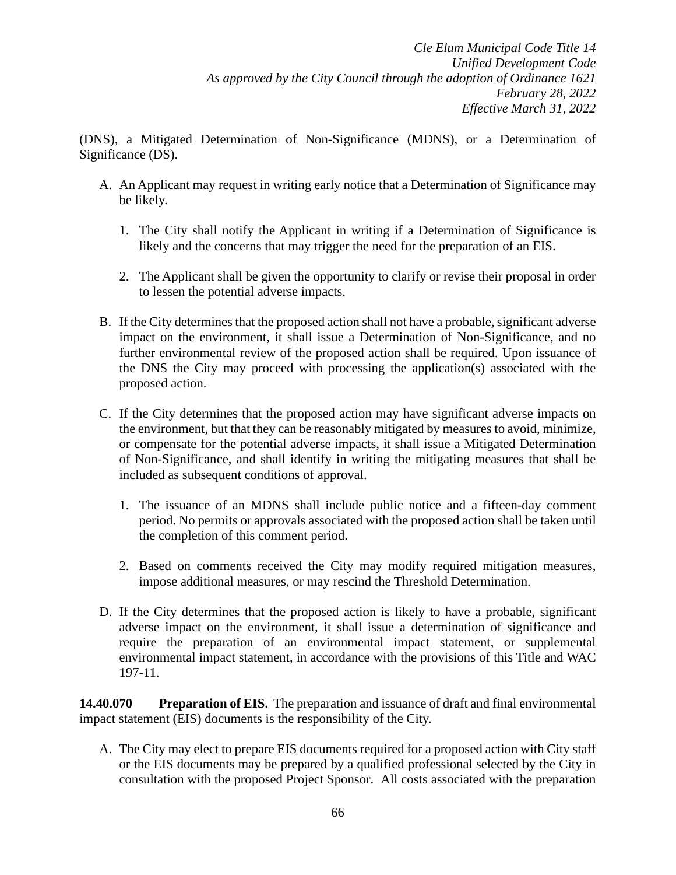(DNS), a Mitigated Determination of Non-Significance (MDNS), or a Determination of Significance (DS).

- A. An Applicant may request in writing early notice that a Determination of Significance may be likely.
	- 1. The City shall notify the Applicant in writing if a Determination of Significance is likely and the concerns that may trigger the need for the preparation of an EIS.
	- 2. The Applicant shall be given the opportunity to clarify or revise their proposal in order to lessen the potential adverse impacts.
- B. If the City determines that the proposed action shall not have a probable, significant adverse impact on the environment, it shall issue a Determination of Non-Significance, and no further environmental review of the proposed action shall be required. Upon issuance of the DNS the City may proceed with processing the application(s) associated with the proposed action.
- C. If the City determines that the proposed action may have significant adverse impacts on the environment, but that they can be reasonably mitigated by measures to avoid, minimize, or compensate for the potential adverse impacts, it shall issue a Mitigated Determination of Non-Significance, and shall identify in writing the mitigating measures that shall be included as subsequent conditions of approval.
	- 1. The issuance of an MDNS shall include public notice and a fifteen-day comment period. No permits or approvals associated with the proposed action shall be taken until the completion of this comment period.
	- 2. Based on comments received the City may modify required mitigation measures, impose additional measures, or may rescind the Threshold Determination.
- D. If the City determines that the proposed action is likely to have a probable, significant adverse impact on the environment, it shall issue a determination of significance and require the preparation of an environmental impact statement, or supplemental environmental impact statement, in accordance with the provisions of this Title and WAC 197-11.

**14.40.070 Preparation of EIS.** The preparation and issuance of draft and final environmental impact statement (EIS) documents is the responsibility of the City.

A. The City may elect to prepare EIS documents required for a proposed action with City staff or the EIS documents may be prepared by a qualified professional selected by the City in consultation with the proposed Project Sponsor. All costs associated with the preparation